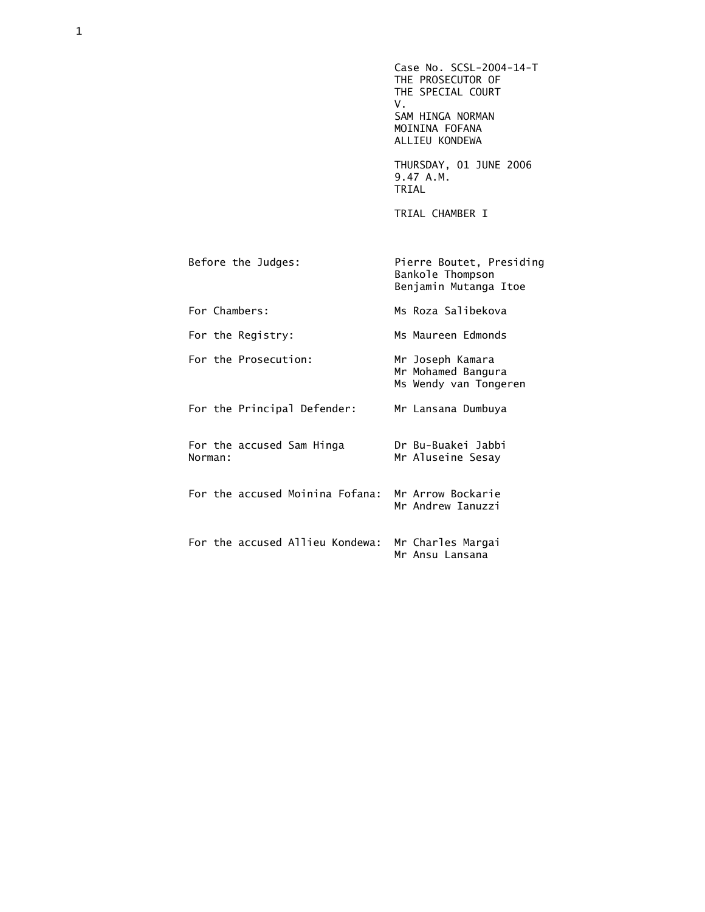Case No. SCSL-2004-14-T THE PROSECUTOR OF THE SPECIAL COURT<br>V. V. SAM HINGA NORMAN MOININA FOFANA ALLIEU KONDEWA

> THURSDAY, 01 JUNE 2006 9.47 A.M. TRIAL

TRIAL CHAMBER I

| Before the Judges:                                | Pierre Boutet, Presiding<br>Bankole Thompson<br>Benjamin Mutanga Itoe |
|---------------------------------------------------|-----------------------------------------------------------------------|
| For Chambers:                                     | Ms Roza Salibekova                                                    |
| For the Registry:                                 | Ms Maureen Edmonds                                                    |
| For the Prosecution:                              | Mr Joseph Kamara<br>Mr Mohamed Bangura<br>Ms Wendy van Tongeren       |
| For the Principal Defender:                       | Mr Lansana Dumbuya                                                    |
| For the accused Sam Hinga<br>Norman:              | Dr Bu-Buakei Jabbi<br>Mr Aluseine Sesay                               |
| For the accused Moinina Fofana: Mr Arrow Bockarie | Mr Andrew Ianuzzi                                                     |
| For the accused Allieu Kondewa:                   | Mr Charles Margai<br>Mr Ansu Lansana                                  |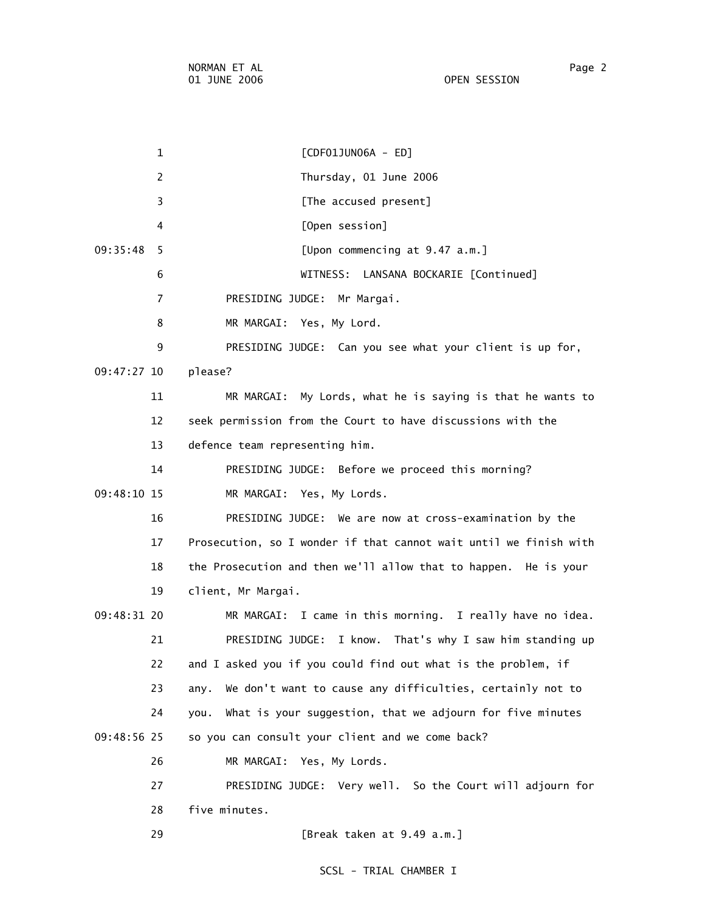1 [CDF01JUN06A - ED] 2 Thursday, 01 June 2006 3 **Example 2 [The accused present]**  4 [Open session] 09:35:48 5 [Upon commencing at 9.47 a.m.] 6 WITNESS: LANSANA BOCKARIE [Continued] 7 PRESIDING JUDGE: Mr Margai. 8 MR MARGAI: Yes, My Lord. 9 PRESIDING JUDGE: Can you see what your client is up for, 09:47:27 10 please? 11 MR MARGAI: My Lords, what he is saying is that he wants to 12 seek permission from the Court to have discussions with the 13 defence team representing him. 14 PRESIDING JUDGE: Before we proceed this morning? 09:48:10 15 MR MARGAI: Yes, My Lords. 16 PRESIDING JUDGE: We are now at cross-examination by the 17 Prosecution, so I wonder if that cannot wait until we finish with 18 the Prosecution and then we'll allow that to happen. He is your 19 client, Mr Margai. 09:48:31 20 MR MARGAI: I came in this morning. I really have no idea. 21 PRESIDING JUDGE: I know. That's why I saw him standing up 22 and I asked you if you could find out what is the problem, if 23 any. We don't want to cause any difficulties, certainly not to 24 you. What is your suggestion, that we adjourn for five minutes 09:48:56 25 so you can consult your client and we come back? 26 MR MARGAI: Yes, My Lords. 27 PRESIDING JUDGE: Very well. So the Court will adjourn for 28 five minutes. 29 [Break taken at 9.49 a.m.]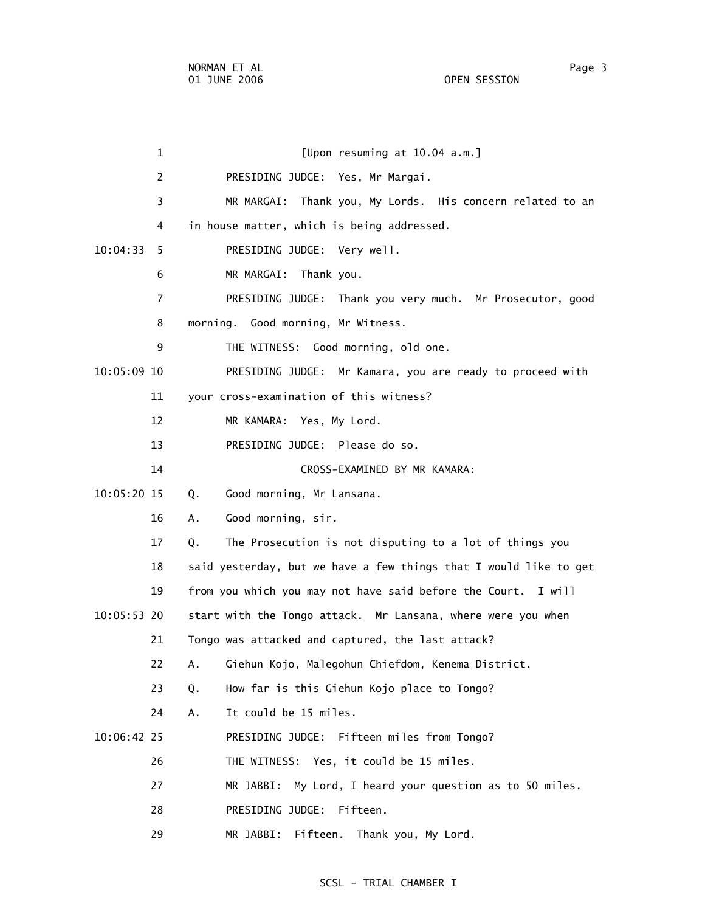1 [Upon resuming at 10.04 a.m.] 2 PRESIDING JUDGE: Yes, Mr Margai. 3 MR MARGAI: Thank you, My Lords. His concern related to an 4 in house matter, which is being addressed. 10:04:33 5 PRESIDING JUDGE: Very well. 6 MR MARGAI: Thank you. 7 PRESIDING JUDGE: Thank you very much. Mr Prosecutor, good 8 morning. Good morning, Mr Witness. 9 THE WITNESS: Good morning, old one. 10:05:09 10 PRESIDING JUDGE: Mr Kamara, you are ready to proceed with 11 your cross-examination of this witness? 12 MR KAMARA: Yes, My Lord. 13 PRESIDING JUDGE: Please do so. 14 CROSS-EXAMINED BY MR KAMARA: 10:05:20 15 Q. Good morning, Mr Lansana. 16 A. Good morning, sir. 17 Q. The Prosecution is not disputing to a lot of things you 18 said yesterday, but we have a few things that I would like to get 19 from you which you may not have said before the Court. I will 10:05:53 20 start with the Tongo attack. Mr Lansana, where were you when 21 Tongo was attacked and captured, the last attack? 22 A. Giehun Kojo, Malegohun Chiefdom, Kenema District. 23 Q. How far is this Giehun Kojo place to Tongo? 24 A. It could be 15 miles. 10:06:42 25 PRESIDING JUDGE: Fifteen miles from Tongo? 26 THE WITNESS: Yes, it could be 15 miles. 27 MR JABBI: My Lord, I heard your question as to 50 miles. 28 PRESIDING JUDGE: Fifteen. 29 MR JABBI: Fifteen. Thank you, My Lord.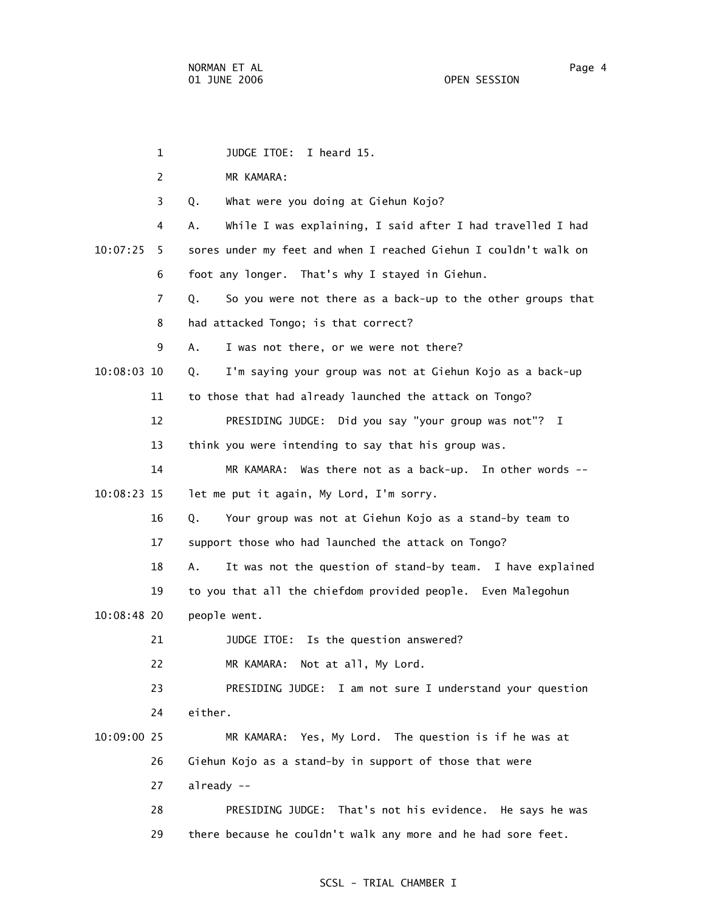1 JUDGE ITOE: I heard 15. 2 MR KAMARA: 3 Q. What were you doing at Giehun Kojo? 4 A. While I was explaining, I said after I had travelled I had 10:07:25 5 sores under my feet and when I reached Giehun I couldn't walk on 6 foot any longer. That's why I stayed in Giehun. 7 Q. So you were not there as a back-up to the other groups that 8 had attacked Tongo; is that correct? 9 A. I was not there, or we were not there? 10:08:03 10 Q. I'm saying your group was not at Giehun Kojo as a back-up 11 to those that had already launched the attack on Tongo? 12 PRESIDING JUDGE: Did you say "your group was not"? I 13 think you were intending to say that his group was. 14 MR KAMARA: Was there not as a back-up. In other words -- 10:08:23 15 let me put it again, My Lord, I'm sorry. 16 Q. Your group was not at Giehun Kojo as a stand-by team to 17 support those who had launched the attack on Tongo? 18 A. It was not the question of stand-by team. I have explained 19 to you that all the chiefdom provided people. Even Malegohun 10:08:48 20 people went. 21 JUDGE ITOE: Is the question answered? 22 MR KAMARA: Not at all, My Lord. 23 PRESIDING JUDGE: I am not sure I understand your question 24 either. 10:09:00 25 MR KAMARA: Yes, My Lord. The question is if he was at 26 Giehun Kojo as a stand-by in support of those that were 27 already -- 28 PRESIDING JUDGE: That's not his evidence. He says he was 29 there because he couldn't walk any more and he had sore feet.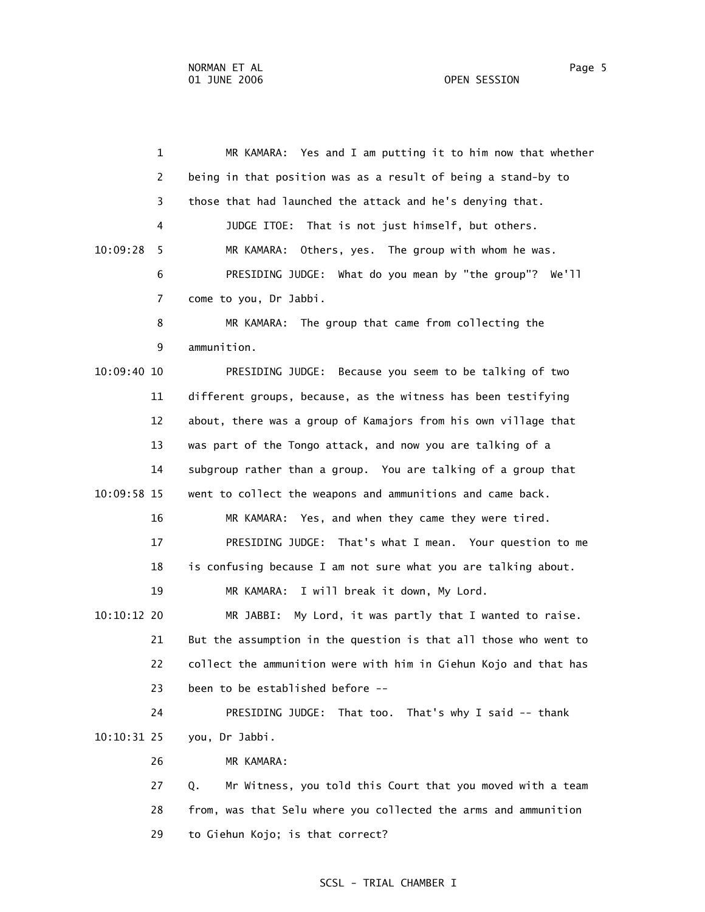1 MR KAMARA: Yes and I am putting it to him now that whether 2 being in that position was as a result of being a stand-by to 3 those that had launched the attack and he's denying that. 4 JUDGE ITOE: That is not just himself, but others. 10:09:28 5 MR KAMARA: Others, yes. The group with whom he was. 6 PRESIDING JUDGE: What do you mean by "the group"? We'll 7 come to you, Dr Jabbi. 8 MR KAMARA: The group that came from collecting the 9 ammunition. 10:09:40 10 PRESIDING JUDGE: Because you seem to be talking of two 11 different groups, because, as the witness has been testifying 12 about, there was a group of Kamajors from his own village that 13 was part of the Tongo attack, and now you are talking of a 14 subgroup rather than a group. You are talking of a group that 10:09:58 15 went to collect the weapons and ammunitions and came back. 16 MR KAMARA: Yes, and when they came they were tired. 17 PRESIDING JUDGE: That's what I mean. Your question to me 18 is confusing because I am not sure what you are talking about. 19 MR KAMARA: I will break it down, My Lord. 10:10:12 20 MR JABBI: My Lord, it was partly that I wanted to raise. 21 But the assumption in the question is that all those who went to 22 collect the ammunition were with him in Giehun Kojo and that has 23 been to be established before -- 24 PRESIDING JUDGE: That too. That's why I said -- thank 10:10:31 25 you, Dr Jabbi. 26 MR KAMARA: 27 Q. Mr Witness, you told this Court that you moved with a team 28 from, was that Selu where you collected the arms and ammunition 29 to Giehun Kojo; is that correct?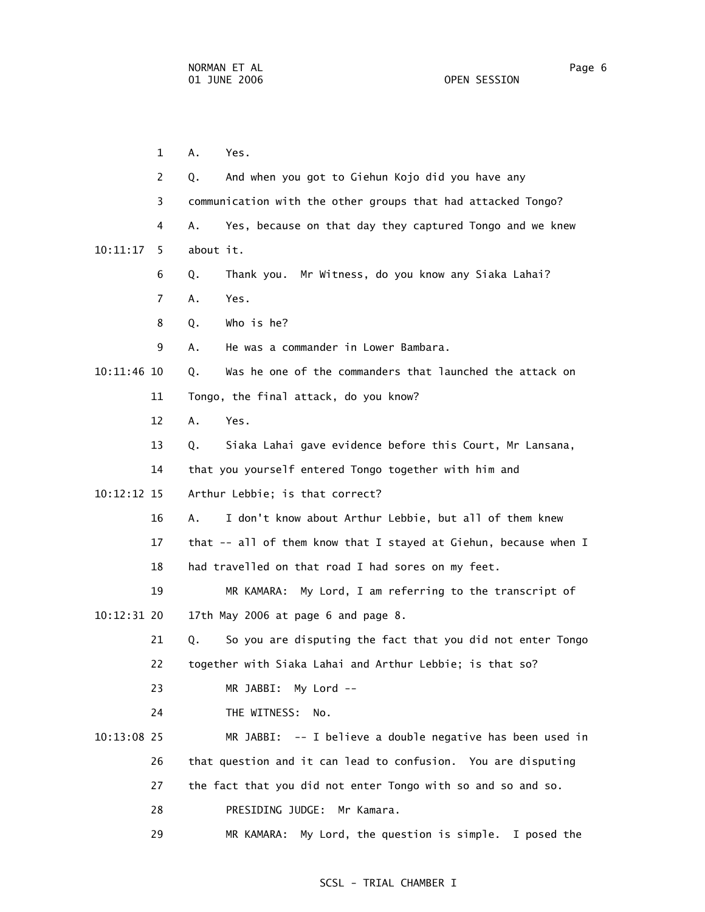1 A. Yes. 2 Q. And when you got to Giehun Kojo did you have any 3 communication with the other groups that had attacked Tongo? 4 A. Yes, because on that day they captured Tongo and we knew 10:11:17 5 about it. 6 Q. Thank you. Mr Witness, do you know any Siaka Lahai? 7 A. Yes. 8 Q. Who is he? 9 A. He was a commander in Lower Bambara. 10:11:46 10 Q. Was he one of the commanders that launched the attack on 11 Tongo, the final attack, do you know? 12 A. Yes. 13 Q. Siaka Lahai gave evidence before this Court, Mr Lansana, 14 that you yourself entered Tongo together with him and 10:12:12 15 Arthur Lebbie; is that correct? 16 A. I don't know about Arthur Lebbie, but all of them knew 17 that -- all of them know that I stayed at Giehun, because when I 18 had travelled on that road I had sores on my feet. 19 MR KAMARA: My Lord, I am referring to the transcript of 10:12:31 20 17th May 2006 at page 6 and page 8. 21 Q. So you are disputing the fact that you did not enter Tongo 22 together with Siaka Lahai and Arthur Lebbie; is that so? 23 MR JABBI: My Lord -- 24 THE WITNESS: No. 10:13:08 25 MR JABBI: -- I believe a double negative has been used in 26 that question and it can lead to confusion. You are disputing 27 the fact that you did not enter Tongo with so and so and so. 28 PRESIDING JUDGE: Mr Kamara. 29 MR KAMARA: My Lord, the question is simple. I posed the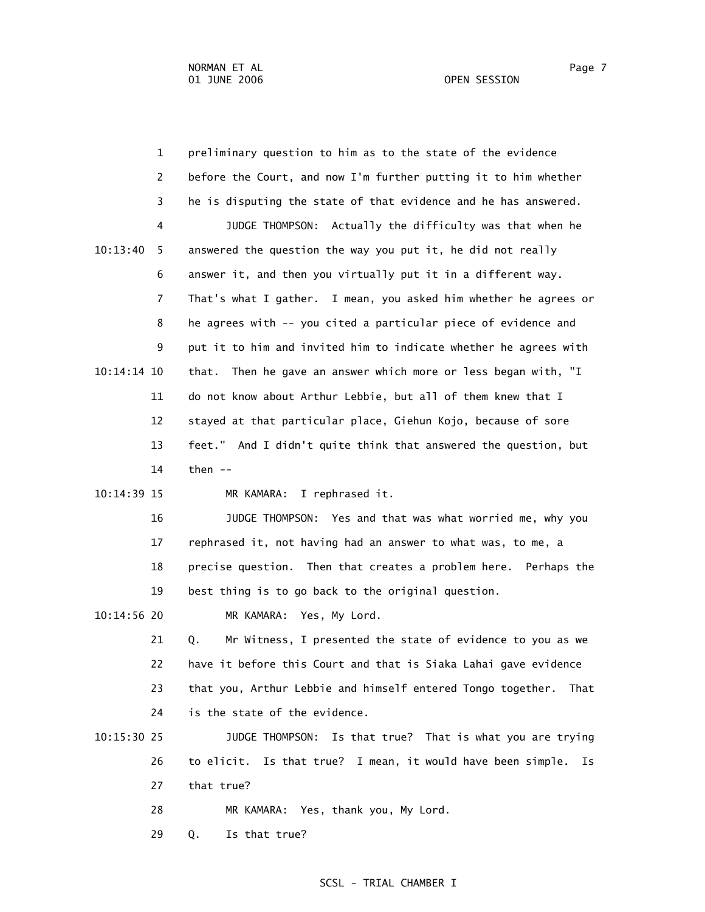1 preliminary question to him as to the state of the evidence 2 before the Court, and now I'm further putting it to him whether 3 he is disputing the state of that evidence and he has answered. 4 JUDGE THOMPSON: Actually the difficulty was that when he 10:13:40 5 answered the question the way you put it, he did not really 6 answer it, and then you virtually put it in a different way. 7 That's what I gather. I mean, you asked him whether he agrees or 8 he agrees with -- you cited a particular piece of evidence and 9 put it to him and invited him to indicate whether he agrees with 10:14:14 10 that. Then he gave an answer which more or less began with, "I 11 do not know about Arthur Lebbie, but all of them knew that I 12 stayed at that particular place, Giehun Kojo, because of sore 13 feet." And I didn't quite think that answered the question, but 14 then -- 10:14:39 15 MR KAMARA: I rephrased it. 16 JUDGE THOMPSON: Yes and that was what worried me, why you 17 rephrased it, not having had an answer to what was, to me, a 18 precise question. Then that creates a problem here. Perhaps the 19 best thing is to go back to the original question. 10:14:56 20 MR KAMARA: Yes, My Lord. 21 Q. Mr Witness, I presented the state of evidence to you as we 22 have it before this Court and that is Siaka Lahai gave evidence 23 that you, Arthur Lebbie and himself entered Tongo together. That

24 is the state of the evidence.

# 10:15:30 25 JUDGE THOMPSON: Is that true? That is what you are trying 26 to elicit. Is that true? I mean, it would have been simple. Is 27 that true?

- 28 MR KAMARA: Yes, thank you, My Lord.
- 29 Q. Is that true?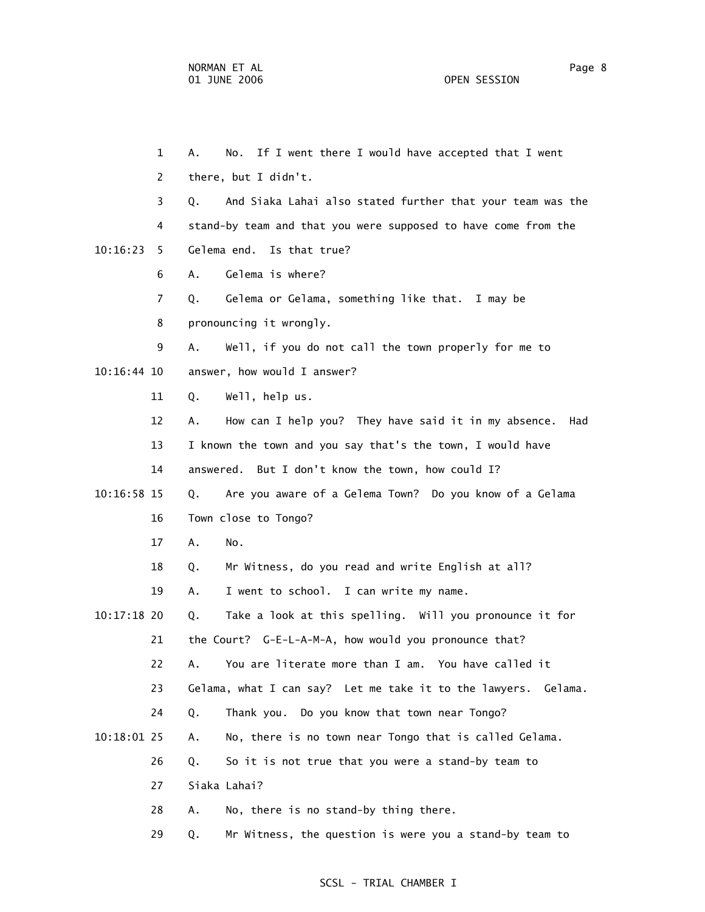1 A. No. If I went there I would have accepted that I went 2 there, but I didn't. 3 Q. And Siaka Lahai also stated further that your team was the 4 stand-by team and that you were supposed to have come from the 10:16:23 5 Gelema end. Is that true? 6 A. Gelema is where? 7 Q. Gelema or Gelama, something like that. I may be 8 pronouncing it wrongly. 9 A. Well, if you do not call the town properly for me to 10:16:44 10 answer, how would I answer? 11 Q. Well, help us. 12 A. How can I help you? They have said it in my absence. Had 13 I known the town and you say that's the town, I would have 14 answered. But I don't know the town, how could I? 10:16:58 15 Q. Are you aware of a Gelema Town? Do you know of a Gelama 16 Town close to Tongo? 17 A. No. 18 Q. Mr Witness, do you read and write English at all? 19 A. I went to school. I can write my name. 10:17:18 20 Q. Take a look at this spelling. Will you pronounce it for 21 the Court? G-E-L-A-M-A, how would you pronounce that? 22 A. You are literate more than I am. You have called it 23 Gelama, what I can say? Let me take it to the lawyers. Gelama. 24 Q. Thank you. Do you know that town near Tongo? 10:18:01 25 A. No, there is no town near Tongo that is called Gelama. 26 Q. So it is not true that you were a stand-by team to 27 Siaka Lahai? 28 A. No, there is no stand-by thing there.

# SCSL - TRIAL CHAMBER I

29 Q. Mr Witness, the question is were you a stand-by team to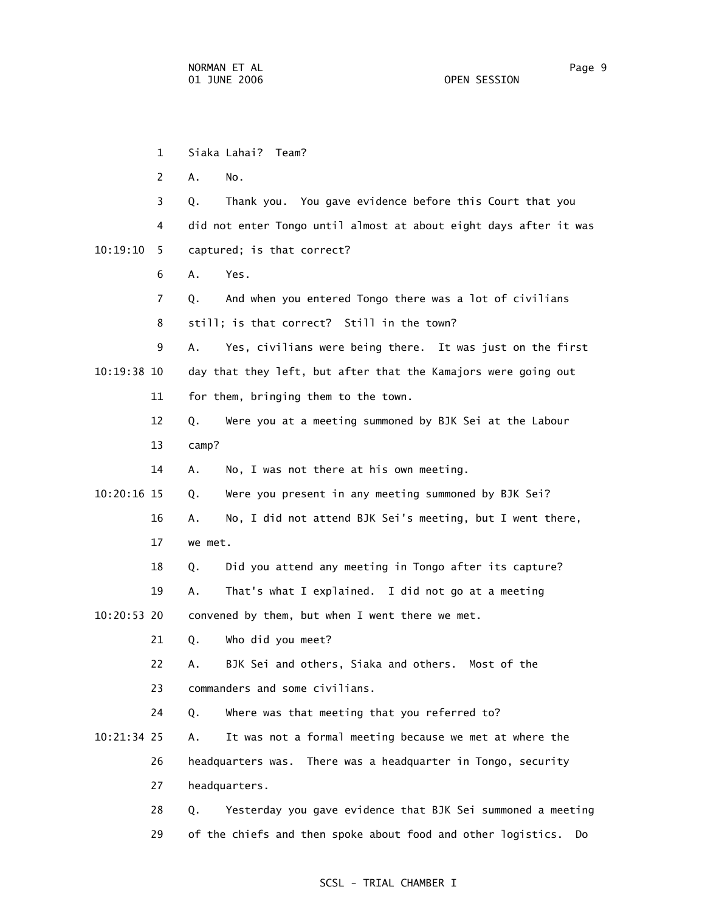1 Siaka Lahai? Team? 2 A. No. 3 Q. Thank you. You gave evidence before this Court that you 4 did not enter Tongo until almost at about eight days after it was 10:19:10 5 captured; is that correct? 6 A. Yes. 7 Q. And when you entered Tongo there was a lot of civilians 8 still; is that correct? Still in the town? 9 A. Yes, civilians were being there. It was just on the first 10:19:38 10 day that they left, but after that the Kamajors were going out 11 for them, bringing them to the town. 12 Q. Were you at a meeting summoned by BJK Sei at the Labour 13 camp? 14 A. No, I was not there at his own meeting. 10:20:16 15 Q. Were you present in any meeting summoned by BJK Sei? 16 A. No, I did not attend BJK Sei's meeting, but I went there, 17 we met. 18 Q. Did you attend any meeting in Tongo after its capture? 19 A. That's what I explained. I did not go at a meeting 10:20:53 20 convened by them, but when I went there we met. 21 Q. Who did you meet? 22 A. BJK Sei and others, Siaka and others. Most of the 23 commanders and some civilians. 24 Q. Where was that meeting that you referred to? 10:21:34 25 A. It was not a formal meeting because we met at where the 26 headquarters was. There was a headquarter in Tongo, security 27 headquarters. 28 Q. Yesterday you gave evidence that BJK Sei summoned a meeting 29 of the chiefs and then spoke about food and other logistics. Do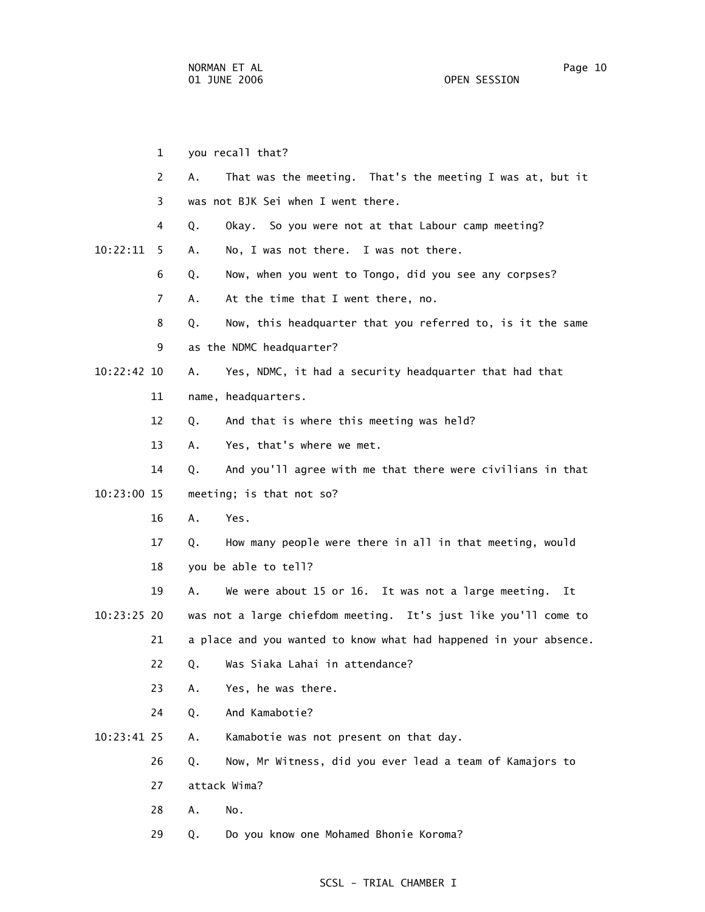1 you recall that? 2 A. That was the meeting. That's the meeting I was at, but it 3 was not BJK Sei when I went there. 4 Q. Okay. So you were not at that Labour camp meeting? 10:22:11 5 A. No, I was not there. I was not there. 6 Q. Now, when you went to Tongo, did you see any corpses? 7 A. At the time that I went there, no. 8 Q. Now, this headquarter that you referred to, is it the same 9 as the NDMC headquarter? 10:22:42 10 A. Yes, NDMC, it had a security headquarter that had that 11 name, headquarters. 12 Q. And that is where this meeting was held? 13 A. Yes, that's where we met. 14 Q. And you'll agree with me that there were civilians in that 10:23:00 15 meeting; is that not so? 16 A. Yes. 17 Q. How many people were there in all in that meeting, would 18 you be able to tell? 19 A. We were about 15 or 16. It was not a large meeting. It 10:23:25 20 was not a large chiefdom meeting. It's just like you'll come to 21 a place and you wanted to know what had happened in your absence. 22 Q. Was Siaka Lahai in attendance? 23 A. Yes, he was there. 24 Q. And Kamabotie? 10:23:41 25 A. Kamabotie was not present on that day. 26 Q. Now, Mr Witness, did you ever lead a team of Kamajors to 27 attack Wima? 28 A. No. 29 Q. Do you know one Mohamed Bhonie Koroma?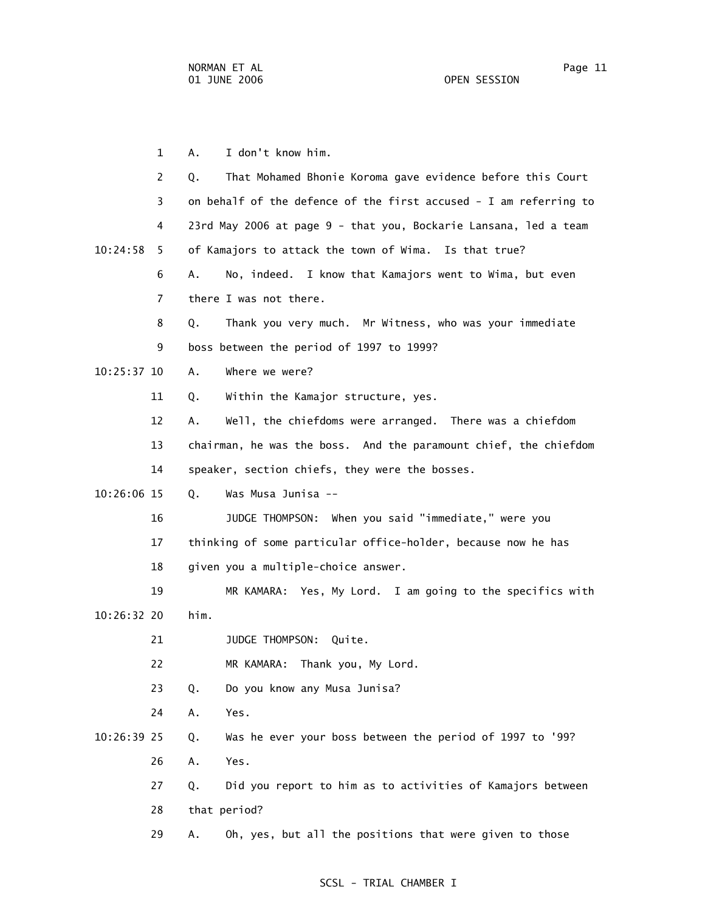1 A. I don't know him. 2 Q. That Mohamed Bhonie Koroma gave evidence before this Court 3 on behalf of the defence of the first accused - I am referring to 4 23rd May 2006 at page 9 - that you, Bockarie Lansana, led a team 10:24:58 5 of Kamajors to attack the town of Wima. Is that true? 6 A. No, indeed. I know that Kamajors went to Wima, but even 7 there I was not there. 8 Q. Thank you very much. Mr Witness, who was your immediate 9 boss between the period of 1997 to 1999? 10:25:37 10 A. Where we were? 11 Q. Within the Kamajor structure, yes. 12 A. Well, the chiefdoms were arranged. There was a chiefdom 13 chairman, he was the boss. And the paramount chief, the chiefdom 14 speaker, section chiefs, they were the bosses. 10:26:06 15 Q. Was Musa Junisa -- 16 JUDGE THOMPSON: When you said "immediate," were you 17 thinking of some particular office-holder, because now he has 18 given you a multiple-choice answer. 19 MR KAMARA: Yes, My Lord. I am going to the specifics with 10:26:32 20 him. 21 JUDGE THOMPSON: Quite. 22 MR KAMARA: Thank you, My Lord. 23 Q. Do you know any Musa Junisa? 24 A. Yes. 10:26:39 25 Q. Was he ever your boss between the period of 1997 to '99? 26 A. Yes. 27 Q. Did you report to him as to activities of Kamajors between 28 that period? 29 A. Oh, yes, but all the positions that were given to those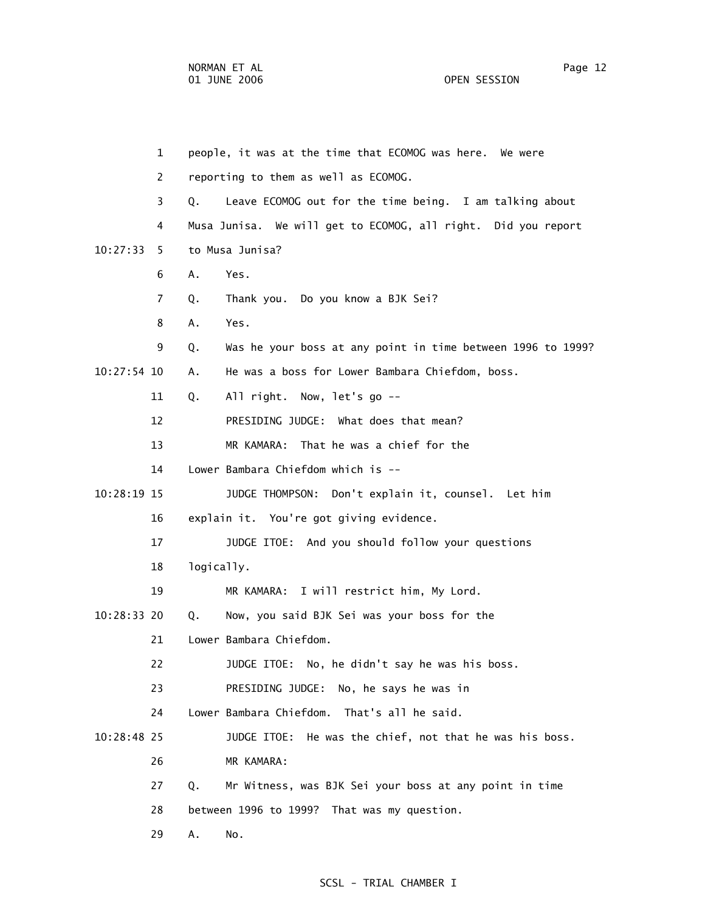|               | $\mathbf{1}$   | people, it was at the time that ECOMOG was here. We were          |
|---------------|----------------|-------------------------------------------------------------------|
|               | 2              | reporting to them as well as ECOMOG.                              |
|               | 3              | Leave ECOMOG out for the time being. I am talking about<br>Q.     |
|               | 4              | Musa Junisa. We will get to ECOMOG, all right. Did you report     |
| 10:27:33      | 5.             | to Musa Junisa?                                                   |
|               | 6              | Α.<br>Yes.                                                        |
|               | $\overline{7}$ | Thank you. Do you know a BJK Sei?<br>Q.                           |
|               | 8              | Α.<br>Yes.                                                        |
|               | 9              | Was he your boss at any point in time between 1996 to 1999?<br>Q. |
| $10:27:54$ 10 |                | He was a boss for Lower Bambara Chiefdom, boss.<br>А.             |
|               | 11             | All right. Now, let's go --<br>Q.                                 |
|               | 12             | PRESIDING JUDGE: What does that mean?                             |
|               | 13             | MR KAMARA:<br>That he was a chief for the                         |
|               | 14             | Lower Bambara Chiefdom which is --                                |
| 10:28:19 15   |                | JUDGE THOMPSON: Don't explain it, counsel. Let him                |
|               | 16             | explain it. You're got giving evidence.                           |
|               | 17             | JUDGE ITOE: And you should follow your questions                  |
|               | 18             | logically.                                                        |
|               | 19             | MR KAMARA: I will restrict him, My Lord.                          |
| 10:28:33 20   |                | Now, you said BJK Sei was your boss for the<br>Q.                 |
|               | 21             | Lower Bambara Chiefdom.                                           |
|               | 22             | JUDGE ITOE: No, he didn't say he was his boss.                    |
|               | 23             | PRESIDING JUDGE: No, he says he was in                            |
|               | 24             | Lower Bambara Chiefdom. That's all he said.                       |
| 10:28:48 25   |                | JUDGE ITOE: He was the chief, not that he was his boss.           |
|               | 26             | MR KAMARA:                                                        |
|               | 27             | Mr Witness, was BJK Sei your boss at any point in time<br>Q.      |
|               | 28             | between 1996 to 1999? That was my question.                       |
|               | 29             | Α.<br>No.                                                         |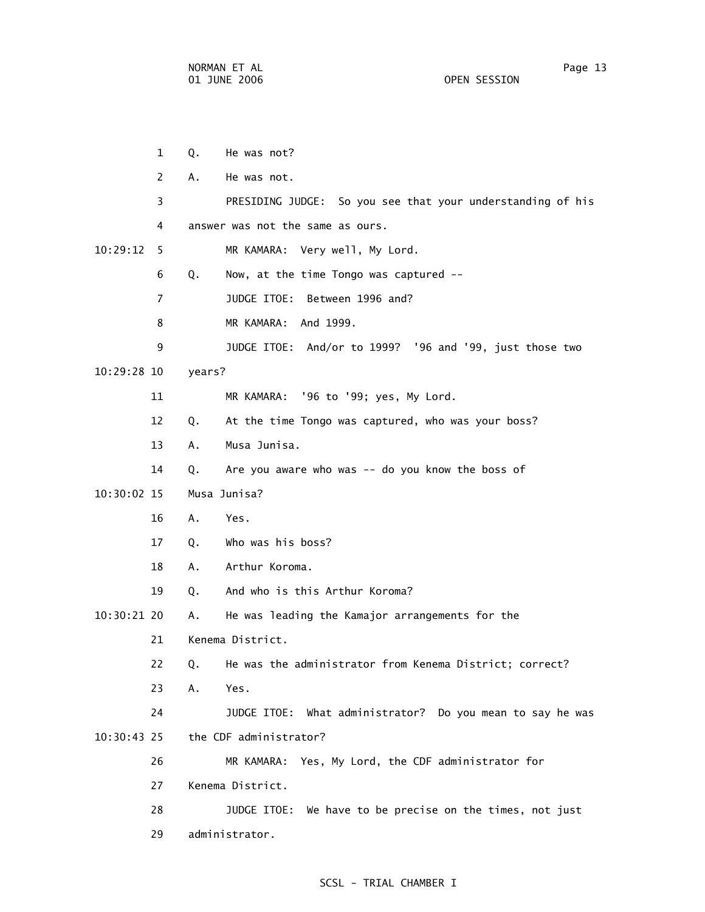|             | 1  | Q.     | He was not?                                                |
|-------------|----|--------|------------------------------------------------------------|
|             | 2  | A.     | He was not.                                                |
|             | 3  |        | PRESIDING JUDGE: So you see that your understanding of his |
|             | 4  |        | answer was not the same as ours.                           |
| 10:29:12    | 5  |        | MR KAMARA: Very well, My Lord.                             |
|             | 6  | Q.     | Now, at the time Tongo was captured --                     |
|             | 7  |        | JUDGE ITOE: Between 1996 and?                              |
|             | 8  |        | MR KAMARA: And 1999.                                       |
|             | 9  |        | JUDGE ITOE: And/or to 1999? '96 and '99, just those two    |
| 10:29:28 10 |    | years? |                                                            |
|             | 11 |        | MR KAMARA: '96 to '99; yes, My Lord.                       |
|             | 12 | Q.     | At the time Tongo was captured, who was your boss?         |
|             | 13 | А.     | Musa Junisa.                                               |
|             | 14 | Q.     | Are you aware who was -- do you know the boss of           |
| 10:30:02 15 |    |        | Musa Junisa?                                               |
|             | 16 | А.     | Yes.                                                       |
|             | 17 | Q.     | Who was his boss?                                          |
|             | 18 | А.     | Arthur Koroma.                                             |
|             | 19 | Q.     | And who is this Arthur Koroma?                             |
| 10:30:21 20 |    | Α.     | He was leading the Kamajor arrangements for the            |
|             | 21 |        | Kenema District.                                           |
|             | 22 |        | Q. He was the administrator from Kenema District; correct? |
|             | 23 | Α.     | Yes.                                                       |
|             | 24 |        | JUDGE ITOE: What administrator? Do you mean to say he was  |
| 10:30:43 25 |    |        | the CDF administrator?                                     |
|             | 26 |        | MR KAMARA: Yes, My Lord, the CDF administrator for         |
|             | 27 |        | Kenema District.                                           |
|             | 28 |        | JUDGE ITOE: We have to be precise on the times, not just   |
|             | 29 |        | administrator.                                             |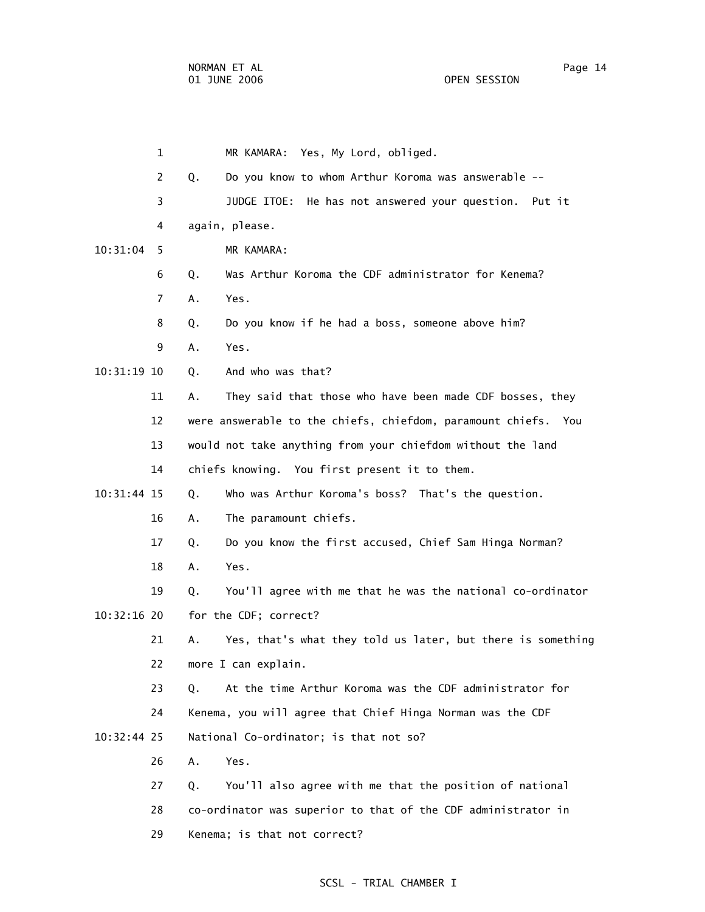|               | $\mathbf 1$ | MR KAMARA: Yes, My Lord, obliged.                                 |
|---------------|-------------|-------------------------------------------------------------------|
|               | 2           | Do you know to whom Arthur Koroma was answerable --<br>Q.         |
|               | 3           | JUDGE ITOE: He has not answered your question. Put it             |
|               | 4           | again, please.                                                    |
| 10:31:04      | 5           | MR KAMARA:                                                        |
|               | 6           | Was Arthur Koroma the CDF administrator for Kenema?<br>Q.         |
|               | 7           | Yes.<br>Α.                                                        |
|               | 8           | Do you know if he had a boss, someone above him?<br>Q.            |
|               | 9           | Yes.<br>Α.                                                        |
| 10:31:19 10   |             | And who was that?<br>Q.                                           |
|               | 11          | They said that those who have been made CDF bosses, they<br>А.    |
|               | 12          | were answerable to the chiefs, chiefdom, paramount chiefs. You    |
|               | 13          | would not take anything from your chiefdom without the land       |
|               | 14          | chiefs knowing. You first present it to them.                     |
| 10:31:44 15   |             | Who was Arthur Koroma's boss? That's the question.<br>Q.          |
|               | 16          | The paramount chiefs.<br>Α.                                       |
|               | 17          | Do you know the first accused, Chief Sam Hinga Norman?<br>Q.      |
|               | 18          | Α.<br>Yes.                                                        |
|               | 19          | You'll agree with me that he was the national co-ordinator<br>Q.  |
| $10:32:16$ 20 |             | for the CDF; correct?                                             |
|               | 21          | Yes, that's what they told us later, but there is something<br>Α. |
|               | 22          | more I can explain.                                               |
|               | 23          | At the time Arthur Koroma was the CDF administrator for<br>Q.     |
|               | 24          | Kenema, you will agree that Chief Hinga Norman was the CDF        |
| $10:32:44$ 25 |             | National Co-ordinator; is that not so?                            |
|               | 26          | Α.<br>Yes.                                                        |
|               | 27          | You'll also agree with me that the position of national<br>Q.     |
|               | 28          | co-ordinator was superior to that of the CDF administrator in     |
|               | 29          | Kenema; is that not correct?                                      |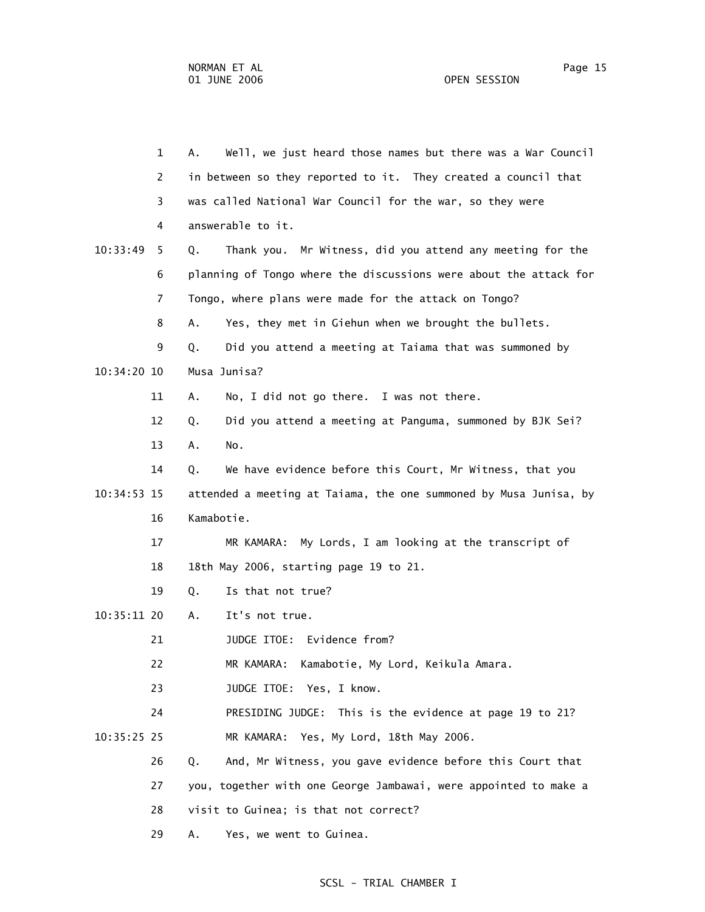1 A. Well, we just heard those names but there was a War Council 2 in between so they reported to it. They created a council that 3 was called National War Council for the war, so they were 4 answerable to it. 10:33:49 5 Q. Thank you. Mr Witness, did you attend any meeting for the 6 planning of Tongo where the discussions were about the attack for 7 Tongo, where plans were made for the attack on Tongo? 8 A. Yes, they met in Giehun when we brought the bullets. 9 Q. Did you attend a meeting at Taiama that was summoned by 10:34:20 10 Musa Junisa? 11 A. No, I did not go there. I was not there. 12 Q. Did you attend a meeting at Panguma, summoned by BJK Sei? 13 A. No. 14 Q. We have evidence before this Court, Mr Witness, that you 10:34:53 15 attended a meeting at Taiama, the one summoned by Musa Junisa, by 16 Kamabotie. 17 MR KAMARA: My Lords, I am looking at the transcript of 18 18th May 2006, starting page 19 to 21. 19 Q. Is that not true? 10:35:11 20 A. It's not true. 21 JUDGE ITOE: Evidence from? 22 MR KAMARA: Kamabotie, My Lord, Keikula Amara. 23 JUDGE ITOE: Yes, I know. 24 PRESIDING JUDGE: This is the evidence at page 19 to 21? 10:35:25 25 MR KAMARA: Yes, My Lord, 18th May 2006. 26 Q. And, Mr Witness, you gave evidence before this Court that 27 you, together with one George Jambawai, were appointed to make a 28 visit to Guinea; is that not correct? 29 A. Yes, we went to Guinea.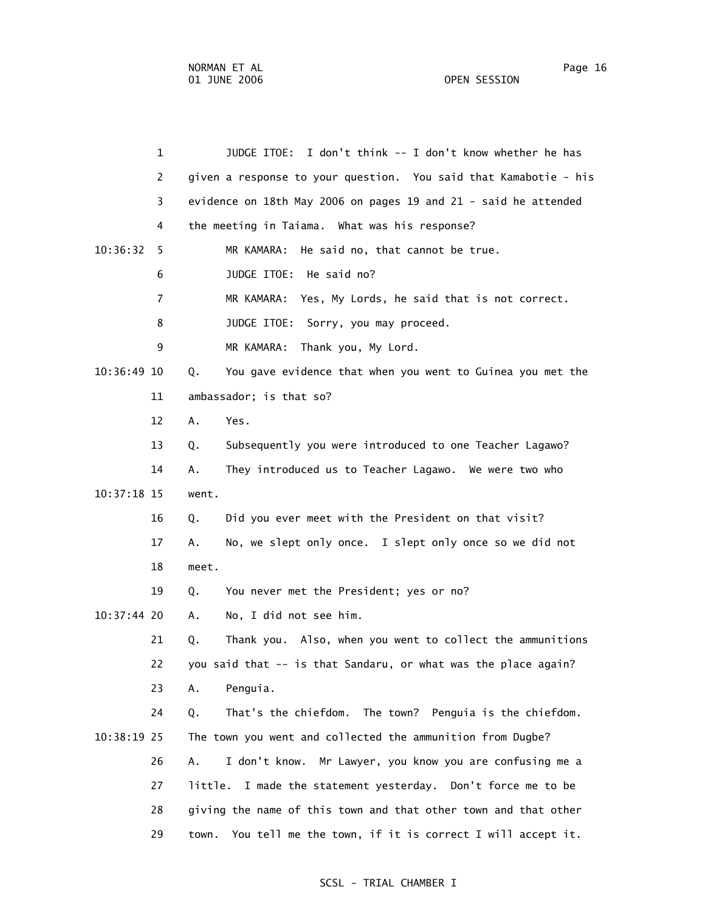1 JUDGE ITOE: I don't think -- I don't know whether he has 2 given a response to your question. You said that Kamabotie - his 3 evidence on 18th May 2006 on pages 19 and 21 - said he attended 4 the meeting in Taiama. What was his response? 10:36:32 5 MR KAMARA: He said no, that cannot be true. 6 JUDGE ITOE: He said no? 7 MR KAMARA: Yes, My Lords, he said that is not correct. 8 JUDGE ITOE: Sorry, you may proceed. 9 MR KAMARA: Thank you, My Lord. 10:36:49 10 Q. You gave evidence that when you went to Guinea you met the 11 ambassador; is that so? 12 A. Yes. 13 Q. Subsequently you were introduced to one Teacher Lagawo? 14 A. They introduced us to Teacher Lagawo. We were two who 10:37:18 15 went. 16 Q. Did you ever meet with the President on that visit? 17 A. No, we slept only once. I slept only once so we did not 18 meet. 19 Q. You never met the President; yes or no? 10:37:44 20 A. No, I did not see him. 21 Q. Thank you. Also, when you went to collect the ammunitions 22 you said that -- is that Sandaru, or what was the place again? 23 A. Penguia. 24 Q. That's the chiefdom. The town? Penguia is the chiefdom. 10:38:19 25 The town you went and collected the ammunition from Dugbe? 26 A. I don't know. Mr Lawyer, you know you are confusing me a 27 little. I made the statement yesterday. Don't force me to be 28 giving the name of this town and that other town and that other 29 town. You tell me the town, if it is correct I will accept it.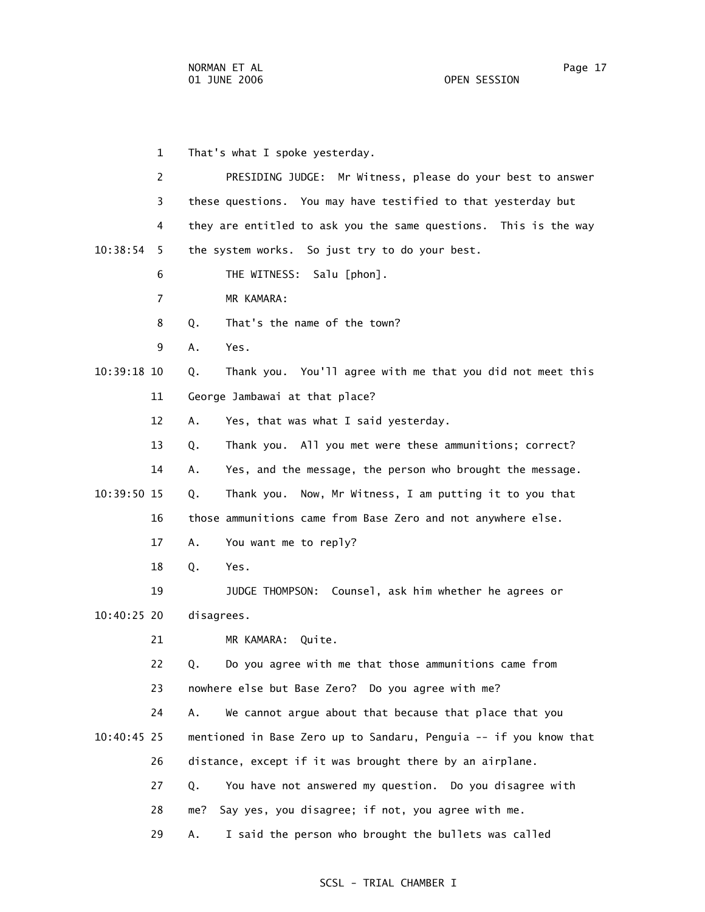1 That's what I spoke yesterday. 2 PRESIDING JUDGE: Mr Witness, please do your best to answer 3 these questions. You may have testified to that yesterday but 4 they are entitled to ask you the same questions. This is the way 10:38:54 5 the system works. So just try to do your best. 6 THE WITNESS: Salu [phon]. 7 MR KAMARA: 8 Q. That's the name of the town? 9 A. Yes. 10:39:18 10 Q. Thank you. You'll agree with me that you did not meet this 11 George Jambawai at that place? 12 A. Yes, that was what I said yesterday. 13 Q. Thank you. All you met were these ammunitions; correct? 14 A. Yes, and the message, the person who brought the message. 10:39:50 15 Q. Thank you. Now, Mr Witness, I am putting it to you that 16 those ammunitions came from Base Zero and not anywhere else. 17 A. You want me to reply? 18 Q. Yes. 19 JUDGE THOMPSON: Counsel, ask him whether he agrees or 10:40:25 20 disagrees. 21 MR KAMARA: Quite. 22 Q. Do you agree with me that those ammunitions came from 23 nowhere else but Base Zero? Do you agree with me? 24 A. We cannot argue about that because that place that you 10:40:45 25 mentioned in Base Zero up to Sandaru, Penguia -- if you know that 26 distance, except if it was brought there by an airplane. 27 Q. You have not answered my question. Do you disagree with 28 me? Say yes, you disagree; if not, you agree with me. 29 A. I said the person who brought the bullets was called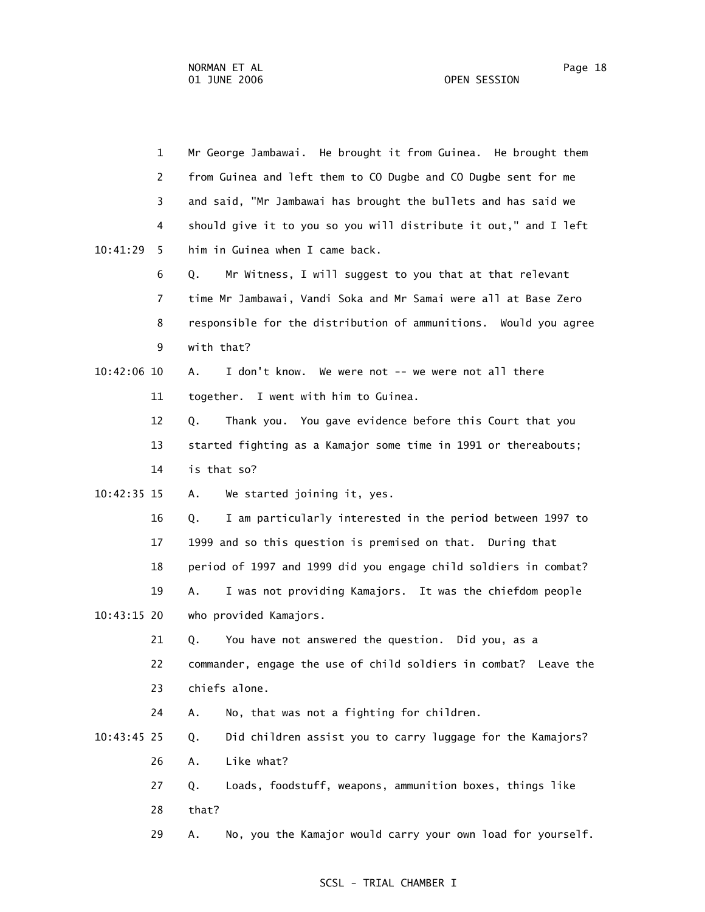|               | $\mathbf{1}$   | Mr George Jambawai. He brought it from Guinea. He brought them    |
|---------------|----------------|-------------------------------------------------------------------|
|               | $\overline{2}$ | from Guinea and left them to CO Dugbe and CO Dugbe sent for me    |
|               | 3              | and said, "Mr Jambawai has brought the bullets and has said we    |
|               | 4              | should give it to you so you will distribute it out," and I left  |
| 10:41:29      | 5              | him in Guinea when I came back.                                   |
|               | 6              | Mr Witness, I will suggest to you that at that relevant<br>Q.     |
|               | $\overline{7}$ | time Mr Jambawai, Vandi Soka and Mr Samai were all at Base Zero   |
|               | 8              | responsible for the distribution of ammunitions. Would you agree  |
|               | 9              | with that?                                                        |
| $10:42:06$ 10 |                | Α.<br>I don't know. We were not -- we were not all there          |
|               | 11             | together. I went with him to Guinea.                              |
|               | 12             | Thank you. You gave evidence before this Court that you<br>Q.     |
|               | 13             | started fighting as a Kamajor some time in 1991 or thereabouts;   |
|               | 14             | is that so?                                                       |
| $10:42:35$ 15 |                | We started joining it, yes.<br>Α.                                 |
|               | 16             | I am particularly interested in the period between 1997 to<br>Q.  |
|               | 17             | 1999 and so this question is premised on that. During that        |
|               | 18             | period of 1997 and 1999 did you engage child soldiers in combat?  |
|               | 19             | I was not providing Kamajors. It was the chiefdom people<br>Α.    |
| $10:43:15$ 20 |                | who provided Kamajors.                                            |
|               | 21             | You have not answered the question. Did you, as a<br>Q.           |
|               | 22             | commander, engage the use of child soldiers in combat? Leave the  |
|               | 23             | chiefs alone.                                                     |
|               | 24             | No, that was not a fighting for children.<br>Α.                   |
| $10:43:45$ 25 |                | Did children assist you to carry luggage for the Kamajors?<br>Q.  |
|               | 26             | Like what?<br>Α.                                                  |
|               | 27             | Loads, foodstuff, weapons, ammunition boxes, things like<br>Q.    |
|               | 28             | that?                                                             |
|               | 29             | No, you the Kamajor would carry your own load for yourself.<br>Α. |
|               |                |                                                                   |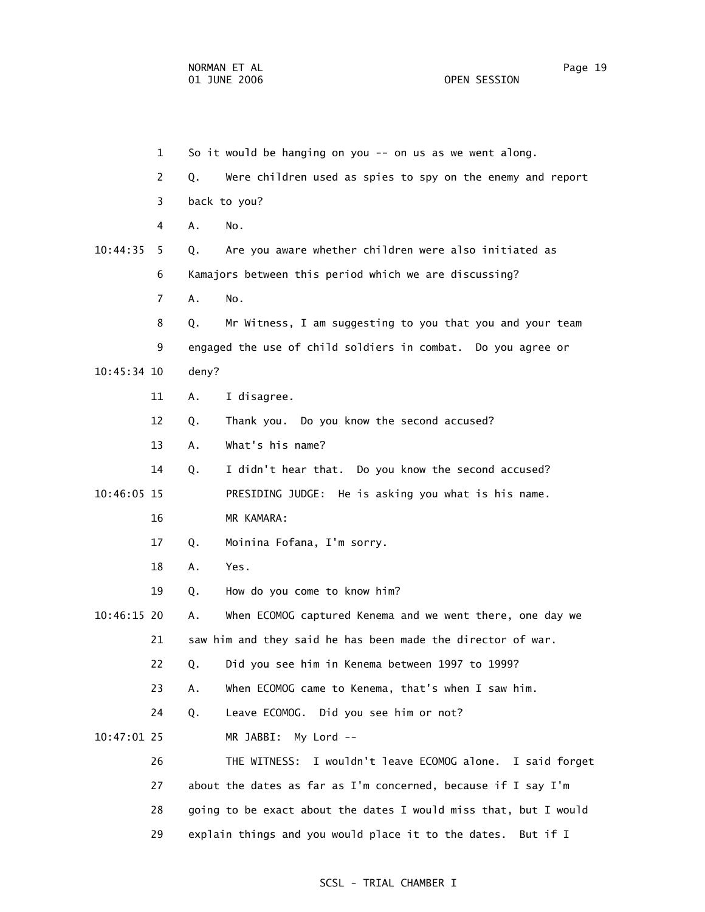1 So it would be hanging on you -- on us as we went along. 2 Q. Were children used as spies to spy on the enemy and report 3 back to you? 4 A. No. 10:44:35 5 Q. Are you aware whether children were also initiated as 6 Kamajors between this period which we are discussing? 7 A. No. 8 Q. Mr Witness, I am suggesting to you that you and your team 9 engaged the use of child soldiers in combat. Do you agree or 10:45:34 10 deny? 11 A. I disagree. 12 Q. Thank you. Do you know the second accused? 13 A. What's his name? 14 Q. I didn't hear that. Do you know the second accused? 10:46:05 15 PRESIDING JUDGE: He is asking you what is his name. 16 MR KAMARA: 17 Q. Moinina Fofana, I'm sorry. 18 A. Yes. 19 Q. How do you come to know him? 10:46:15 20 A. When ECOMOG captured Kenema and we went there, one day we 21 saw him and they said he has been made the director of war. 22 Q. Did you see him in Kenema between 1997 to 1999? 23 A. When ECOMOG came to Kenema, that's when I saw him. 24 Q. Leave ECOMOG. Did you see him or not? 10:47:01 25 MR JABBI: My Lord -- 26 THE WITNESS: I wouldn't leave ECOMOG alone. I said forget 27 about the dates as far as I'm concerned, because if I say I'm 28 going to be exact about the dates I would miss that, but I would 29 explain things and you would place it to the dates. But if I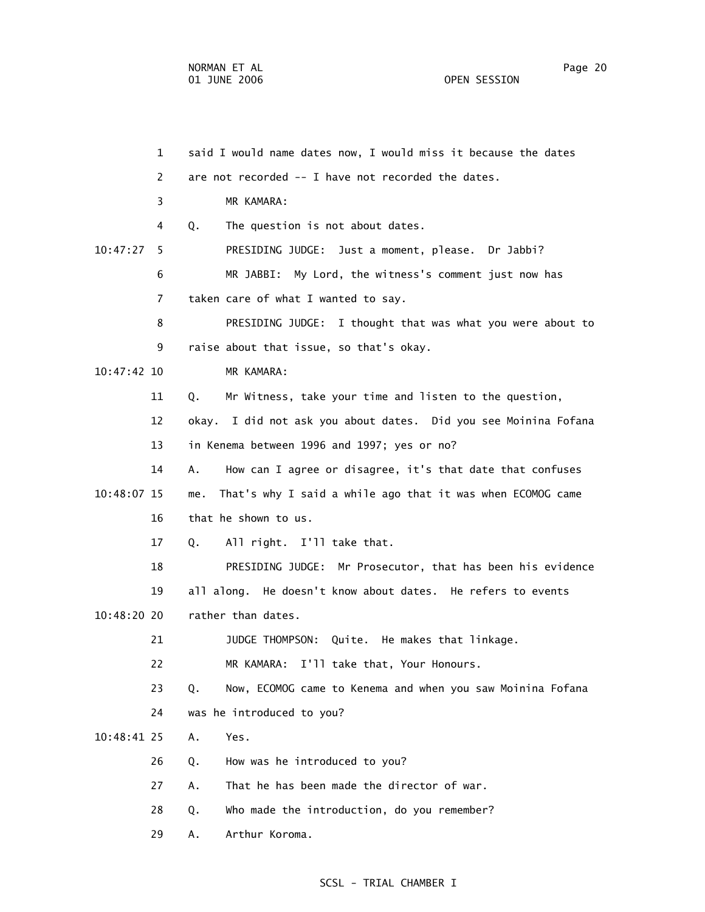|             | $\mathbf{1}$ | said I would name dates now, I would miss it because the dates    |
|-------------|--------------|-------------------------------------------------------------------|
|             | 2            | are not recorded -- I have not recorded the dates.                |
|             | 3            | MR KAMARA:                                                        |
|             | 4            | The question is not about dates.<br>Q.                            |
| 10:47:27    | 5            | PRESIDING JUDGE: Just a moment, please. Dr Jabbi?                 |
|             | 6            | MR JABBI: My Lord, the witness's comment just now has             |
|             | 7            | taken care of what I wanted to say.                               |
|             | 8            | PRESIDING JUDGE: I thought that was what you were about to        |
|             | 9            | raise about that issue, so that's okay.                           |
| 10:47:42 10 |              | MR KAMARA:                                                        |
|             | 11           | Q.<br>Mr Witness, take your time and listen to the question,      |
|             | 12           | okay. I did not ask you about dates. Did you see Moinina Fofana   |
|             | 13           | in Kenema between 1996 and 1997; yes or no?                       |
|             | 14           | How can I agree or disagree, it's that date that confuses<br>Α.   |
| 10:48:07 15 |              | That's why I said a while ago that it was when ECOMOG came<br>me. |
|             | 16           | that he shown to us.                                              |
|             | 17           | All right. I'll take that.<br>Q.                                  |
|             | 18           | PRESIDING JUDGE: Mr Prosecutor, that has been his evidence        |
|             | 19           | all along. He doesn't know about dates. He refers to events       |
| 10:48:20 20 |              | rather than dates.                                                |
|             | 21           | Quite. He makes that linkage.<br>JUDGE THOMPSON:                  |
|             | 22           | MR KAMARA: I'll take that, Your Honours.                          |
|             | 23           | Now, ECOMOG came to Kenema and when you saw Moinina Fofana<br>Q.  |
|             | 24           | was he introduced to you?                                         |
| 10:48:41 25 |              | Yes.<br>Α.                                                        |
|             | 26           | How was he introduced to you?<br>Q.                               |
|             | 27           | That he has been made the director of war.<br>Α.                  |
|             | 28           | Who made the introduction, do you remember?<br>Q.                 |
|             | 29           | Arthur Koroma.<br>Α.                                              |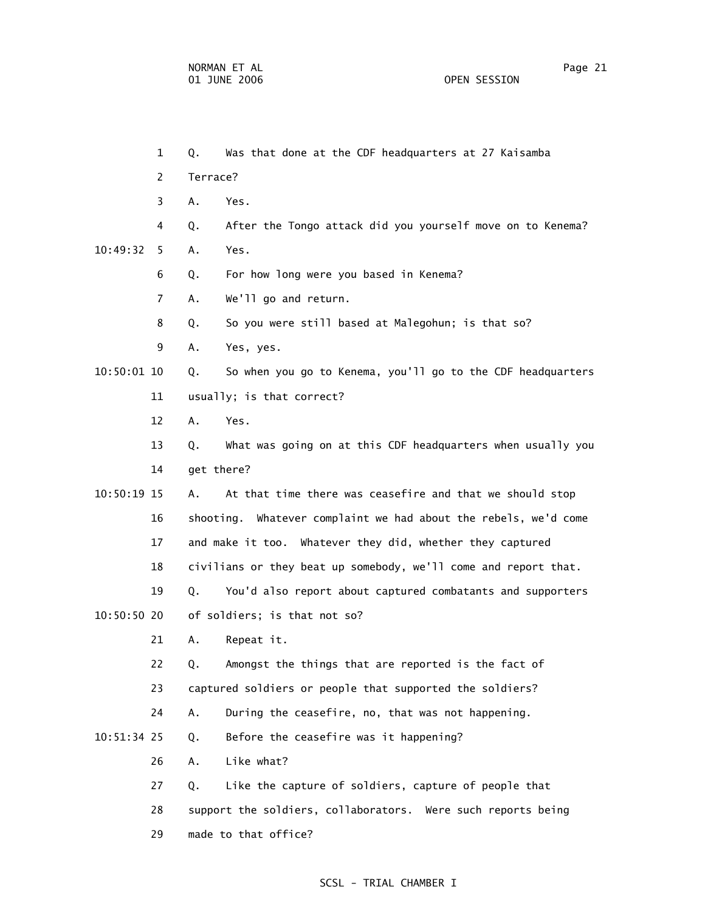|             | $\mathbf{1}$ | Q.         | Was that done at the CDF headquarters at 27 Kaisamba            |
|-------------|--------------|------------|-----------------------------------------------------------------|
|             | 2            | Terrace?   |                                                                 |
|             | 3            | Α.         | Yes.                                                            |
|             | 4            | Q.         | After the Tongo attack did you yourself move on to Kenema?      |
| 10:49:32    | 5.           | Α.         | Yes.                                                            |
|             | 6            | Q.         | For how long were you based in Kenema?                          |
|             | 7            | Α.         | We'll go and return.                                            |
|             | 8            | Q.         | So you were still based at Malegohun; is that so?               |
|             | 9            | Α.         | Yes, yes.                                                       |
| 10:50:01 10 |              | Q.         | So when you go to Kenema, you'll go to the CDF headquarters     |
|             | 11           |            | usually; is that correct?                                       |
|             | 12           | A.         | Yes.                                                            |
|             | 13           | Q.         | What was going on at this CDF headquarters when usually you     |
|             | 14           | get there? |                                                                 |
| 10:50:19 15 |              | Α.         | At that time there was ceasefire and that we should stop        |
|             | 16           |            | shooting. Whatever complaint we had about the rebels, we'd come |
|             | 17           |            | and make it too. Whatever they did, whether they captured       |
|             | 18           |            | civilians or they beat up somebody, we'll come and report that. |
|             | 19           | Q.         | You'd also report about captured combatants and supporters      |
| 10:50:50 20 |              |            | of soldiers; is that not so?                                    |
|             | 21           | А.         | Repeat it.                                                      |
|             | 22           | Q.         | Amongst the things that are reported is the fact of             |
|             | 23           |            | captured soldiers or people that supported the soldiers?        |
|             | 24           | Α.         | During the ceasefire, no, that was not happening.               |
| 10:51:34 25 |              | Q.         | Before the ceasefire was it happening?                          |
|             | 26           | Α.         | Like what?                                                      |
|             | 27           | Q.         | Like the capture of soldiers, capture of people that            |
|             | 28           |            | support the soldiers, collaborators. Were such reports being    |
|             | 29           |            | made to that office?                                            |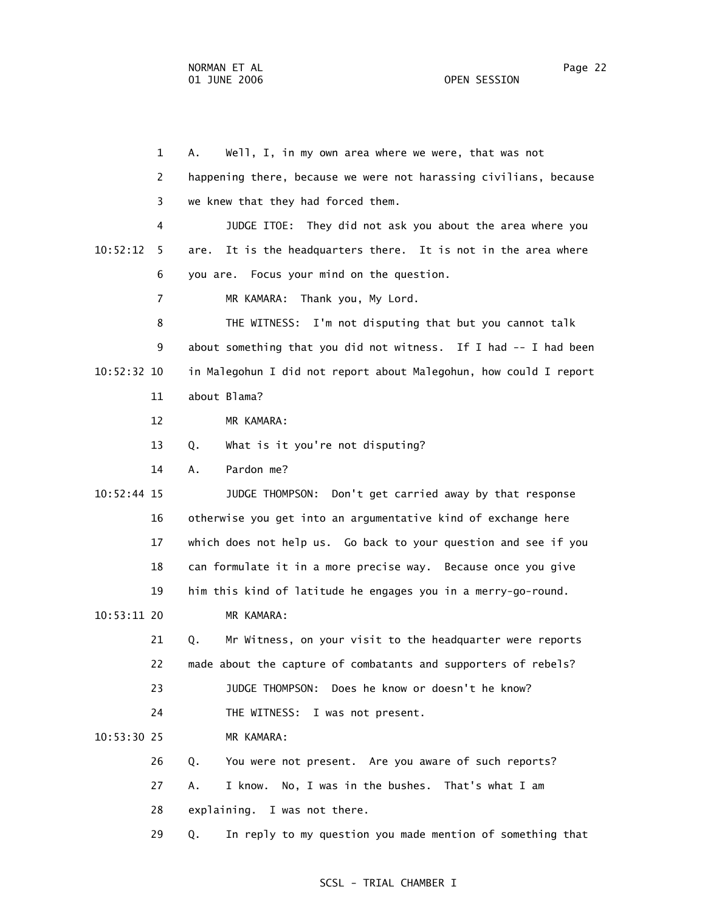1 A. Well, I, in my own area where we were, that was not 2 happening there, because we were not harassing civilians, because 3 we knew that they had forced them. 4 JUDGE ITOE: They did not ask you about the area where you 10:52:12 5 are. It is the headquarters there. It is not in the area where 6 you are. Focus your mind on the question. 7 MR KAMARA: Thank you, My Lord. 8 THE WITNESS: I'm not disputing that but you cannot talk 9 about something that you did not witness. If I had -- I had been 10:52:32 10 in Malegohun I did not report about Malegohun, how could I report 11 about Blama? 12 MR KAMARA: 13 Q. What is it you're not disputing? 14 A. Pardon me? 10:52:44 15 JUDGE THOMPSON: Don't get carried away by that response 16 otherwise you get into an argumentative kind of exchange here 17 which does not help us. Go back to your question and see if you 18 can formulate it in a more precise way. Because once you give 19 him this kind of latitude he engages you in a merry-go-round. 10:53:11 20 MR KAMARA: 21 Q. Mr Witness, on your visit to the headquarter were reports 22 made about the capture of combatants and supporters of rebels? 23 JUDGE THOMPSON: Does he know or doesn't he know? 24 THE WITNESS: I was not present. 10:53:30 25 MR KAMARA: 26 Q. You were not present. Are you aware of such reports? 27 A. I know. No, I was in the bushes. That's what I am 28 explaining. I was not there. 29 Q. In reply to my question you made mention of something that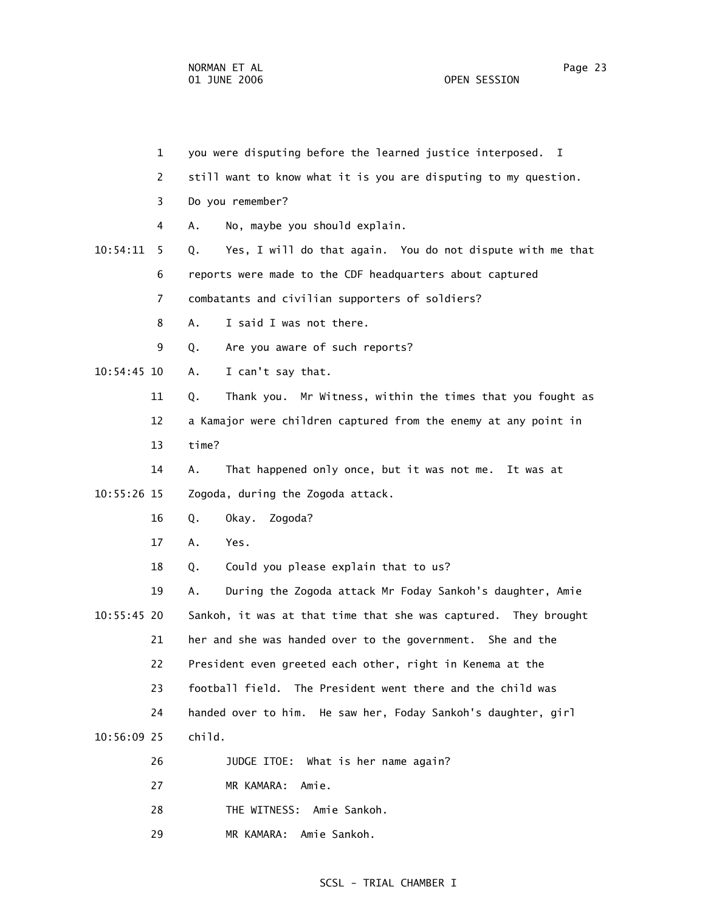|               | $\mathbf 1$ | you were disputing before the learned justice interposed.<br><b>I</b> |
|---------------|-------------|-----------------------------------------------------------------------|
|               | 2           | still want to know what it is you are disputing to my question.       |
|               | 3           | Do you remember?                                                      |
|               | 4           | No, maybe you should explain.<br>Α.                                   |
| 10:54:11      | 5           | Yes, I will do that again. You do not dispute with me that<br>Q.      |
|               | 6           | reports were made to the CDF headquarters about captured              |
|               | 7           | combatants and civilian supporters of soldiers?                       |
|               | 8           | I said I was not there.<br>Α.                                         |
|               | 9           | Are you aware of such reports?<br>Q.                                  |
| $10:54:45$ 10 |             | I can't say that.<br>Α.                                               |
|               | 11          | Thank you. Mr Witness, within the times that you fought as<br>Q.      |
|               | 12          | a Kamajor were children captured from the enemy at any point in       |
|               | 13          | time?                                                                 |
|               | 14          | That happened only once, but it was not me.<br>Α.<br>It was at        |
| 10:55:26 15   |             | Zogoda, during the Zogoda attack.                                     |
|               | 16          | Q.<br>Zogoda?<br>Okay.                                                |
|               | 17          | Α.<br>Yes.                                                            |
|               | 18          | Could you please explain that to us?<br>Q.                            |
|               | 19          | During the Zogoda attack Mr Foday Sankoh's daughter, Amie<br>Α.       |
| $10:55:45$ 20 |             | Sankoh, it was at that time that she was captured. They brought       |
|               | 21          | her and she was handed over to the government. She and the            |
|               | 22          | President even greeted each other, right in Kenema at the             |
|               | 23          | football field. The President went there and the child was            |
|               | 24          | handed over to him. He saw her, Foday Sankoh's daughter, girl         |
| 10:56:09 25   |             | child.                                                                |
|               | 26          | JUDGE ITOE: What is her name again?                                   |
|               | 27          | MR KAMARA:<br>Amie.                                                   |
|               | 28          | THE WITNESS:<br>Amie Sankoh.                                          |
|               |             |                                                                       |

29 MR KAMARA: Amie Sankoh.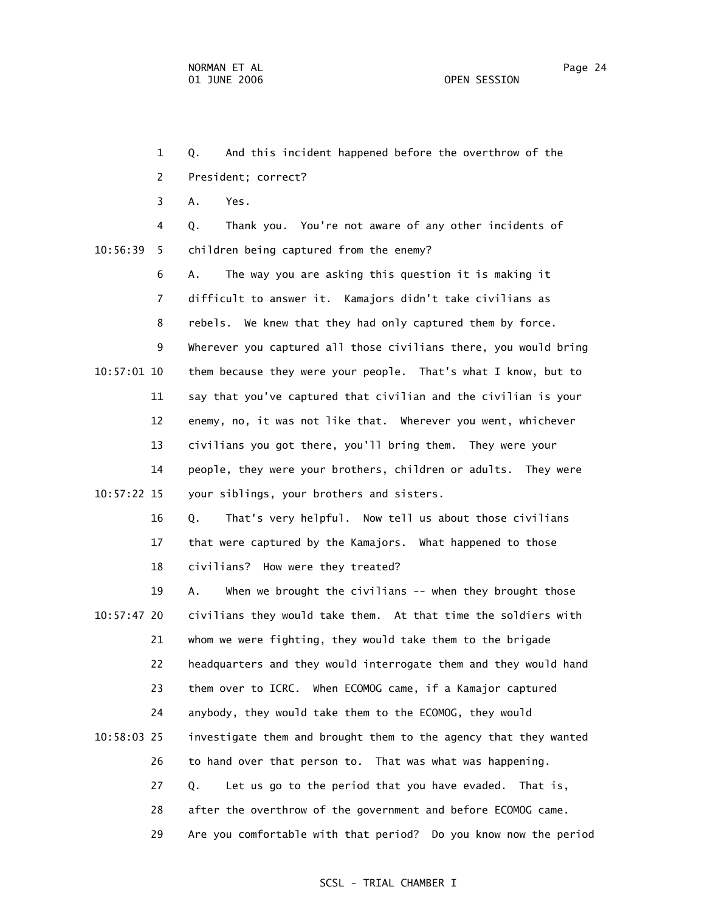1 Q. And this incident happened before the overthrow of the 2 President; correct? 3 A. Yes. 4 Q. Thank you. You're not aware of any other incidents of 10:56:39 5 children being captured from the enemy? 6 A. The way you are asking this question it is making it 7 difficult to answer it. Kamajors didn't take civilians as 8 rebels. We knew that they had only captured them by force. 9 Wherever you captured all those civilians there, you would bring 10:57:01 10 them because they were your people. That's what I know, but to 11 say that you've captured that civilian and the civilian is your 12 enemy, no, it was not like that. Wherever you went, whichever 13 civilians you got there, you'll bring them. They were your 14 people, they were your brothers, children or adults. They were 10:57:22 15 your siblings, your brothers and sisters. 16 Q. That's very helpful. Now tell us about those civilians 17 that were captured by the Kamajors. What happened to those 18 civilians? How were they treated? 19 A. When we brought the civilians -- when they brought those 10:57:47 20 civilians they would take them. At that time the soldiers with 21 whom we were fighting, they would take them to the brigade 22 headquarters and they would interrogate them and they would hand 23 them over to ICRC. When ECOMOG came, if a Kamajor captured 24 anybody, they would take them to the ECOMOG, they would 10:58:03 25 investigate them and brought them to the agency that they wanted 26 to hand over that person to. That was what was happening. 27 Q. Let us go to the period that you have evaded. That is, 28 after the overthrow of the government and before ECOMOG came.

29 Are you comfortable with that period? Do you know now the period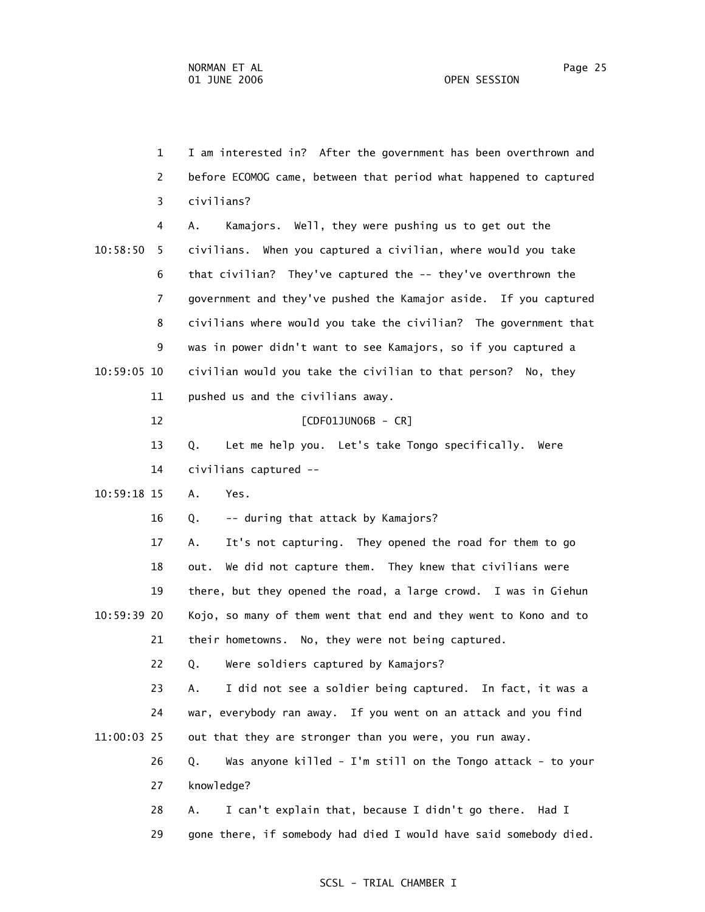1 I am interested in? After the government has been overthrown and 2 before ECOMOG came, between that period what happened to captured 3 civilians? 4 A. Kamajors. Well, they were pushing us to get out the 10:58:50 5 civilians. When you captured a civilian, where would you take 6 that civilian? They've captured the -- they've overthrown the 7 government and they've pushed the Kamajor aside. If you captured 8 civilians where would you take the civilian? The government that 9 was in power didn't want to see Kamajors, so if you captured a 10:59:05 10 civilian would you take the civilian to that person? No, they 11 pushed us and the civilians away. 12 [CDF01JUN06B - CR] 13 Q. Let me help you. Let's take Tongo specifically. Were 14 civilians captured -- 10:59:18 15 A. Yes. 16 Q. -- during that attack by Kamajors? 17 A. It's not capturing. They opened the road for them to go 18 out. We did not capture them. They knew that civilians were 19 there, but they opened the road, a large crowd. I was in Giehun 10:59:39 20 Kojo, so many of them went that end and they went to Kono and to 21 their hometowns. No, they were not being captured. 22 Q. Were soldiers captured by Kamajors? 23 A. I did not see a soldier being captured. In fact, it was a 24 war, everybody ran away. If you went on an attack and you find 11:00:03 25 out that they are stronger than you were, you run away. 26 Q. Was anyone killed - I'm still on the Tongo attack - to your 27 knowledge? 28 A. I can't explain that, because I didn't go there. Had I 29 gone there, if somebody had died I would have said somebody died.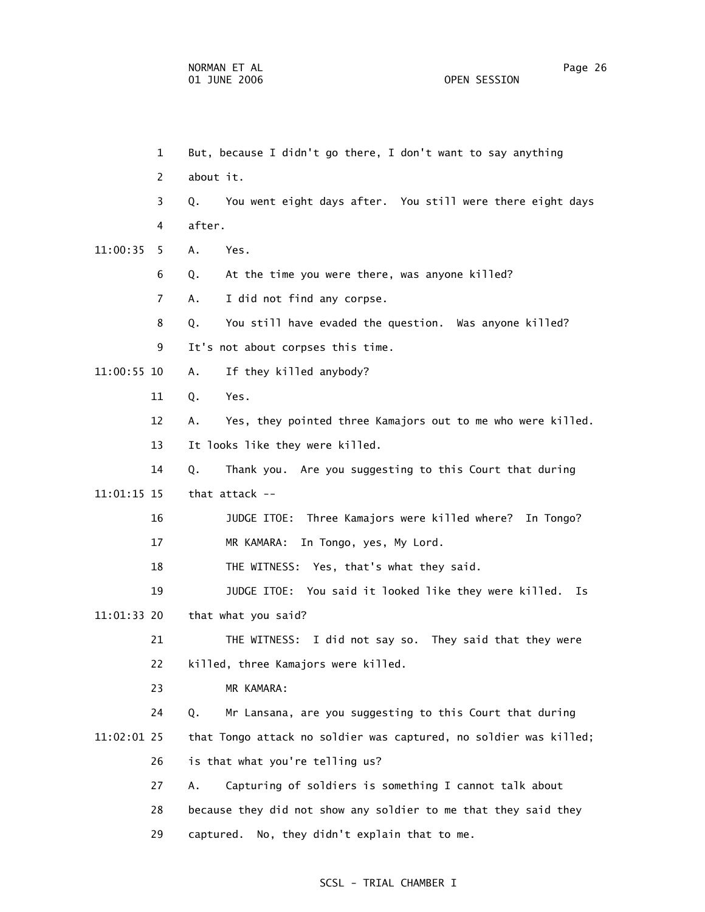1 But, because I didn't go there, I don't want to say anything 2 about it. 3 Q. You went eight days after. You still were there eight days 4 after. 11:00:35 5 A. Yes. 6 Q. At the time you were there, was anyone killed? 7 A. I did not find any corpse. 8 Q. You still have evaded the question. Was anyone killed? 9 It's not about corpses this time. 11:00:55 10 A. If they killed anybody? 11 Q. Yes. 12 A. Yes, they pointed three Kamajors out to me who were killed. 13 It looks like they were killed. 14 Q. Thank you. Are you suggesting to this Court that during 11:01:15 15 that attack -- 16 JUDGE ITOE: Three Kamajors were killed where? In Tongo? 17 MR KAMARA: In Tongo, yes, My Lord. 18 THE WITNESS: Yes, that's what they said. 19 JUDGE ITOE: You said it looked like they were killed. Is 11:01:33 20 that what you said? 21 THE WITNESS: I did not say so. They said that they were 22 killed, three Kamajors were killed. 23 MR KAMARA: 24 Q. Mr Lansana, are you suggesting to this Court that during 11:02:01 25 that Tongo attack no soldier was captured, no soldier was killed; 26 is that what you're telling us? 27 A. Capturing of soldiers is something I cannot talk about 28 because they did not show any soldier to me that they said they 29 captured. No, they didn't explain that to me.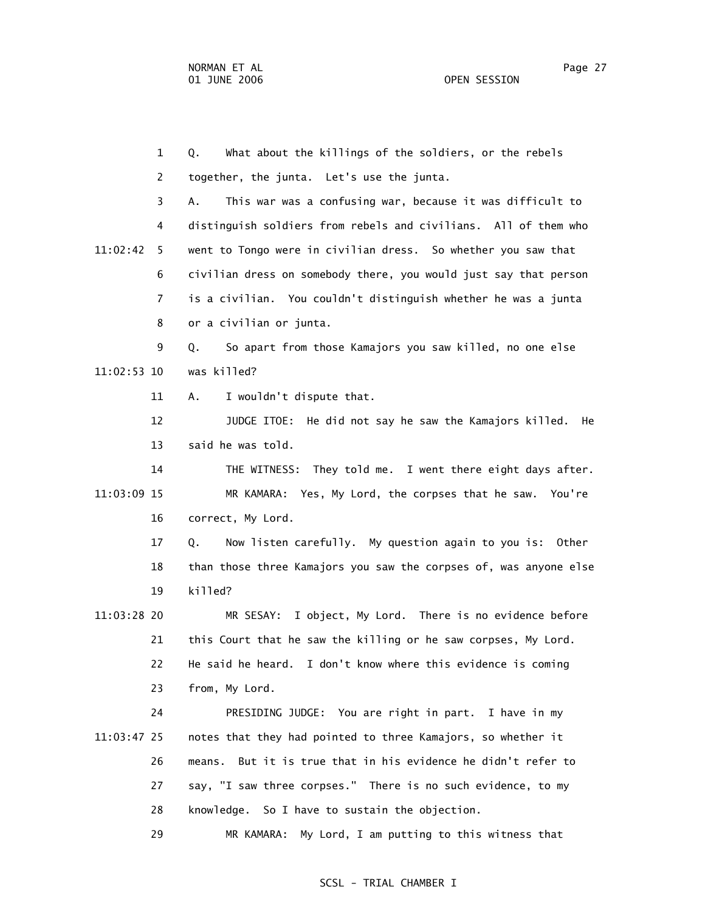1 Q. What about the killings of the soldiers, or the rebels 2 together, the junta. Let's use the junta. 3 A. This war was a confusing war, because it was difficult to 4 distinguish soldiers from rebels and civilians. All of them who 11:02:42 5 went to Tongo were in civilian dress. So whether you saw that 6 civilian dress on somebody there, you would just say that person 7 is a civilian. You couldn't distinguish whether he was a junta 8 or a civilian or junta. 9 Q. So apart from those Kamajors you saw killed, no one else 11:02:53 10 was killed? 11 A. I wouldn't dispute that. 12 JUDGE ITOE: He did not say he saw the Kamajors killed. He 13 said he was told. 14 THE WITNESS: They told me. I went there eight days after. 11:03:09 15 MR KAMARA: Yes, My Lord, the corpses that he saw. You're 16 correct, My Lord. 17 Q. Now listen carefully. My question again to you is: Other 18 than those three Kamajors you saw the corpses of, was anyone else 19 killed? 11:03:28 20 MR SESAY: I object, My Lord. There is no evidence before 21 this Court that he saw the killing or he saw corpses, My Lord. 22 He said he heard. I don't know where this evidence is coming 23 from, My Lord. 24 PRESIDING JUDGE: You are right in part. I have in my 11:03:47 25 notes that they had pointed to three Kamajors, so whether it 26 means. But it is true that in his evidence he didn't refer to 27 say, "I saw three corpses." There is no such evidence, to my 28 knowledge. So I have to sustain the objection. 29 MR KAMARA: My Lord, I am putting to this witness that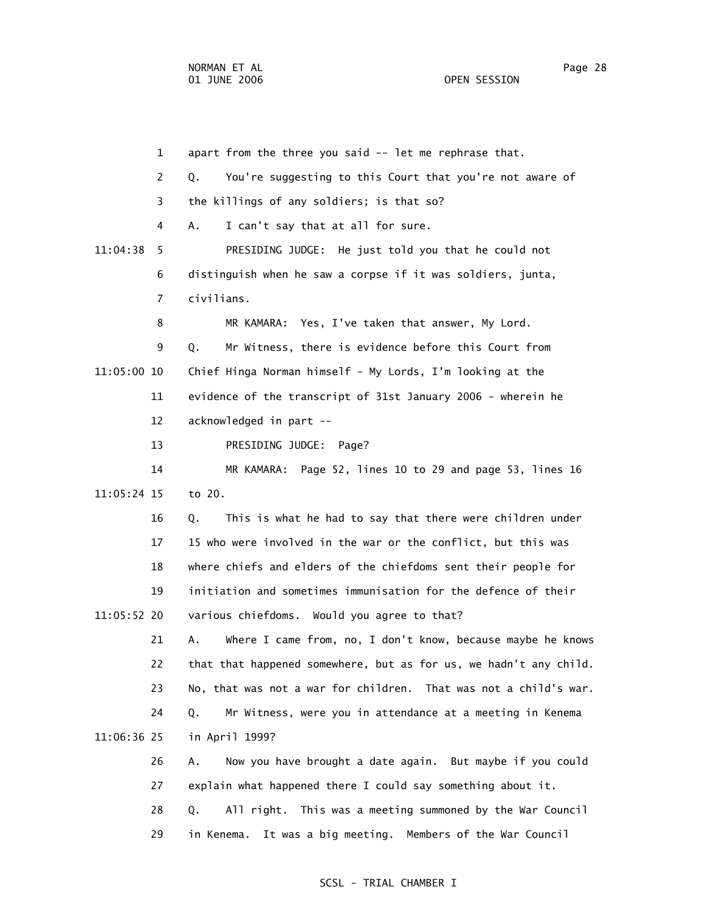1 apart from the three you said -- let me rephrase that. 2 Q. You're suggesting to this Court that you're not aware of 3 the killings of any soldiers; is that so? 4 A. I can't say that at all for sure. 11:04:38 5 PRESIDING JUDGE: He just told you that he could not 6 distinguish when he saw a corpse if it was soldiers, junta, 7 civilians. 8 MR KAMARA: Yes, I've taken that answer, My Lord. 9 Q. Mr Witness, there is evidence before this Court from 11:05:00 10 Chief Hinga Norman himself - My Lords, I'm looking at the 11 evidence of the transcript of 31st January 2006 - wherein he 12 acknowledged in part -- 13 PRESIDING JUDGE: Page? 14 MR KAMARA: Page 52, lines 10 to 29 and page 53, lines 16 11:05:24 15 to 20. 16 Q. This is what he had to say that there were children under 17 15 who were involved in the war or the conflict, but this was 18 where chiefs and elders of the chiefdoms sent their people for 19 initiation and sometimes immunisation for the defence of their 11:05:52 20 various chiefdoms. Would you agree to that? 21 A. Where I came from, no, I don't know, because maybe he knows 22 that that happened somewhere, but as for us, we hadn't any child. 23 No, that was not a war for children. That was not a child's war. 24 Q. Mr Witness, were you in attendance at a meeting in Kenema 11:06:36 25 in April 1999? 26 A. Now you have brought a date again. But maybe if you could 27 explain what happened there I could say something about it. 28 Q. All right. This was a meeting summoned by the War Council

#### SCSL - TRIAL CHAMBER I

29 in Kenema. It was a big meeting. Members of the War Council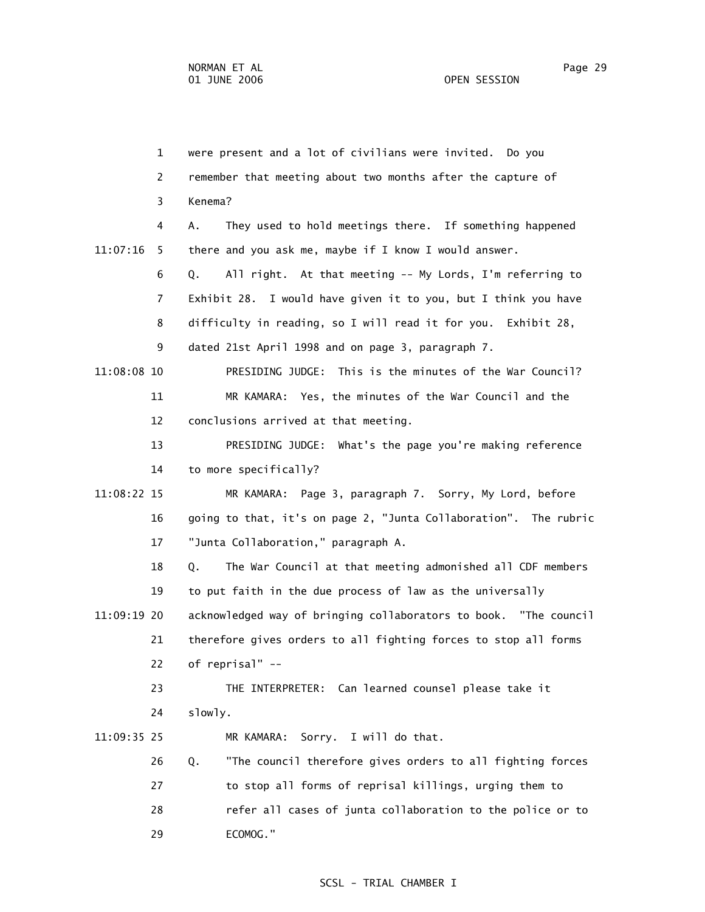1 were present and a lot of civilians were invited. Do you 2 remember that meeting about two months after the capture of 3 Kenema? 4 A. They used to hold meetings there. If something happened 11:07:16 5 there and you ask me, maybe if I know I would answer. 6 Q. All right. At that meeting -- My Lords, I'm referring to 7 Exhibit 28. I would have given it to you, but I think you have 8 difficulty in reading, so I will read it for you. Exhibit 28, 9 dated 21st April 1998 and on page 3, paragraph 7. 11:08:08 10 PRESIDING JUDGE: This is the minutes of the War Council? 11 MR KAMARA: Yes, the minutes of the War Council and the 12 conclusions arrived at that meeting. 13 PRESIDING JUDGE: What's the page you're making reference 14 to more specifically? 11:08:22 15 MR KAMARA: Page 3, paragraph 7. Sorry, My Lord, before 16 going to that, it's on page 2, "Junta Collaboration". The rubric 17 "Junta Collaboration," paragraph A. 18 Q. The War Council at that meeting admonished all CDF members 19 to put faith in the due process of law as the universally 11:09:19 20 acknowledged way of bringing collaborators to book. "The council 21 therefore gives orders to all fighting forces to stop all forms 22 of reprisal" -- 23 THE INTERPRETER: Can learned counsel please take it 24 slowly. 11:09:35 25 MR KAMARA: Sorry. I will do that. 26 Q. "The council therefore gives orders to all fighting forces 27 to stop all forms of reprisal killings, urging them to 28 refer all cases of junta collaboration to the police or to 29 ECOMOG."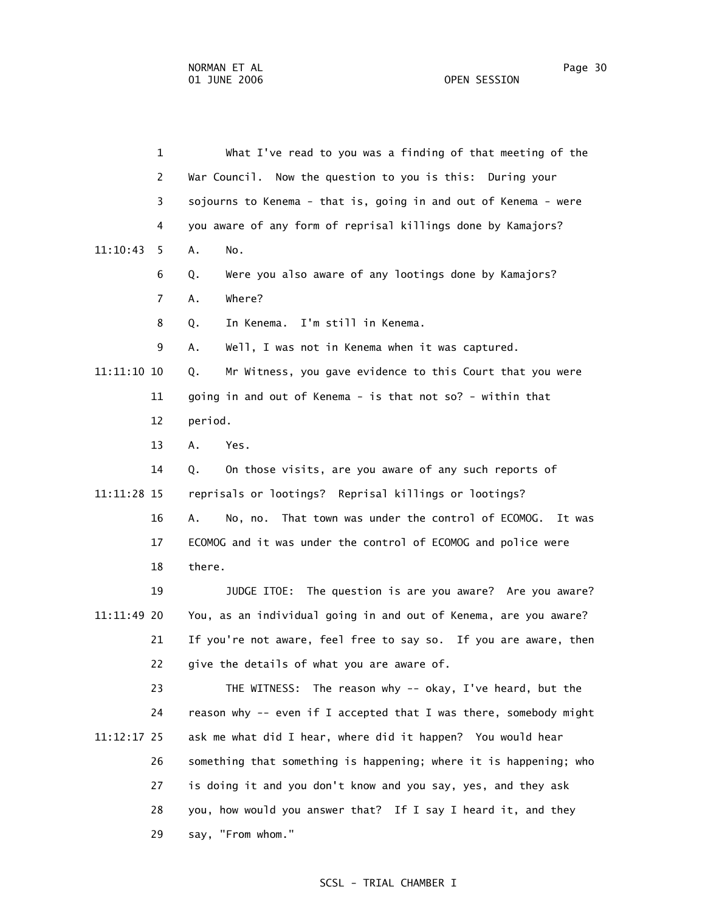1 What I've read to you was a finding of that meeting of the 2 War Council. Now the question to you is this: During your 3 sojourns to Kenema - that is, going in and out of Kenema - were 4 you aware of any form of reprisal killings done by Kamajors? 11:10:43 5 A. No. 6 Q. Were you also aware of any lootings done by Kamajors? 7 A. Where? 8 Q. In Kenema. I'm still in Kenema. 9 A. Well, I was not in Kenema when it was captured. 11:11:10 10 Q. Mr Witness, you gave evidence to this Court that you were 11 going in and out of Kenema - is that not so? - within that 12 period. 13 A. Yes. 14 Q. On those visits, are you aware of any such reports of 11:11:28 15 reprisals or lootings? Reprisal killings or lootings? 16 A. No, no. That town was under the control of ECOMOG. It was 17 ECOMOG and it was under the control of ECOMOG and police were 18 there. 19 JUDGE ITOE: The question is are you aware? Are you aware? 11:11:49 20 You, as an individual going in and out of Kenema, are you aware? 21 If you're not aware, feel free to say so. If you are aware, then 22 give the details of what you are aware of. 23 THE WITNESS: The reason why -- okay, I've heard, but the 24 reason why -- even if I accepted that I was there, somebody might 11:12:17 25 ask me what did I hear, where did it happen? You would hear 26 something that something is happening; where it is happening; who 27 is doing it and you don't know and you say, yes, and they ask 28 you, how would you answer that? If I say I heard it, and they 29 say, "From whom."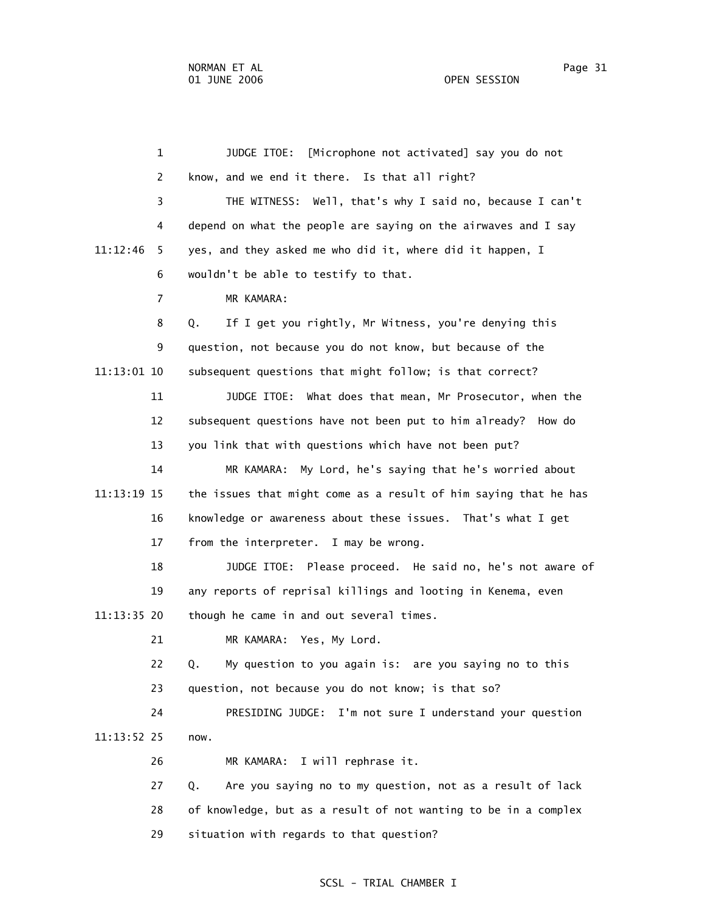1 JUDGE ITOE: [Microphone not activated] say you do not 2 know, and we end it there. Is that all right? 3 THE WITNESS: Well, that's why I said no, because I can't 4 depend on what the people are saying on the airwaves and I say 11:12:46 5 yes, and they asked me who did it, where did it happen, I 6 wouldn't be able to testify to that. 7 MR KAMARA: 8 Q. If I get you rightly, Mr Witness, you're denying this 9 question, not because you do not know, but because of the 11:13:01 10 subsequent questions that might follow; is that correct? 11 JUDGE ITOE: What does that mean, Mr Prosecutor, when the 12 subsequent questions have not been put to him already? How do 13 you link that with questions which have not been put? 14 MR KAMARA: My Lord, he's saying that he's worried about 11:13:19 15 the issues that might come as a result of him saying that he has 16 knowledge or awareness about these issues. That's what I get 17 from the interpreter. I may be wrong. 18 JUDGE ITOE: Please proceed. He said no, he's not aware of 19 any reports of reprisal killings and looting in Kenema, even 11:13:35 20 though he came in and out several times. 21 MR KAMARA: Yes, My Lord. 22 Q. My question to you again is: are you saying no to this 23 question, not because you do not know; is that so? 24 PRESIDING JUDGE: I'm not sure I understand your question 11:13:52 25 now. 26 MR KAMARA: I will rephrase it. 27 Q. Are you saying no to my question, not as a result of lack 28 of knowledge, but as a result of not wanting to be in a complex 29 situation with regards to that question?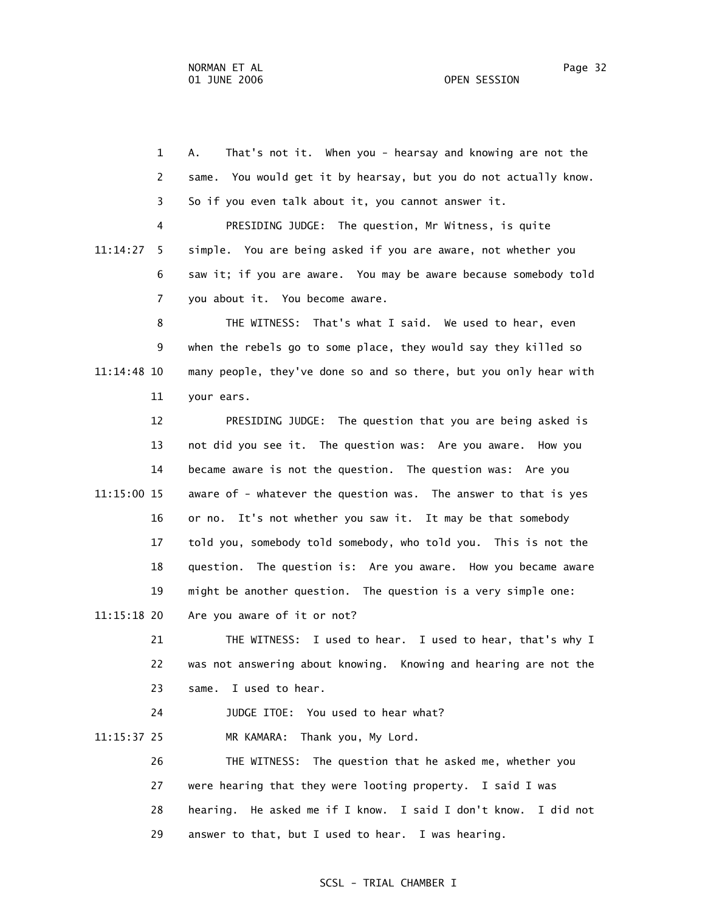1 A. That's not it. When you - hearsay and knowing are not the 2 same. You would get it by hearsay, but you do not actually know. 3 So if you even talk about it, you cannot answer it. 4 PRESIDING JUDGE: The question, Mr Witness, is quite 11:14:27 5 simple. You are being asked if you are aware, not whether you 6 saw it; if you are aware. You may be aware because somebody told 7 you about it. You become aware. 8 THE WITNESS: That's what I said. We used to hear, even 9 when the rebels go to some place, they would say they killed so 11:14:48 10 many people, they've done so and so there, but you only hear with 11 your ears. 12 PRESIDING JUDGE: The question that you are being asked is 13 not did you see it. The question was: Are you aware. How you 14 became aware is not the question. The question was: Are you 11:15:00 15 aware of - whatever the question was. The answer to that is yes 16 or no. It's not whether you saw it. It may be that somebody 17 told you, somebody told somebody, who told you. This is not the 18 question. The question is: Are you aware. How you became aware 19 might be another question. The question is a very simple one: 11:15:18 20 Are you aware of it or not? 21 THE WITNESS: I used to hear. I used to hear, that's why I 22 was not answering about knowing. Knowing and hearing are not the 23 same. I used to hear. 24 JUDGE ITOE: You used to hear what? 11:15:37 25 MR KAMARA: Thank you, My Lord. 26 THE WITNESS: The question that he asked me, whether you

 27 were hearing that they were looting property. I said I was 28 hearing. He asked me if I know. I said I don't know. I did not 29 answer to that, but I used to hear. I was hearing.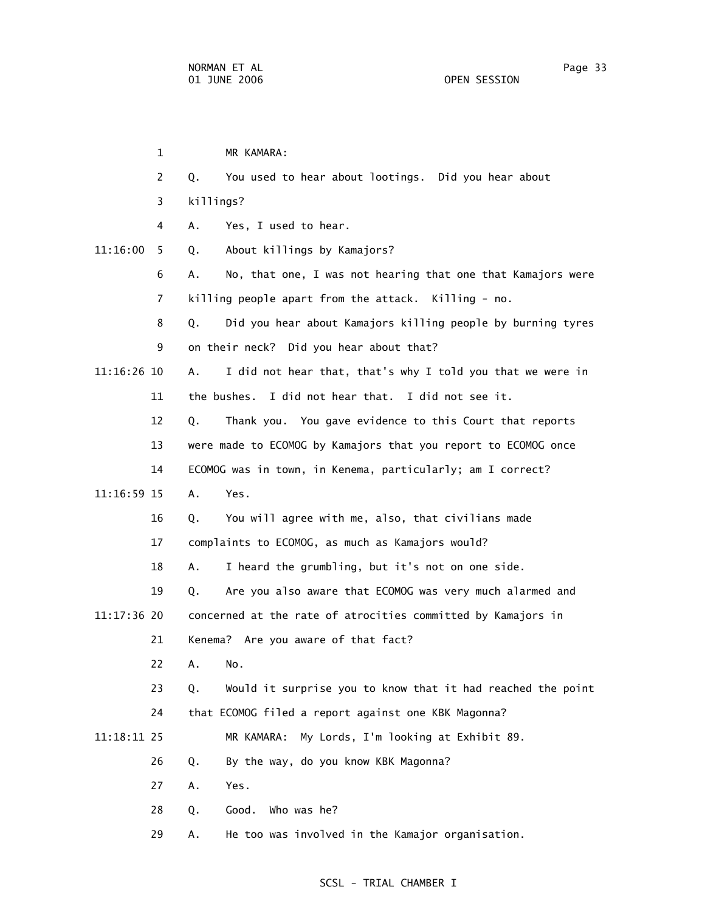|             | $\mathbf{1}$ | MR KAMARA:                                                        |
|-------------|--------------|-------------------------------------------------------------------|
|             | 2            | You used to hear about lootings. Did you hear about<br>Q.         |
|             | 3            | killings?                                                         |
|             | 4            | Α.<br>Yes, I used to hear.                                        |
| 11:16:00    | 5            | About killings by Kamajors?<br>Q.                                 |
|             | 6            | No, that one, I was not hearing that one that Kamajors were<br>Α. |
|             | 7            | killing people apart from the attack. Killing - no.               |
|             | 8            | Did you hear about Kamajors killing people by burning tyres<br>Q. |
|             | 9            | on their neck? Did you hear about that?                           |
| 11:16:26 10 |              | Α.<br>I did not hear that, that's why I told you that we were in  |
|             | 11           | the bushes. I did not hear that. I did not see it.                |
|             | 12           | Thank you. You gave evidence to this Court that reports<br>Q.     |
|             | 13           | were made to ECOMOG by Kamajors that you report to ECOMOG once    |
|             | 14           | ECOMOG was in town, in Kenema, particularly; am I correct?        |
| 11:16:59 15 |              | Yes.<br>Α.                                                        |
|             | 16           | You will agree with me, also, that civilians made<br>Q.           |
|             | 17           | complaints to ECOMOG, as much as Kamajors would?                  |
|             | 18           | I heard the grumbling, but it's not on one side.<br>Α.            |
|             | 19           | Are you also aware that ECOMOG was very much alarmed and<br>Q.    |
| 11:17:36 20 |              | concerned at the rate of atrocities committed by Kamajors in      |
|             | 21           | Kenema? Are you aware of that fact?                               |
|             | 22           | A. No.                                                            |
|             | 23           | Would it surprise you to know that it had reached the point<br>Q. |
|             | 24           | that ECOMOG filed a report against one KBK Magonna?               |
| 11:18:11 25 |              | MR KAMARA:<br>My Lords, I'm looking at Exhibit 89.                |
|             | 26           | By the way, do you know KBK Magonna?<br>Q.                        |
|             | 27           | Yes.<br>Α.                                                        |
|             | 28           | Who was he?<br>Q.<br>Good.                                        |
|             | 29           | He too was involved in the Kamajor organisation.<br>Α.            |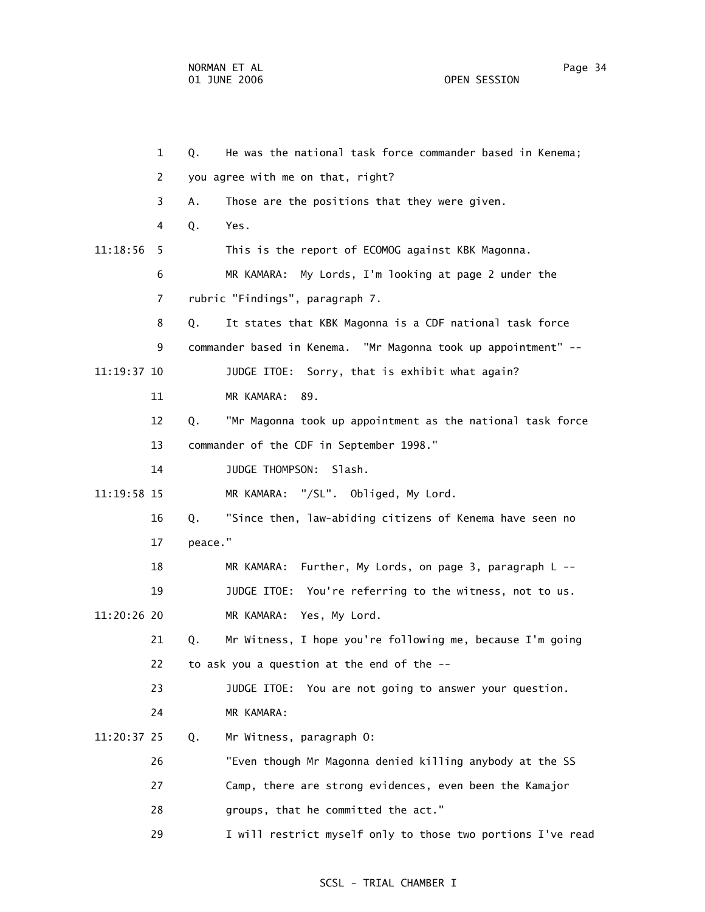1 Q. He was the national task force commander based in Kenema; 2 you agree with me on that, right? 3 A. Those are the positions that they were given. 4 Q. Yes. 11:18:56 5 This is the report of ECOMOG against KBK Magonna. 6 MR KAMARA: My Lords, I'm looking at page 2 under the 7 rubric "Findings", paragraph 7. 8 Q. It states that KBK Magonna is a CDF national task force 9 commander based in Kenema. "Mr Magonna took up appointment" -- 11:19:37 10 JUDGE ITOE: Sorry, that is exhibit what again? 11 MR KAMARA: 89. 12 Q. "Mr Magonna took up appointment as the national task force 13 commander of the CDF in September 1998." 14 JUDGE THOMPSON: Slash. 11:19:58 15 MR KAMARA: "/SL". Obliged, My Lord. 16 Q. "Since then, law-abiding citizens of Kenema have seen no 17 peace." 18 MR KAMARA: Further, My Lords, on page 3, paragraph L -- 19 JUDGE ITOE: You're referring to the witness, not to us. 11:20:26 20 MR KAMARA: Yes, My Lord. 21 Q. Mr Witness, I hope you're following me, because I'm going 22 to ask you a question at the end of the -- 23 JUDGE ITOE: You are not going to answer your question. 24 MR KAMARA: 11:20:37 25 Q. Mr Witness, paragraph O: 26 "Even though Mr Magonna denied killing anybody at the SS 27 Camp, there are strong evidences, even been the Kamajor 28 groups, that he committed the act." 29 I will restrict myself only to those two portions I've read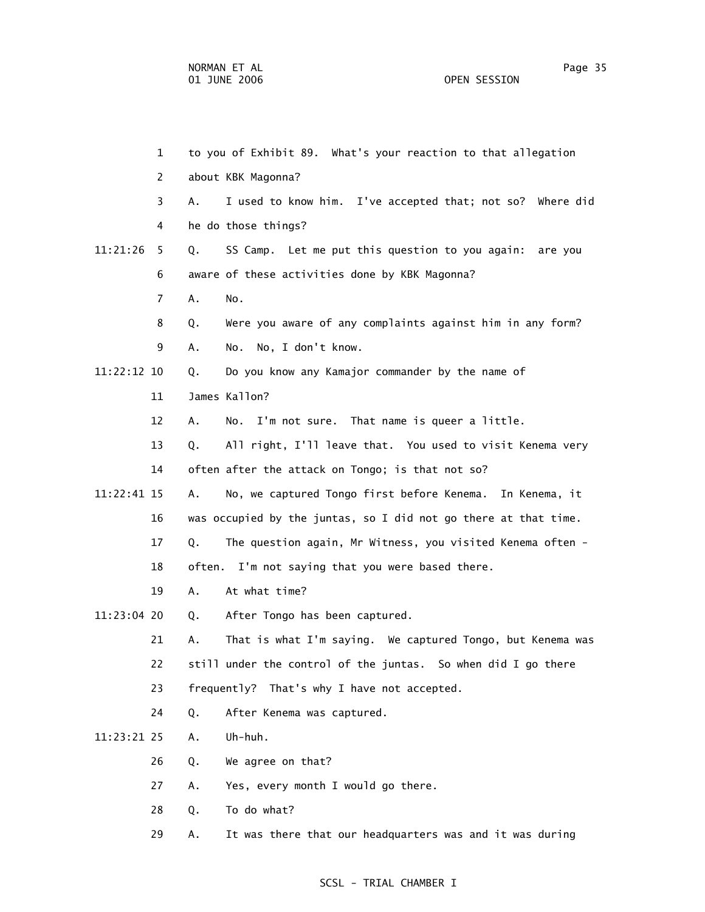1 to you of Exhibit 89. What's your reaction to that allegation 2 about KBK Magonna? 3 A. I used to know him. I've accepted that; not so? Where did 4 he do those things? 11:21:26 5 Q. SS Camp. Let me put this question to you again: are you 6 aware of these activities done by KBK Magonna? 7 A. No. 8 Q. Were you aware of any complaints against him in any form? 9 A. No. No, I don't know. 11:22:12 10 Q. Do you know any Kamajor commander by the name of 11 James Kallon? 12 A. No. I'm not sure. That name is queer a little. 13 Q. All right, I'll leave that. You used to visit Kenema very 14 often after the attack on Tongo; is that not so? 11:22:41 15 A. No, we captured Tongo first before Kenema. In Kenema, it 16 was occupied by the juntas, so I did not go there at that time. 17 Q. The question again, Mr Witness, you visited Kenema often - 18 often. I'm not saying that you were based there. 19 A. At what time? 11:23:04 20 Q. After Tongo has been captured. 21 A. That is what I'm saying. We captured Tongo, but Kenema was 22 still under the control of the juntas. So when did I go there 23 frequently? That's why I have not accepted. 24 Q. After Kenema was captured. 11:23:21 25 A. Uh-huh. 26 Q. We agree on that? 27 A. Yes, every month I would go there. 28 Q. To do what? 29 A. It was there that our headquarters was and it was during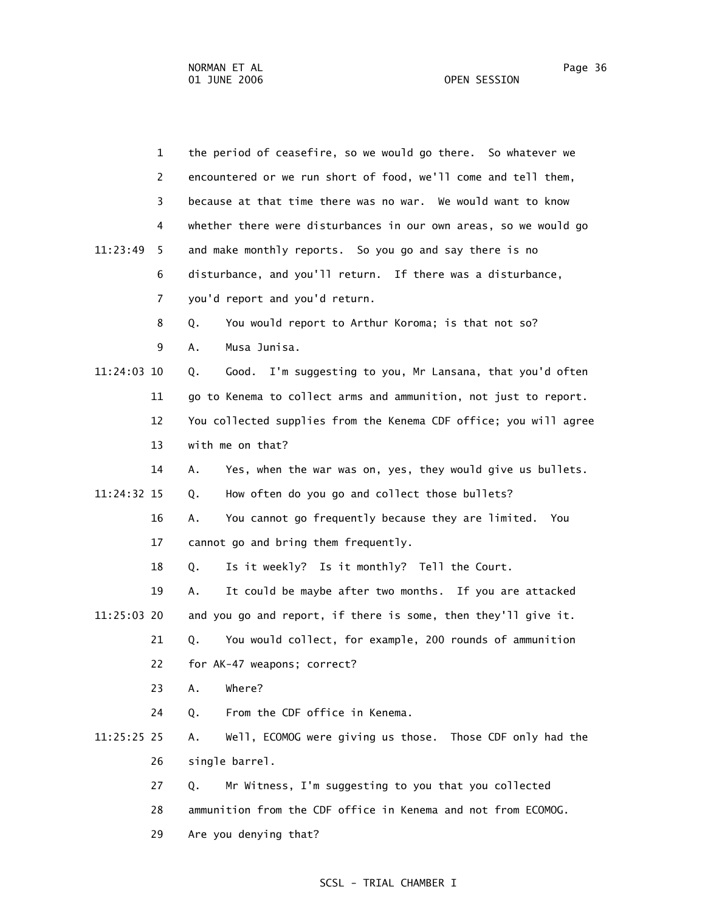|             | $\mathbf{1}$ | the period of ceasefire, so we would go there. So whatever we      |
|-------------|--------------|--------------------------------------------------------------------|
|             | 2            | encountered or we run short of food, we'll come and tell them,     |
|             | 3            | because at that time there was no war. We would want to know       |
|             | 4            | whether there were disturbances in our own areas, so we would go   |
| 11:23:49    | 5.           | and make monthly reports. So you go and say there is no            |
|             | 6            | disturbance, and you'll return. If there was a disturbance,        |
|             | 7            | you'd report and you'd return.                                     |
|             | 8            | You would report to Arthur Koroma; is that not so?<br>Q.           |
|             | 9            | Musa Junisa.<br>Α.                                                 |
| 11:24:03 10 |              | I'm suggesting to you, Mr Lansana, that you'd often<br>Good.<br>Q. |
|             | 11           | go to Kenema to collect arms and ammunition, not just to report.   |
|             | 12           | You collected supplies from the Kenema CDF office; you will agree  |
|             | 13           | with me on that?                                                   |
|             | 14           | Α.<br>Yes, when the war was on, yes, they would give us bullets.   |
| 11:24:32 15 |              | How often do you go and collect those bullets?<br>Q.               |
|             | 16           | You cannot go frequently because they are limited. You<br>Α.       |
|             | 17           | cannot go and bring them frequently.                               |
|             | 18           | Is it weekly? Is it monthly? Tell the Court.<br>Q.                 |
|             | 19           | It could be maybe after two months. If you are attacked<br>Α.      |
| 11:25:03 20 |              | and you go and report, if there is some, then they'll give it.     |
|             | 21           | You would collect, for example, 200 rounds of ammunition<br>Q.     |
|             | 22           | for AK-47 weapons; correct?                                        |
|             | 23           | Where?<br>Α.                                                       |
|             | 24           | From the CDF office in Kenema.<br>Q.                               |
| 11:25:25 25 |              | Well, ECOMOG were giving us those. Those CDF only had the<br>А.    |
|             | 26           | single barrel.                                                     |
|             | 27           | Mr Witness, I'm suggesting to you that you collected<br>Q.         |
|             | 28           | ammunition from the CDF office in Kenema and not from ECOMOG.      |
|             | 29           | Are you denying that?                                              |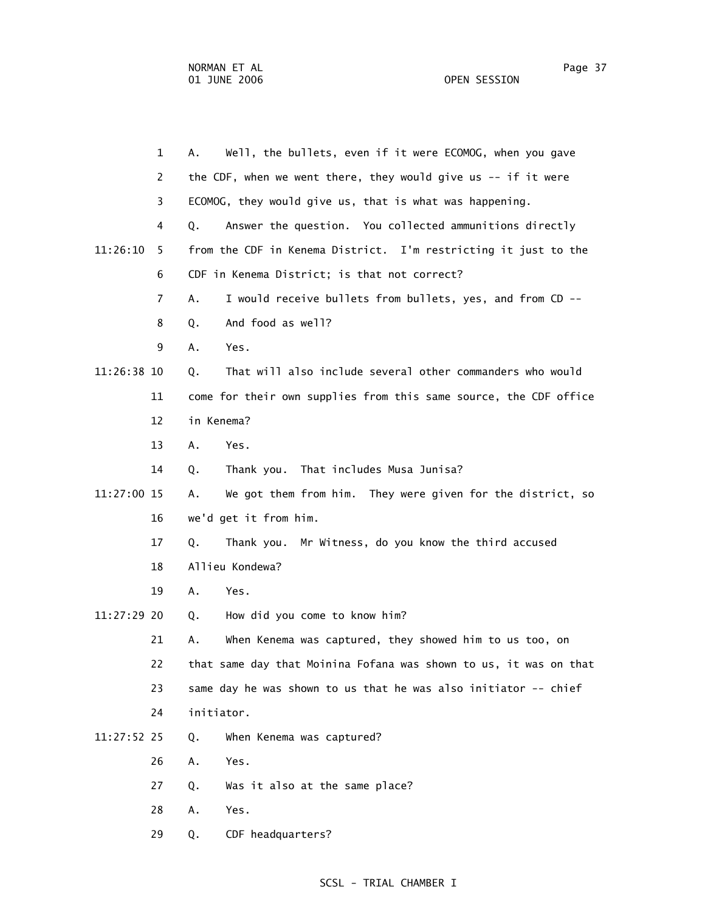1 A. Well, the bullets, even if it were ECOMOG, when you gave 2 the CDF, when we went there, they would give us -- if it were 3 ECOMOG, they would give us, that is what was happening. 4 Q. Answer the question. You collected ammunitions directly 11:26:10 5 from the CDF in Kenema District. I'm restricting it just to the 6 CDF in Kenema District; is that not correct? 7 A. I would receive bullets from bullets, yes, and from CD -- 8 Q. And food as well? 9 A. Yes. 11:26:38 10 Q. That will also include several other commanders who would 11 come for their own supplies from this same source, the CDF office 12 in Kenema? 13 A. Yes. 14 Q. Thank you. That includes Musa Junisa? 11:27:00 15 A. We got them from him. They were given for the district, so 16 we'd get it from him. 17 Q. Thank you. Mr Witness, do you know the third accused 18 Allieu Kondewa? 19 A. Yes. 11:27:29 20 Q. How did you come to know him? 21 A. When Kenema was captured, they showed him to us too, on 22 that same day that Moinina Fofana was shown to us, it was on that 23 same day he was shown to us that he was also initiator -- chief 24 initiator. 11:27:52 25 Q. When Kenema was captured? 26 A. Yes. 27 Q. Was it also at the same place?

- 28 A. Yes.
- 29 Q. CDF headquarters?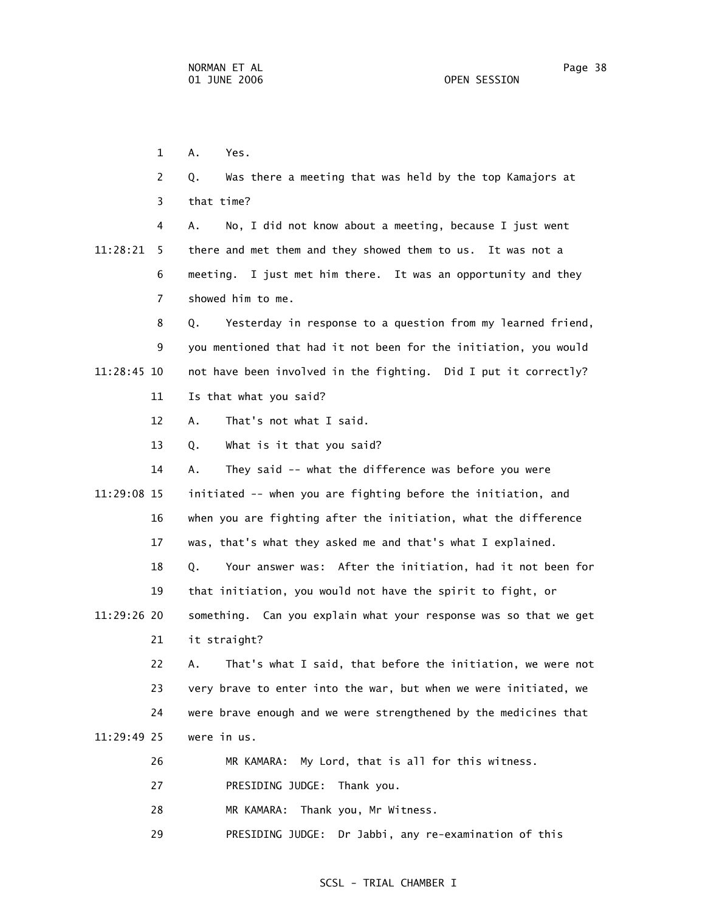1 A. Yes.

 2 Q. Was there a meeting that was held by the top Kamajors at 3 that time? 4 A. No, I did not know about a meeting, because I just went 11:28:21 5 there and met them and they showed them to us. It was not a 6 meeting. I just met him there. It was an opportunity and they 7 showed him to me. 8 Q. Yesterday in response to a question from my learned friend, 9 you mentioned that had it not been for the initiation, you would 11:28:45 10 not have been involved in the fighting. Did I put it correctly? 11 Is that what you said? 12 A. That's not what I said. 13 Q. What is it that you said? 14 A. They said -- what the difference was before you were 11:29:08 15 initiated -- when you are fighting before the initiation, and 16 when you are fighting after the initiation, what the difference 17 was, that's what they asked me and that's what I explained. 18 Q. Your answer was: After the initiation, had it not been for 19 that initiation, you would not have the spirit to fight, or 11:29:26 20 something. Can you explain what your response was so that we get 21 it straight? 22 A. That's what I said, that before the initiation, we were not 23 very brave to enter into the war, but when we were initiated, we 24 were brave enough and we were strengthened by the medicines that 11:29:49 25 were in us. 26 MR KAMARA: My Lord, that is all for this witness. 27 PRESIDING JUDGE: Thank you. 28 MR KAMARA: Thank you, Mr Witness.

29 PRESIDING JUDGE: Dr Jabbi, any re-examination of this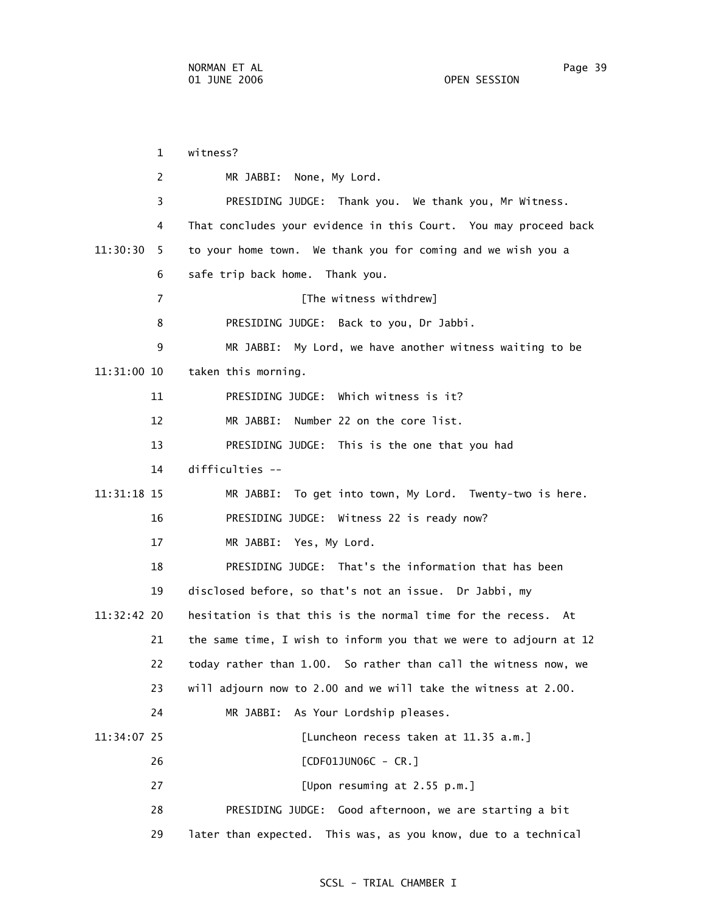1 witness? 2 MR JABBI: None, My Lord. 3 PRESIDING JUDGE: Thank you. We thank you, Mr Witness. 4 That concludes your evidence in this Court. You may proceed back 11:30:30 5 to your home town. We thank you for coming and we wish you a 6 safe trip back home. Thank you. 7 **The witness withdrew**] 8 PRESIDING JUDGE: Back to you, Dr Jabbi. 9 MR JABBI: My Lord, we have another witness waiting to be 11:31:00 10 taken this morning. 11 PRESIDING JUDGE: Which witness is it? 12 MR JABBI: Number 22 on the core list. 13 PRESIDING JUDGE: This is the one that you had 14 difficulties -- 11:31:18 15 MR JABBI: To get into town, My Lord. Twenty-two is here. 16 PRESIDING JUDGE: Witness 22 is ready now? 17 MR JABBI: Yes, My Lord. 18 PRESIDING JUDGE: That's the information that has been 19 disclosed before, so that's not an issue. Dr Jabbi, my 11:32:42 20 hesitation is that this is the normal time for the recess. At 21 the same time, I wish to inform you that we were to adjourn at 12 22 today rather than 1.00. So rather than call the witness now, we 23 will adjourn now to 2.00 and we will take the witness at 2.00. 24 MR JABBI: As Your Lordship pleases. 11:34:07 25 [Luncheon recess taken at 11.35 a.m.] 26 [CDF01JUN06C - CR.] 27 [Upon resuming at 2.55 p.m.] 28 PRESIDING JUDGE: Good afternoon, we are starting a bit 29 later than expected. This was, as you know, due to a technical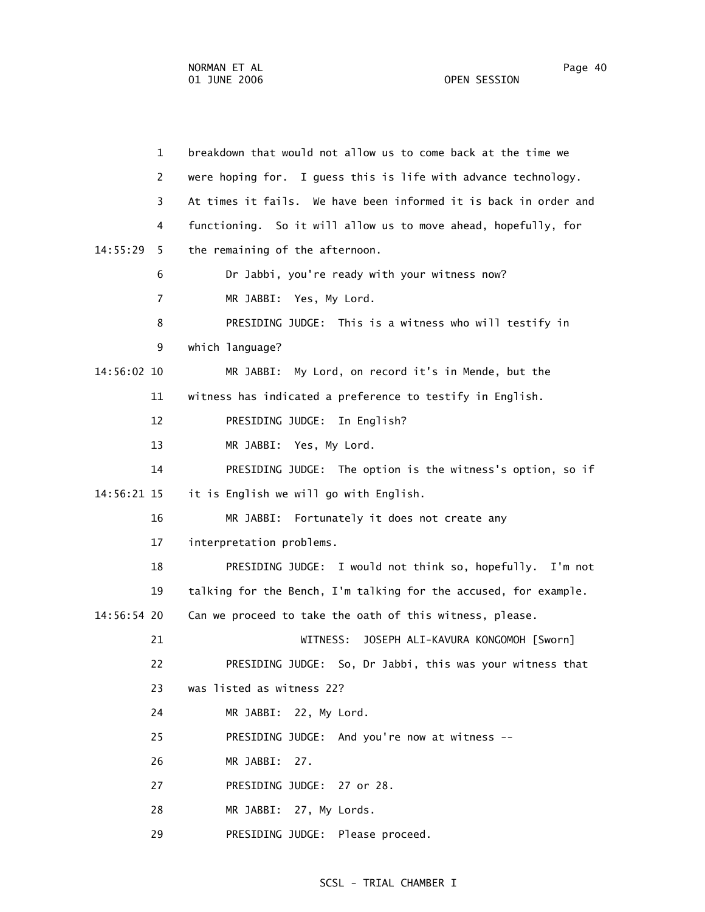1 breakdown that would not allow us to come back at the time we 2 were hoping for. I guess this is life with advance technology. 3 At times it fails. We have been informed it is back in order and 4 functioning. So it will allow us to move ahead, hopefully, for 14:55:29 5 the remaining of the afternoon. 6 Dr Jabbi, you're ready with your witness now? 7 MR JABBI: Yes, My Lord. 8 PRESIDING JUDGE: This is a witness who will testify in 9 which language? 14:56:02 10 MR JABBI: My Lord, on record it's in Mende, but the 11 witness has indicated a preference to testify in English. 12 PRESIDING JUDGE: In English? 13 MR JABBI: Yes, My Lord. 14 PRESIDING JUDGE: The option is the witness's option, so if 14:56:21 15 it is English we will go with English. 16 MR JABBI: Fortunately it does not create any 17 interpretation problems. 18 PRESIDING JUDGE: I would not think so, hopefully. I'm not 19 talking for the Bench, I'm talking for the accused, for example. 14:56:54 20 Can we proceed to take the oath of this witness, please. 21 WITNESS: JOSEPH ALI-KAVURA KONGOMOH [Sworn] 22 PRESIDING JUDGE: So, Dr Jabbi, this was your witness that 23 was listed as witness 22? 24 MR JABBI: 22, My Lord. 25 PRESIDING JUDGE: And you're now at witness -- 26 MR JABBI: 27. 27 PRESIDING JUDGE: 27 or 28. 28 MR JABBI: 27, My Lords. 29 PRESIDING JUDGE: Please proceed.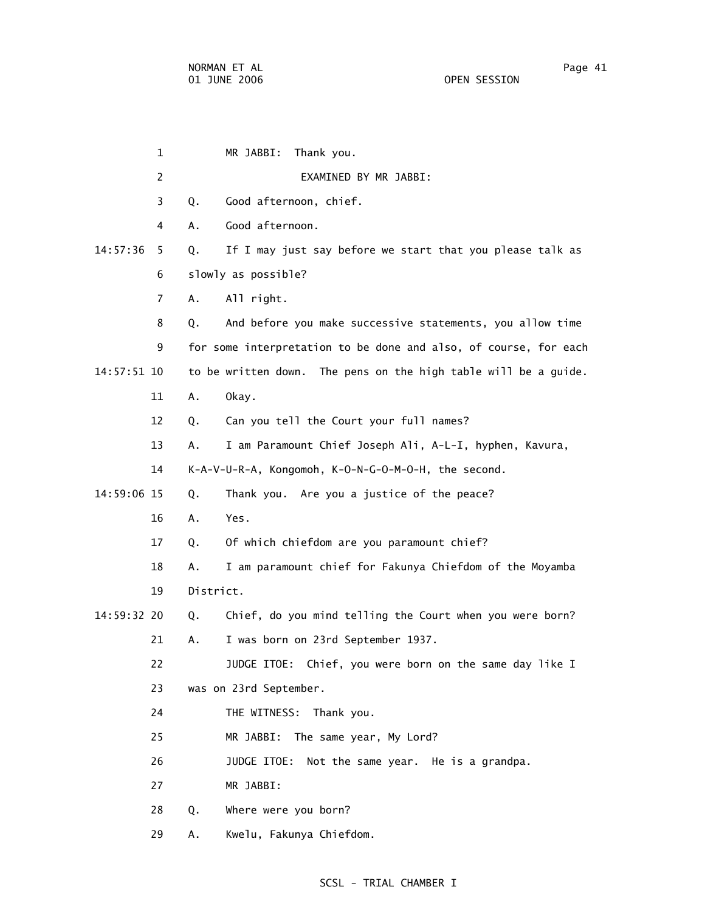1 MR JABBI: Thank you. 2 EXAMINED BY MR JABBI: 3 Q. Good afternoon, chief. 4 A. Good afternoon. 14:57:36 5 Q. If I may just say before we start that you please talk as 6 slowly as possible? 7 A. All right. 8 Q. And before you make successive statements, you allow time 9 for some interpretation to be done and also, of course, for each 14:57:51 10 to be written down. The pens on the high table will be a guide. 11 A. Okay. 12 Q. Can you tell the Court your full names? 13 A. I am Paramount Chief Joseph Ali, A-L-I, hyphen, Kavura, 14 K-A-V-U-R-A, Kongomoh, K-O-N-G-O-M-O-H, the second. 14:59:06 15 Q. Thank you. Are you a justice of the peace? 16 A. Yes. 17 Q. Of which chiefdom are you paramount chief? 18 A. I am paramount chief for Fakunya Chiefdom of the Moyamba 19 District. 14:59:32 20 Q. Chief, do you mind telling the Court when you were born? 21 A. I was born on 23rd September 1937. 22 JUDGE ITOE: Chief, you were born on the same day like I 23 was on 23rd September. 24 THE WITNESS: Thank you. 25 MR JABBI: The same year, My Lord? 26 JUDGE ITOE: Not the same year. He is a grandpa. 27 MR JABBI: 28 Q. Where were you born?

29 A. Kwelu, Fakunya Chiefdom.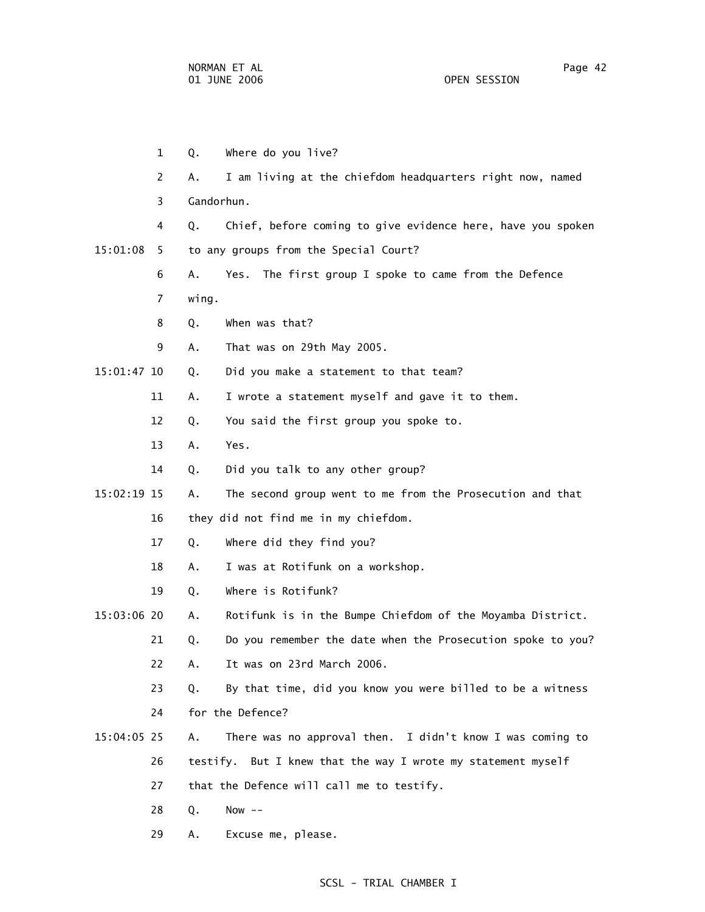|          | 1              | Q.         | Where do you live?                                           |
|----------|----------------|------------|--------------------------------------------------------------|
|          | 2              | А.         | I am living at the chiefdom headquarters right now, named    |
|          | 3              | Gandorhun. |                                                              |
|          | 4              | Q.         | Chief, before coming to give evidence here, have you spoken  |
| 15:01:08 | 5.             |            | to any groups from the Special Court?                        |
|          | 6              | Α.         | Yes. The first group I spoke to came from the Defence        |
|          | $\overline{7}$ | wing.      |                                                              |
|          | 8              | Q.         | When was that?                                               |
|          | 9              | А.         | That was on 29th May 2005.                                   |
|          | 15:01:47 10    | Q.         | Did you make a statement to that team?                       |
|          | 11             | Α.         | I wrote a statement myself and gave it to them.              |
|          | 12             | Q.         | You said the first group you spoke to.                       |
|          | 13             | Α.         | Yes.                                                         |
|          | 14             | Q.         | Did you talk to any other group?                             |
|          | 15:02:19 15    | Α.         | The second group went to me from the Prosecution and that    |
|          | 16             |            | they did not find me in my chiefdom.                         |
|          | 17             | Q.         | Where did they find you?                                     |
|          | 18             | Α.         | I was at Rotifunk on a workshop.                             |
|          | 19             | Q.         | Where is Rotifunk?                                           |
|          | 15:03:06 20    | Α.         | Rotifunk is in the Bumpe Chiefdom of the Moyamba District.   |
|          | 21             | Q.         | Do you remember the date when the Prosecution spoke to you?  |
|          | 22             | Α.         | It was on 23rd March 2006.                                   |
|          | 23             | Q.         | By that time, did you know you were billed to be a witness   |
|          | 24             |            | for the Defence?                                             |
|          | $15:04:05$ 25  | Α.         | There was no approval then. I didn't know I was coming to    |
|          | 26             |            | testify. But I knew that the way I wrote my statement myself |
|          | 27             |            | that the Defence will call me to testify.                    |
|          | 28             | Q.         | Now $--$                                                     |
|          | 29             | Α.         | Excuse me, please.                                           |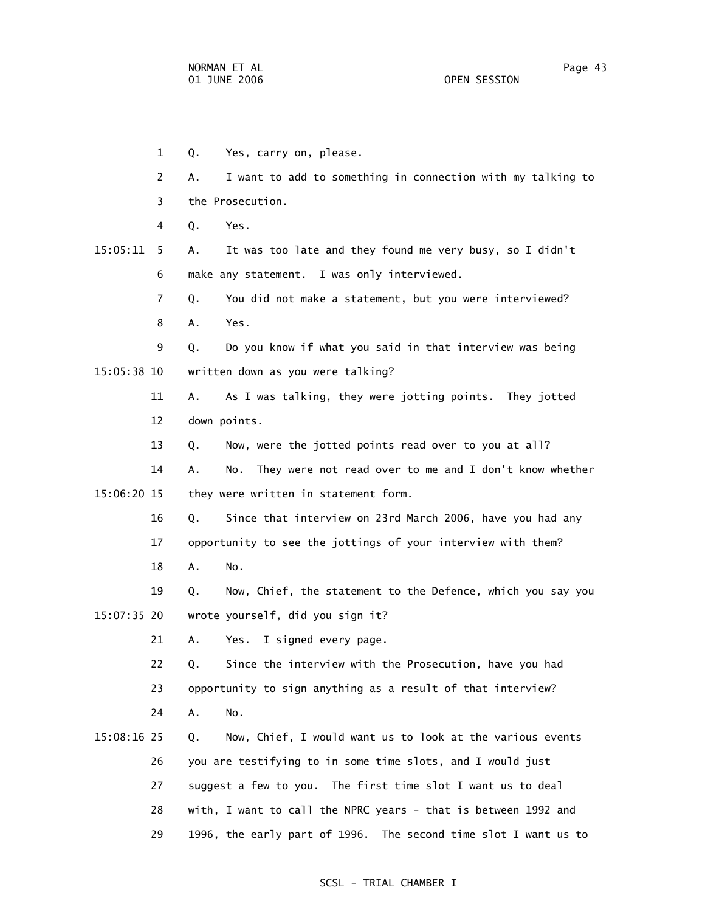- 1 Q. Yes, carry on, please.
- 2 A. I want to add to something in connection with my talking to 3 the Prosecution.
	- 4 Q. Yes.
- 15:05:11 5 A. It was too late and they found me very busy, so I didn't 6 make any statement. I was only interviewed.
	- 7 Q. You did not make a statement, but you were interviewed?
	- 8 A. Yes.

 9 Q. Do you know if what you said in that interview was being 15:05:38 10 written down as you were talking?

> 11 A. As I was talking, they were jotting points. They jotted 12 down points.

13 Q. Now, were the jotted points read over to you at all?

 14 A. No. They were not read over to me and I don't know whether 15:06:20 15 they were written in statement form.

> 16 Q. Since that interview on 23rd March 2006, have you had any 17 opportunity to see the jottings of your interview with them?

18 A. No.

 19 Q. Now, Chief, the statement to the Defence, which you say you 15:07:35 20 wrote yourself, did you sign it?

21 A. Yes. I signed every page.

22 Q. Since the interview with the Prosecution, have you had

23 opportunity to sign anything as a result of that interview?

- 24 A. No.
- 15:08:16 25 Q. Now, Chief, I would want us to look at the various events 26 you are testifying to in some time slots, and I would just 27 suggest a few to you. The first time slot I want us to deal 28 with, I want to call the NPRC years - that is between 1992 and 29 1996, the early part of 1996. The second time slot I want us to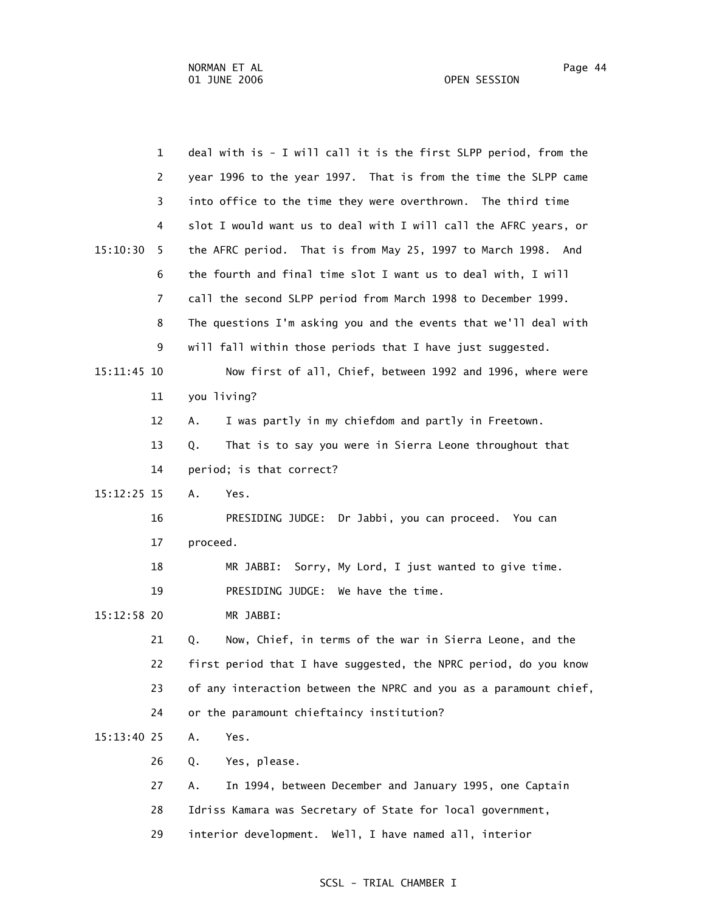| $\mathbf{1}$  | deal with is - I will call it is the first SLPP period, from the  |
|---------------|-------------------------------------------------------------------|
| 2             | year 1996 to the year 1997. That is from the time the SLPP came   |
| 3             | into office to the time they were overthrown. The third time      |
| 4             | slot I would want us to deal with I will call the AFRC years, or  |
| 15:10:30<br>5 | the AFRC period. That is from May 25, 1997 to March 1998. And     |
| 6             | the fourth and final time slot I want us to deal with, I will     |
| 7             | call the second SLPP period from March 1998 to December 1999.     |
| 8             | The questions I'm asking you and the events that we'll deal with  |
| 9             | will fall within those periods that I have just suggested.        |
| 15:11:45 10   | Now first of all, Chief, between 1992 and 1996, where were        |
| 11            | you living?                                                       |
| 12            | I was partly in my chiefdom and partly in Freetown.<br>Α.         |
| 13            | That is to say you were in Sierra Leone throughout that<br>Q.     |
| 14            | period; is that correct?                                          |
| 15:12:25 15   | Α.<br>Yes.                                                        |
| 16            | PRESIDING JUDGE: Dr Jabbi, you can proceed. You can               |
| 17            | proceed.                                                          |
| 18            | Sorry, My Lord, I just wanted to give time.<br>MR JABBI:          |
| 19            | PRESIDING JUDGE: We have the time.                                |
| 15:12:58 20   | MR JABBI:                                                         |
| 21            | Q.<br>Now, Chief, in terms of the war in Sierra Leone, and the    |
| 22            | first period that I have suggested, the NPRC period, do you know  |
| 23            | of any interaction between the NPRC and you as a paramount chief, |
| 24            | or the paramount chieftaincy institution?                         |
| 15:13:40 25   | Α.<br>Yes.                                                        |
| 26            | Yes, please.<br>Q.                                                |
| 27            | In 1994, between December and January 1995, one Captain<br>Α.     |
| 28            | Idriss Kamara was Secretary of State for local government,        |
| 29            | interior development. Well, I have named all, interior            |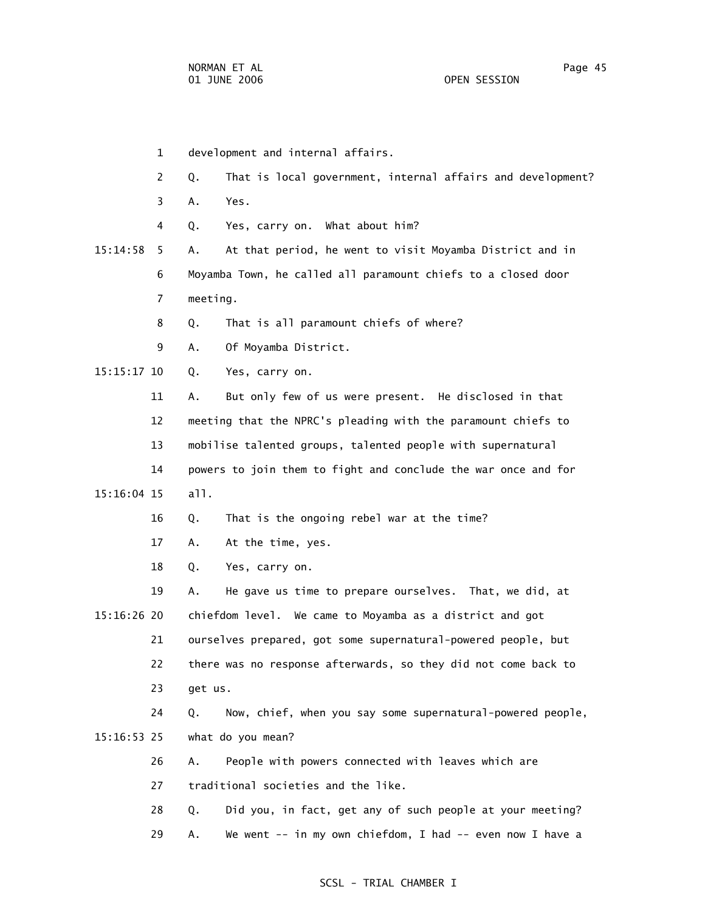1 development and internal affairs. 2 Q. That is local government, internal affairs and development? 3 A. Yes. 4 Q. Yes, carry on. What about him? 15:14:58 5 A. At that period, he went to visit Moyamba District and in 6 Moyamba Town, he called all paramount chiefs to a closed door 7 meeting. 8 Q. That is all paramount chiefs of where? 9 A. Of Moyamba District. 15:15:17 10 Q. Yes, carry on. 11 A. But only few of us were present. He disclosed in that 12 meeting that the NPRC's pleading with the paramount chiefs to 13 mobilise talented groups, talented people with supernatural 14 powers to join them to fight and conclude the war once and for 15:16:04 15 all. 16 Q. That is the ongoing rebel war at the time? 17 A. At the time, yes. 18 Q. Yes, carry on. 19 A. He gave us time to prepare ourselves. That, we did, at 15:16:26 20 chiefdom level. We came to Moyamba as a district and got 21 ourselves prepared, got some supernatural-powered people, but 22 there was no response afterwards, so they did not come back to 23 get us. 24 Q. Now, chief, when you say some supernatural-powered people, 15:16:53 25 what do you mean? 26 A. People with powers connected with leaves which are 27 traditional societies and the like. 28 Q. Did you, in fact, get any of such people at your meeting? 29 A. We went -- in my own chiefdom, I had -- even now I have a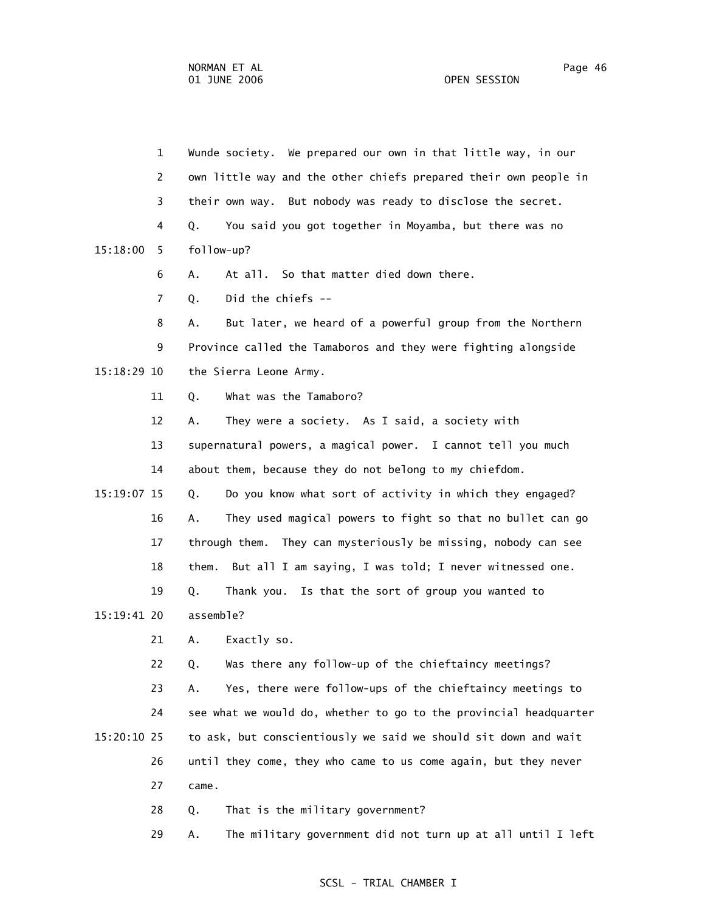1 Wunde society. We prepared our own in that little way, in our 2 own little way and the other chiefs prepared their own people in 3 their own way. But nobody was ready to disclose the secret. 4 Q. You said you got together in Moyamba, but there was no 15:18:00 5 follow-up? 6 A. At all. So that matter died down there. 7 Q. Did the chiefs -- 8 A. But later, we heard of a powerful group from the Northern 9 Province called the Tamaboros and they were fighting alongside 15:18:29 10 the Sierra Leone Army. 11 Q. What was the Tamaboro? 12 A. They were a society. As I said, a society with 13 supernatural powers, a magical power. I cannot tell you much 14 about them, because they do not belong to my chiefdom. 15:19:07 15 Q. Do you know what sort of activity in which they engaged? 16 A. They used magical powers to fight so that no bullet can go 17 through them. They can mysteriously be missing, nobody can see 18 them. But all I am saying, I was told; I never witnessed one. 19 Q. Thank you. Is that the sort of group you wanted to 15:19:41 20 assemble? 21 A. Exactly so. 22 Q. Was there any follow-up of the chieftaincy meetings? 23 A. Yes, there were follow-ups of the chieftaincy meetings to 24 see what we would do, whether to go to the provincial headquarter 15:20:10 25 to ask, but conscientiously we said we should sit down and wait 26 until they come, they who came to us come again, but they never 27 came.

28 Q. That is the military government?

29 A. The military government did not turn up at all until I left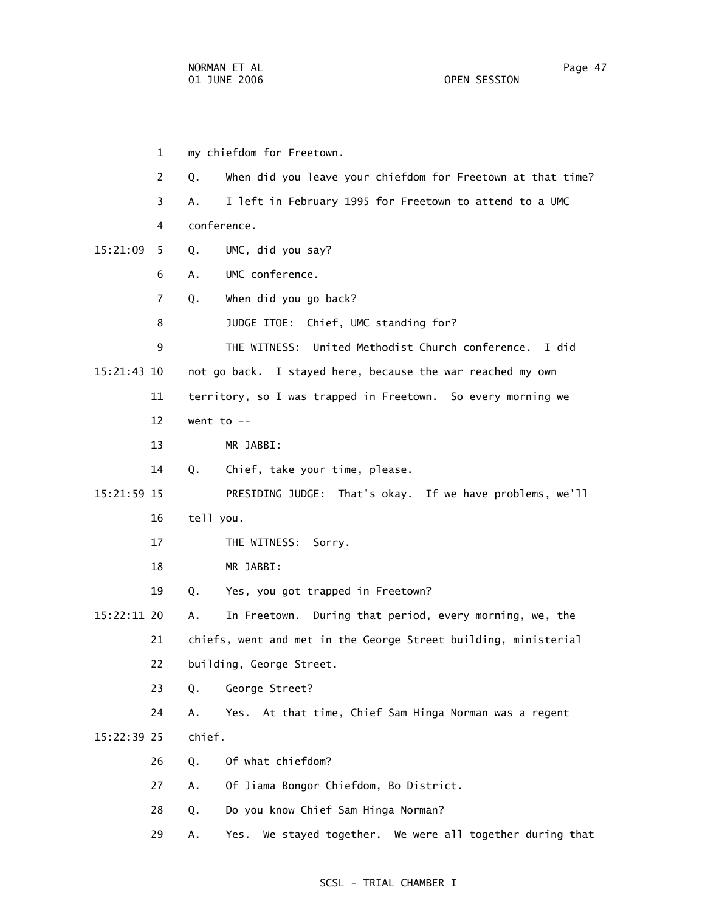1 my chiefdom for Freetown. 2 Q. When did you leave your chiefdom for Freetown at that time? 3 A. I left in February 1995 for Freetown to attend to a UMC 4 conference. 15:21:09 5 Q. UMC, did you say? 6 A. UMC conference. 7 Q. When did you go back? 8 JUDGE ITOE: Chief, UMC standing for? 9 THE WITNESS: United Methodist Church conference. I did 15:21:43 10 not go back. I stayed here, because the war reached my own 11 territory, so I was trapped in Freetown. So every morning we 12 went to -- 13 MR JABBI: 14 Q. Chief, take your time, please. 15:21:59 15 PRESIDING JUDGE: That's okay. If we have problems, we'll 16 tell you. 17 THE WITNESS: Sorry. 18 MR JABBI: 19 Q. Yes, you got trapped in Freetown? 15:22:11 20 A. In Freetown. During that period, every morning, we, the 21 chiefs, went and met in the George Street building, ministerial 22 building, George Street. 23 Q. George Street? 24 A. Yes. At that time, Chief Sam Hinga Norman was a regent 15:22:39 25 chief. 26 Q. Of what chiefdom? 27 A. Of Jiama Bongor Chiefdom, Bo District. 28 Q. Do you know Chief Sam Hinga Norman? 29 A. Yes. We stayed together. We were all together during that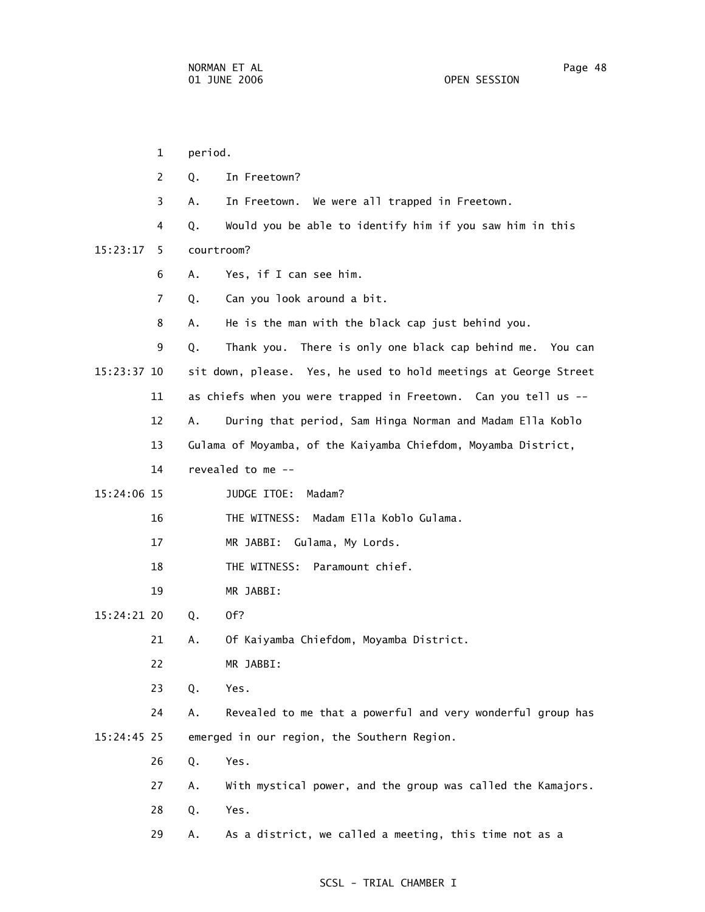1 period. 2 Q. In Freetown? 3 A. In Freetown. We were all trapped in Freetown. 4 Q. Would you be able to identify him if you saw him in this 15:23:17 5 courtroom? 6 A. Yes, if I can see him. 7 Q. Can you look around a bit. 8 A. He is the man with the black cap just behind you. 9 Q. Thank you. There is only one black cap behind me. You can 15:23:37 10 sit down, please. Yes, he used to hold meetings at George Street 11 as chiefs when you were trapped in Freetown. Can you tell us -- 12 A. During that period, Sam Hinga Norman and Madam Ella Koblo 13 Gulama of Moyamba, of the Kaiyamba Chiefdom, Moyamba District, 14 revealed to me -- 15:24:06 15 JUDGE ITOE: Madam? 16 THE WITNESS: Madam Ella Koblo Gulama. 17 MR JABBI: Gulama, My Lords. 18 THE WITNESS: Paramount chief. 19 MR JABBI: 15:24:21 20 Q. Of? 21 A. Of Kaiyamba Chiefdom, Moyamba District. 22 MR JABBI: 23 Q. Yes. 24 A. Revealed to me that a powerful and very wonderful group has 15:24:45 25 emerged in our region, the Southern Region. 26 Q. Yes. 27 A. With mystical power, and the group was called the Kamajors. 28 Q. Yes. 29 A. As a district, we called a meeting, this time not as a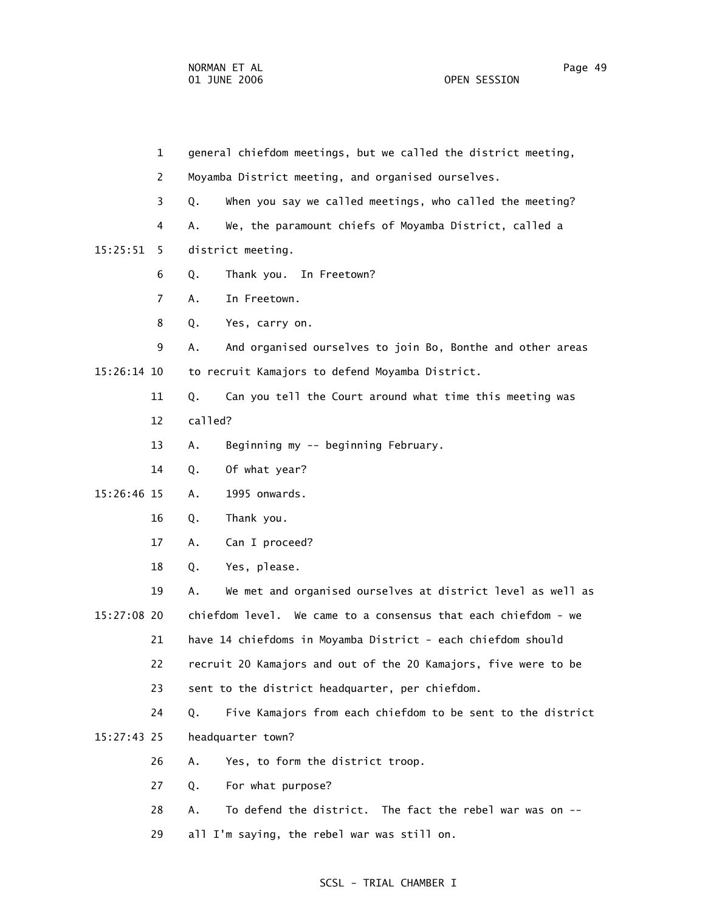1 general chiefdom meetings, but we called the district meeting, 2 Moyamba District meeting, and organised ourselves. 3 Q. When you say we called meetings, who called the meeting? 4 A. We, the paramount chiefs of Moyamba District, called a 15:25:51 5 district meeting. 6 Q. Thank you. In Freetown? 7 A. In Freetown. 8 Q. Yes, carry on. 9 A. And organised ourselves to join Bo, Bonthe and other areas 15:26:14 10 to recruit Kamajors to defend Moyamba District. 11 Q. Can you tell the Court around what time this meeting was 12 called? 13 A. Beginning my -- beginning February. 14 Q. Of what year? 15:26:46 15 A. 1995 onwards. 16 Q. Thank you. 17 A. Can I proceed? 18 Q. Yes, please. 19 A. We met and organised ourselves at district level as well as 15:27:08 20 chiefdom level. We came to a consensus that each chiefdom - we 21 have 14 chiefdoms in Moyamba District - each chiefdom should 22 recruit 20 Kamajors and out of the 20 Kamajors, five were to be 23 sent to the district headquarter, per chiefdom. 24 Q. Five Kamajors from each chiefdom to be sent to the district 15:27:43 25 headquarter town? 26 A. Yes, to form the district troop. 27 Q. For what purpose? 28 A. To defend the district. The fact the rebel war was on -- 29 all I'm saying, the rebel war was still on.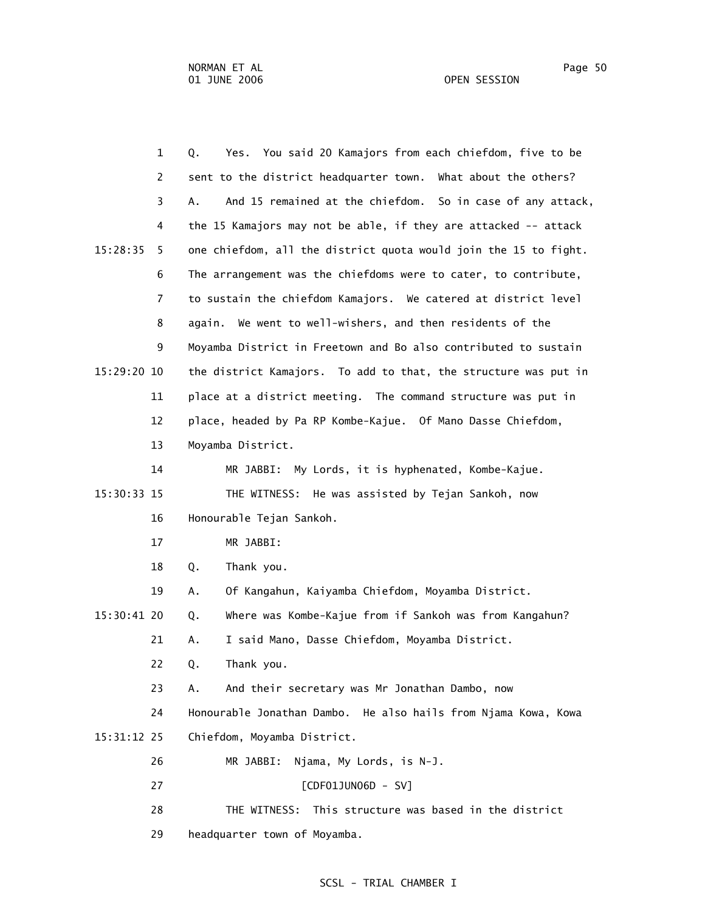| $\mathbf{1}$   | You said 20 Kamajors from each chiefdom, five to be<br>Q.<br>Yes. |
|----------------|-------------------------------------------------------------------|
| 2              | sent to the district headquarter town. What about the others?     |
| 3              | And 15 remained at the chiefdom. So in case of any attack,<br>Α.  |
| 4              | the 15 Kamajors may not be able, if they are attacked -- attack   |
| 15:28:35<br>5. | one chiefdom, all the district quota would join the 15 to fight.  |
| 6              | The arrangement was the chiefdoms were to cater, to contribute,   |
| $\overline{7}$ | to sustain the chiefdom Kamajors. We catered at district level    |
| 8              | again. We went to well-wishers, and then residents of the         |
| 9              | Moyamba District in Freetown and Bo also contributed to sustain   |
| 15:29:20 10    | the district Kamajors. To add to that, the structure was put in   |
| 11             | place at a district meeting. The command structure was put in     |
| 12             | place, headed by Pa RP Kombe-Kajue. Of Mano Dasse Chiefdom,       |
| 13             | Moyamba District.                                                 |
| 14             | My Lords, it is hyphenated, Kombe-Kajue.<br>MR JABBI:             |
| 15:30:33 15    | THE WITNESS: He was assisted by Tejan Sankoh, now                 |
| 16             | Honourable Tejan Sankoh.                                          |
| 17             | MR JABBI:                                                         |
| 18             | Thank you.<br>Q.                                                  |
| 19             | Of Kangahun, Kaiyamba Chiefdom, Moyamba District.<br>Α.           |
| 15:30:41 20    | Where was Kombe-Kajue from if Sankoh was from Kangahun?<br>Q.     |
| 21             | I said Mano, Dasse Chiefdom, Moyamba District.<br>Α.              |
| 22             | Thank you.<br>Q.                                                  |
| 23             | And their secretary was Mr Jonathan Dambo, now<br>Α.              |
| 24             | Honourable Jonathan Dambo. He also hails from Njama Kowa, Kowa    |
| 15:31:12 25    | Chiefdom, Moyamba District.                                       |
| 26             | MR JABBI:<br>Njama, My Lords, is N-J.                             |
| 27             | [CDF01JUN06D - SV]                                                |
| 28             | This structure was based in the district<br>THE WITNESS:          |
| 29             | headquarter town of Moyamba.                                      |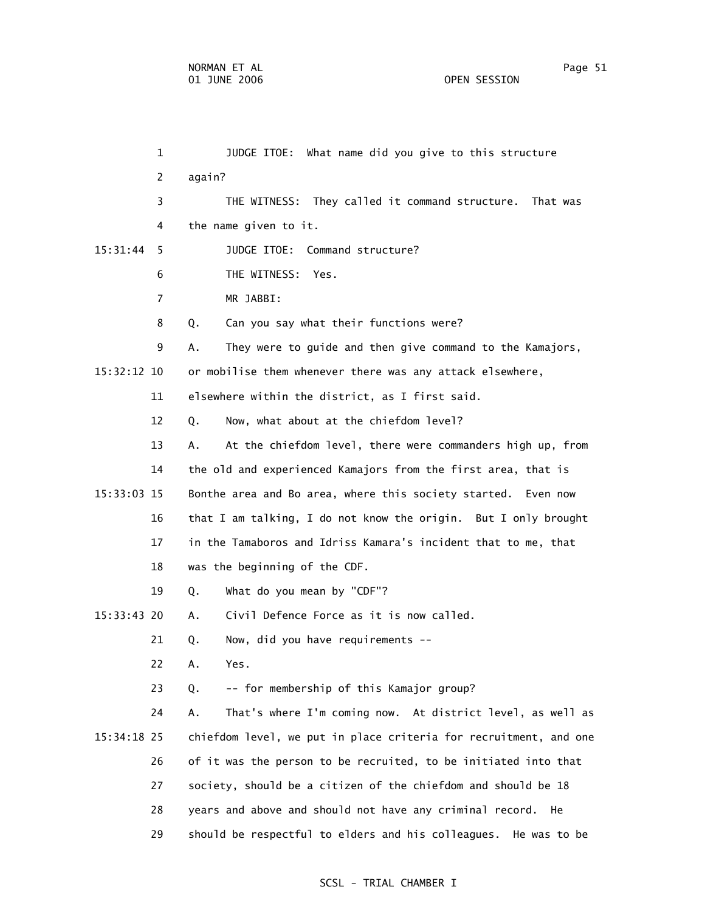1 JUDGE ITOE: What name did you give to this structure 2 again? 3 THE WITNESS: They called it command structure. That was 4 the name given to it. 15:31:44 5 JUDGE ITOE: Command structure? 6 THE WITNESS: Yes. 7 MR JABBI: 8 Q. Can you say what their functions were? 9 A. They were to guide and then give command to the Kamajors, 15:32:12 10 or mobilise them whenever there was any attack elsewhere, 11 elsewhere within the district, as I first said. 12 Q. Now, what about at the chiefdom level? 13 A. At the chiefdom level, there were commanders high up, from 14 the old and experienced Kamajors from the first area, that is 15:33:03 15 Bonthe area and Bo area, where this society started. Even now 16 that I am talking, I do not know the origin. But I only brought 17 in the Tamaboros and Idriss Kamara's incident that to me, that 18 was the beginning of the CDF. 19 Q. What do you mean by "CDF"? 15:33:43 20 A. Civil Defence Force as it is now called. 21 Q. Now, did you have requirements -- 22 A. Yes. 23 Q. -- for membership of this Kamajor group? 24 A. That's where I'm coming now. At district level, as well as 15:34:18 25 chiefdom level, we put in place criteria for recruitment, and one 26 of it was the person to be recruited, to be initiated into that 27 society, should be a citizen of the chiefdom and should be 18 28 years and above and should not have any criminal record. He 29 should be respectful to elders and his colleagues. He was to be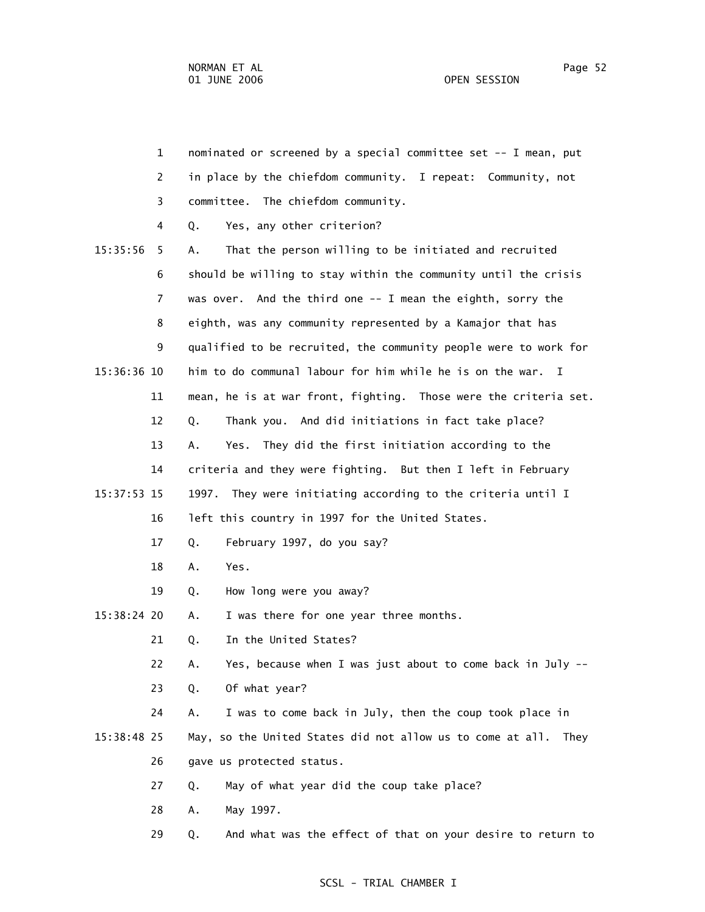| $\mathbf{1}$   | nominated or screened by a special committee set -- I mean, put    |
|----------------|--------------------------------------------------------------------|
| 2              | in place by the chiefdom community. I repeat: Community, not       |
| 3              | committee. The chiefdom community.                                 |
| 4              | Yes, any other criterion?<br>Q.                                    |
| 15:35:56<br>5  | That the person willing to be initiated and recruited<br>Α.        |
| 6              | should be willing to stay within the community until the crisis    |
| $\overline{7}$ | was over. And the third one -- I mean the eighth, sorry the        |
| 8              | eighth, was any community represented by a Kamajor that has        |
| 9              | qualified to be recruited, the community people were to work for   |
| 15:36:36 10    | him to do communal labour for him while he is on the war. I        |
| 11             | mean, he is at war front, fighting. Those were the criteria set.   |
| 12             | Thank you. And did initiations in fact take place?<br>Q.           |
| 13             | Yes. They did the first initiation according to the<br>А.          |
| 14             | criteria and they were fighting. But then I left in February       |
| 15:37:53 15    | 1997.<br>They were initiating according to the criteria until I    |
| 16             | left this country in 1997 for the United States.                   |
| 17             | February 1997, do you say?<br>Q.                                   |
| 18             | Yes.<br>Α.                                                         |
| 19             | How long were you away?<br>Q.                                      |
| 15:38:24 20    | I was there for one year three months.<br>А.                       |
| 21             | In the United States?<br>Q.                                        |
| 22             | Yes, because when I was just about to come back in July --<br>Α.   |
| 23             | Of what year?<br>Q.                                                |
| 24             | I was to come back in July, then the coup took place in<br>Α.      |
| 15:38:48 25    | May, so the United States did not allow us to come at all.<br>They |
| 26             | gave us protected status.                                          |
| 27             | May of what year did the coup take place?<br>Q.                    |
| 28             | May 1997.<br>Α.                                                    |

29 Q. And what was the effect of that on your desire to return to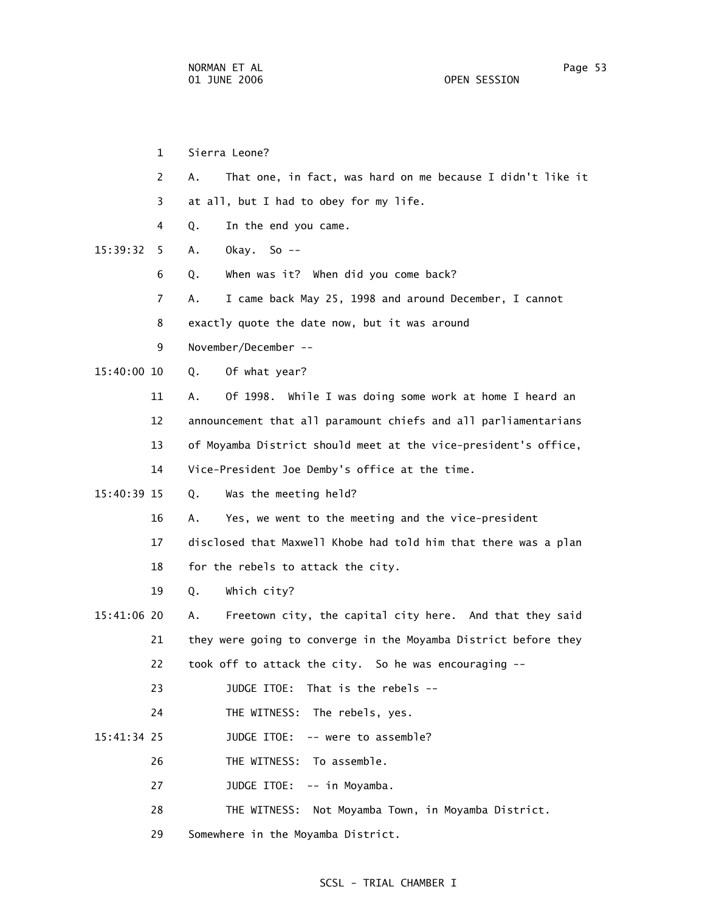|             | 1                     |    | Sierra Leone?                                                   |
|-------------|-----------------------|----|-----------------------------------------------------------------|
|             | $\mathbf{2}^{\prime}$ | А. | That one, in fact, was hard on me because I didn't like it      |
|             | 3.                    |    | at all, but I had to obey for my life.                          |
|             | 4                     | Q. | In the end you came.                                            |
| 15:39:32    | 5.                    | Α. | Okay. So $-$                                                    |
|             | 6                     | Q. | When was it? When did you come back?                            |
|             | 7                     | А. | I came back May 25, 1998 and around December, I cannot          |
|             | 8                     |    | exactly quote the date now, but it was around                   |
|             | 9                     |    | November/December --                                            |
| 15:40:00 10 |                       | Q. | Of what year?                                                   |
|             | 11                    | А. | Of 1998. While I was doing some work at home I heard an         |
|             | 12                    |    | announcement that all paramount chiefs and all parliamentarians |
|             | 13                    |    | of Moyamba District should meet at the vice-president's office, |
|             | 14                    |    | Vice-President Joe Demby's office at the time.                  |
| 15:40:39 15 |                       | Q. | Was the meeting held?                                           |
|             | 16                    | А. | Yes, we went to the meeting and the vice-president              |
|             | 17                    |    | disclosed that Maxwell Khobe had told him that there was a plan |
|             | 18                    |    | for the rebels to attack the city.                              |
|             | 19                    | Q. | Which city?                                                     |
| 15:41:06 20 |                       | Α. | Freetown city, the capital city here. And that they said        |
|             | 21                    |    | they were going to converge in the Moyamba District before they |
|             | 22                    |    | took off to attack the city. So he was encouraging --           |
|             | 23                    |    | That is the rebels --<br>JUDGE ITOE:                            |
|             | 24                    |    | THE WITNESS:<br>The rebels, yes.                                |
| 15:41:34 25 |                       |    | -- were to assemble?<br>JUDGE ITOE:                             |
|             | 26                    |    | To assemble.<br>THE WITNESS:                                    |
|             | 27                    |    | JUDGE ITOE:<br>-- in Moyamba.                                   |
|             | 28                    |    | THE WITNESS:<br>Not Moyamba Town, in Moyamba District.          |
|             | 29                    |    | Somewhere in the Moyamba District.                              |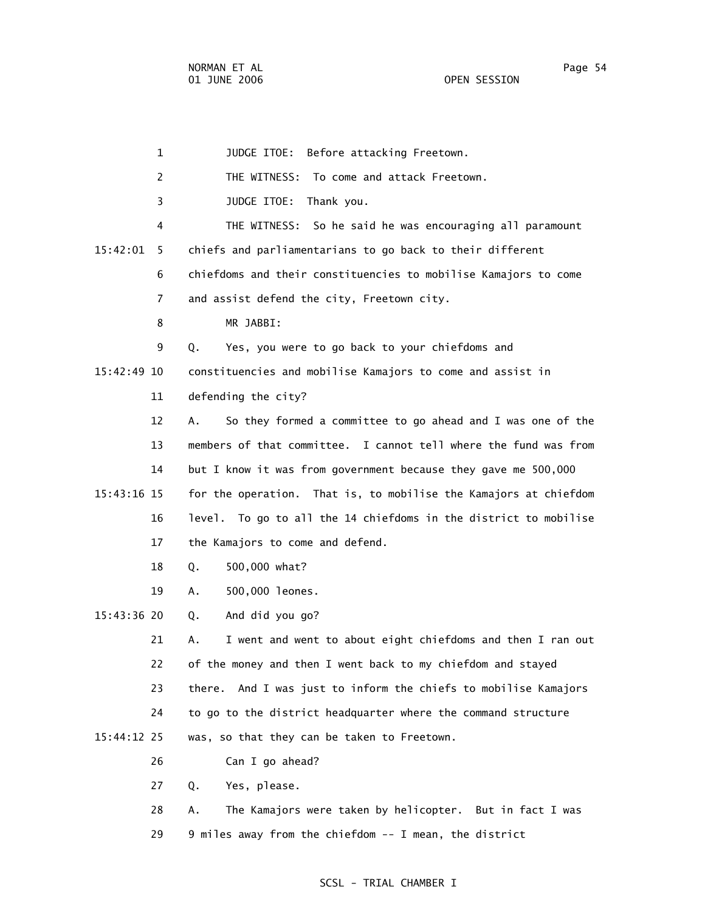| $\mathbf{1}$   | JUDGE ITOE:<br>Before attacking Freetown.                          |
|----------------|--------------------------------------------------------------------|
| $\overline{c}$ | THE WITNESS: To come and attack Freetown.                          |
| 3              | JUDGE ITOE:<br>Thank you.                                          |
| 4              | THE WITNESS: So he said he was encouraging all paramount           |
| 15:42:01<br>5  | chiefs and parliamentarians to go back to their different          |
| 6              | chiefdoms and their constituencies to mobilise Kamajors to come    |
| $\overline{7}$ | and assist defend the city, Freetown city.                         |
| 8              | MR JABBI:                                                          |
| 9              | Yes, you were to go back to your chiefdoms and<br>Q.               |
| 15:42:49 10    | constituencies and mobilise Kamajors to come and assist in         |
| 11             | defending the city?                                                |
| 12             | So they formed a committee to go ahead and I was one of the<br>Α.  |
| 13             | members of that committee. I cannot tell where the fund was from   |
| 14             | but I know it was from government because they gave me 500,000     |
| 15:43:16 15    | for the operation. That is, to mobilise the Kamajors at chiefdom   |
| 16             | level. To go to all the 14 chiefdoms in the district to mobilise   |
| 17             | the Kamajors to come and defend.                                   |
| 18             | 500,000 what?<br>Q.                                                |
| 19             | 500,000 leones.<br>Α.                                              |
| 15:43:36 20    | And did you go?<br>Q.                                              |
| 21             | I went and went to about eight chiefdoms and then I ran out<br>А.  |
| 22             | of the money and then I went back to my chiefdom and stayed        |
| 23             | And I was just to inform the chiefs to mobilise Kamajors<br>there. |
| 24             | to go to the district headquarter where the command structure      |
| 15:44:12 25    | was, so that they can be taken to Freetown.                        |
| 26             | Can I go ahead?                                                    |
| 27             | Yes, please.<br>Q.                                                 |
| 28             | The Kamajors were taken by helicopter. But in fact I was<br>Α.     |

29 9 miles away from the chiefdom -- I mean, the district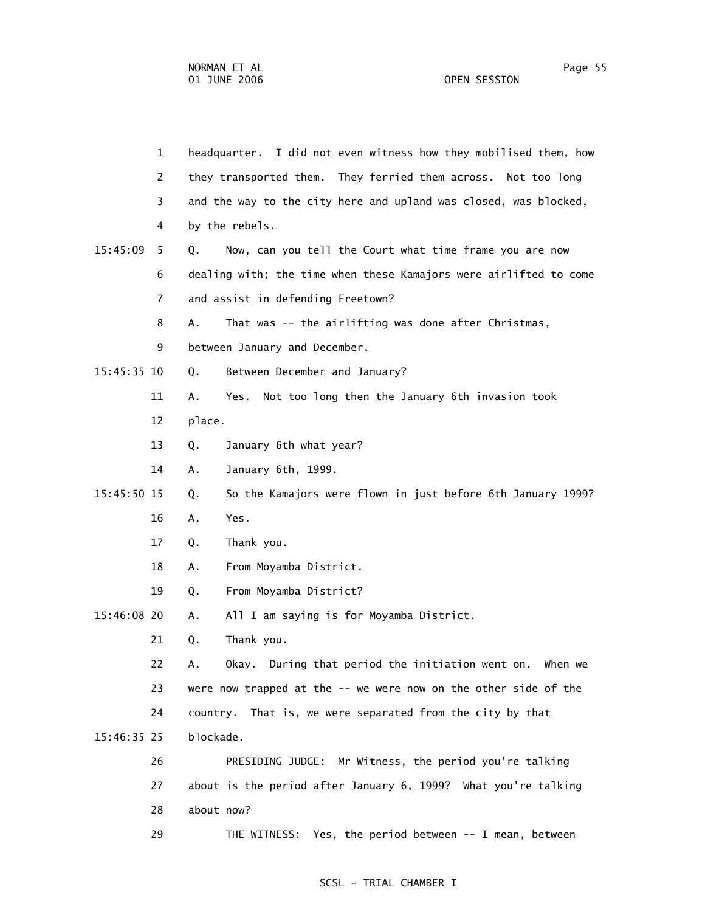1 headquarter. I did not even witness how they mobilised them, how 2 they transported them. They ferried them across. Not too long 3 and the way to the city here and upland was closed, was blocked, 4 by the rebels. 15:45:09 5 Q. Now, can you tell the Court what time frame you are now 6 dealing with; the time when these Kamajors were airlifted to come 7 and assist in defending Freetown? 8 A. That was -- the airlifting was done after Christmas, 9 between January and December. 15:45:35 10 Q. Between December and January? 11 A. Yes. Not too long then the January 6th invasion took 12 place. 13 Q. January 6th what year? 14 A. January 6th, 1999. 15:45:50 15 Q. So the Kamajors were flown in just before 6th January 1999? 16 A. Yes. 17 Q. Thank you. 18 A. From Moyamba District. 19 Q. From Moyamba District? 15:46:08 20 A. All I am saying is for Moyamba District. 21 Q. Thank you. 22 A. Okay. During that period the initiation went on. When we 23 were now trapped at the -- we were now on the other side of the 24 country. That is, we were separated from the city by that 15:46:35 25 blockade. 26 PRESIDING JUDGE: Mr Witness, the period you're talking 27 about is the period after January 6, 1999? What you're talking 28 about now? 29 THE WITNESS: Yes, the period between -- I mean, between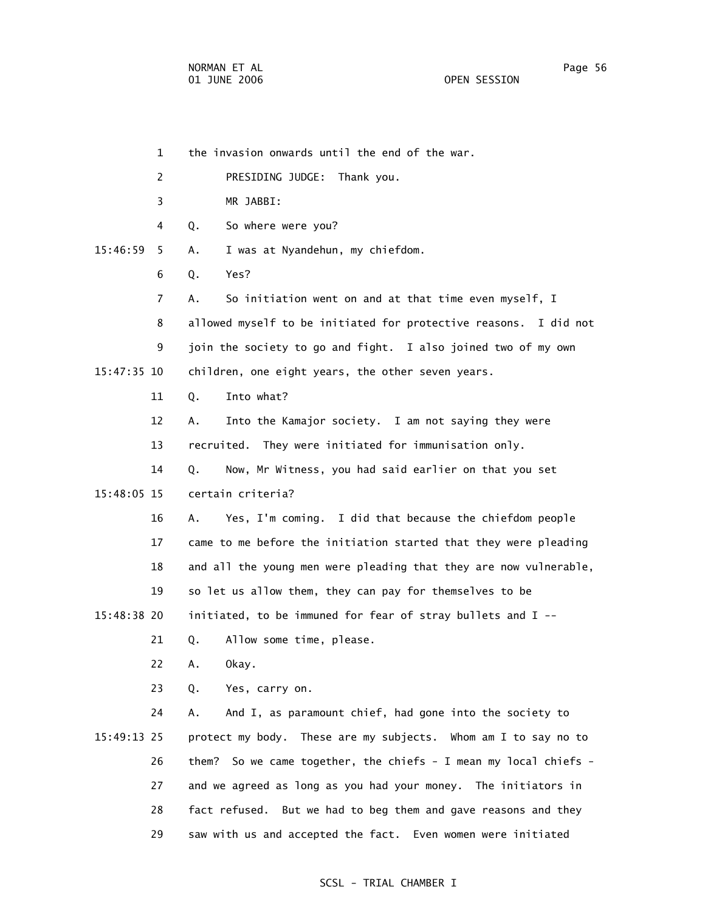1 the invasion onwards until the end of the war. 2 PRESIDING JUDGE: Thank you. 3 MR JABBI: 4 Q. So where were you? 15:46:59 5 A. I was at Nyandehun, my chiefdom. 6 Q. Yes? 7 A. So initiation went on and at that time even myself, I 8 allowed myself to be initiated for protective reasons. I did not 9 join the society to go and fight. I also joined two of my own 15:47:35 10 children, one eight years, the other seven years. 11 Q. Into what? 12 A. Into the Kamajor society. I am not saying they were 13 recruited. They were initiated for immunisation only. 14 Q. Now, Mr Witness, you had said earlier on that you set 15:48:05 15 certain criteria? 16 A. Yes, I'm coming. I did that because the chiefdom people 17 came to me before the initiation started that they were pleading 18 and all the young men were pleading that they are now vulnerable, 19 so let us allow them, they can pay for themselves to be 15:48:38 20 initiated, to be immuned for fear of stray bullets and I -- 21 Q. Allow some time, please. 22 A. Okay. 23 Q. Yes, carry on. 24 A. And I, as paramount chief, had gone into the society to 15:49:13 25 protect my body. These are my subjects. Whom am I to say no to 26 them? So we came together, the chiefs - I mean my local chiefs - 27 and we agreed as long as you had your money. The initiators in 28 fact refused. But we had to beg them and gave reasons and they 29 saw with us and accepted the fact. Even women were initiated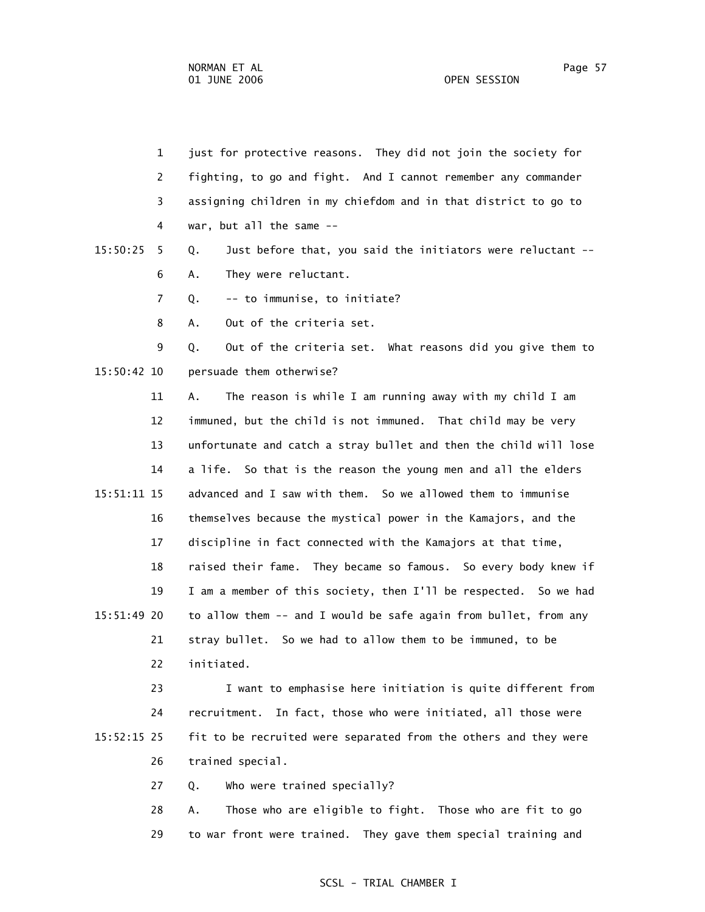1 just for protective reasons. They did not join the society for 2 fighting, to go and fight. And I cannot remember any commander 3 assigning children in my chiefdom and in that district to go to 4 war, but all the same --

 15:50:25 5 Q. Just before that, you said the initiators were reluctant -- 6 A. They were reluctant.

7 Q. -- to immunise, to initiate?

8 A. Out of the criteria set.

 9 Q. Out of the criteria set. What reasons did you give them to 15:50:42 10 persuade them otherwise?

 11 A. The reason is while I am running away with my child I am 12 immuned, but the child is not immuned. That child may be very 13 unfortunate and catch a stray bullet and then the child will lose 14 a life. So that is the reason the young men and all the elders 15:51:11 15 advanced and I saw with them. So we allowed them to immunise 16 themselves because the mystical power in the Kamajors, and the 17 discipline in fact connected with the Kamajors at that time, 18 raised their fame. They became so famous. So every body knew if 19 I am a member of this society, then I'll be respected. So we had 15:51:49 20 to allow them -- and I would be safe again from bullet, from any 21 stray bullet. So we had to allow them to be immuned, to be 22 initiated.

 23 I want to emphasise here initiation is quite different from 24 recruitment. In fact, those who were initiated, all those were 15:52:15 25 fit to be recruited were separated from the others and they were 26 trained special.

27 Q. Who were trained specially?

 28 A. Those who are eligible to fight. Those who are fit to go 29 to war front were trained. They gave them special training and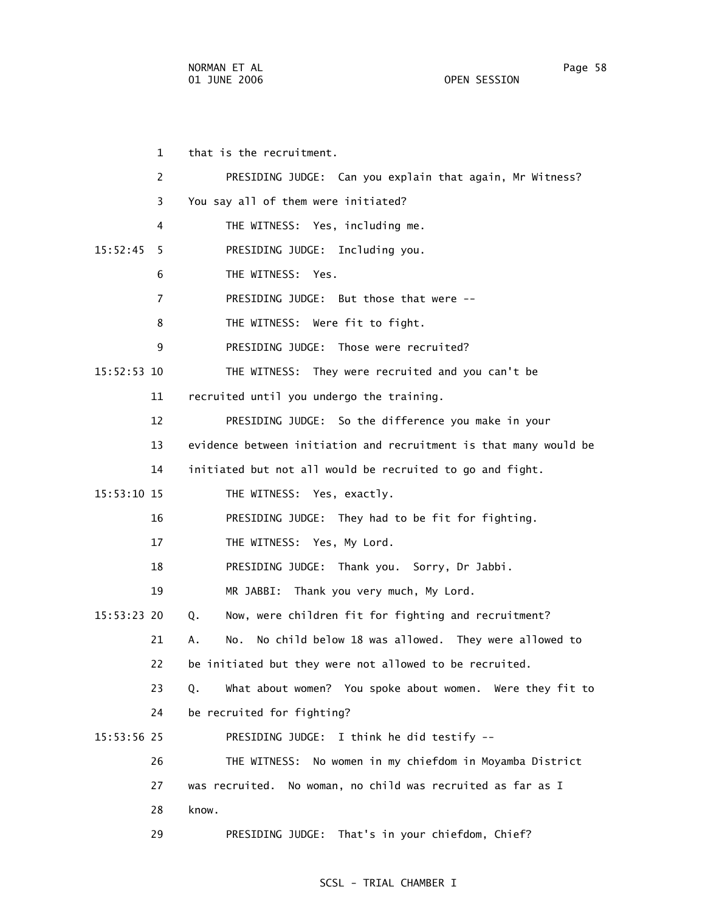1 that is the recruitment. 2 PRESIDING JUDGE: Can you explain that again, Mr Witness? 3 You say all of them were initiated? 4 THE WITNESS: Yes, including me. 15:52:45 5 PRESIDING JUDGE: Including you. 6 THE WITNESS: Yes. 7 PRESIDING JUDGE: But those that were -- 8 THE WITNESS: Were fit to fight. 9 PRESIDING JUDGE: Those were recruited? 15:52:53 10 THE WITNESS: They were recruited and you can't be 11 recruited until you undergo the training. 12 PRESIDING JUDGE: So the difference you make in your 13 evidence between initiation and recruitment is that many would be 14 initiated but not all would be recruited to go and fight. 15:53:10 15 THE WITNESS: Yes, exactly. 16 PRESIDING JUDGE: They had to be fit for fighting. 17 THE WITNESS: Yes, My Lord. 18 PRESIDING JUDGE: Thank you. Sorry, Dr Jabbi. 19 MR JABBI: Thank you very much, My Lord. 15:53:23 20 Q. Now, were children fit for fighting and recruitment? 21 A. No. No child below 18 was allowed. They were allowed to 22 be initiated but they were not allowed to be recruited. 23 Q. What about women? You spoke about women. Were they fit to 24 be recruited for fighting? 15:53:56 25 PRESIDING JUDGE: I think he did testify -- 26 THE WITNESS: No women in my chiefdom in Moyamba District 27 was recruited. No woman, no child was recruited as far as I 28 know. 29 PRESIDING JUDGE: That's in your chiefdom, Chief?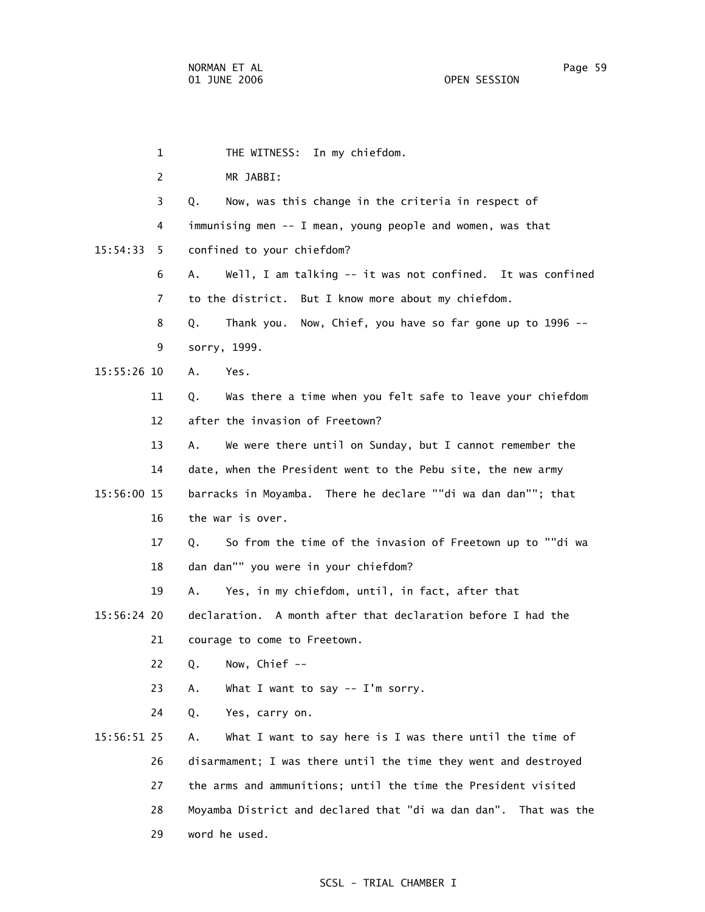1 THE WITNESS: In my chiefdom. 2 MR JABBI: 3 Q. Now, was this change in the criteria in respect of 4 immunising men -- I mean, young people and women, was that 15:54:33 5 confined to your chiefdom? 6 A. Well, I am talking -- it was not confined. It was confined 7 to the district. But I know more about my chiefdom. 8 Q. Thank you. Now, Chief, you have so far gone up to 1996 -- 9 sorry, 1999. 15:55:26 10 A. Yes. 11 Q. Was there a time when you felt safe to leave your chiefdom 12 after the invasion of Freetown? 13 A. We were there until on Sunday, but I cannot remember the 14 date, when the President went to the Pebu site, the new army 15:56:00 15 barracks in Moyamba. There he declare ""di wa dan dan""; that 16 the war is over. 17 Q. So from the time of the invasion of Freetown up to ""di wa 18 dan dan"" you were in your chiefdom? 19 A. Yes, in my chiefdom, until, in fact, after that 15:56:24 20 declaration. A month after that declaration before I had the 21 courage to come to Freetown. 22 Q. Now, Chief -- 23 A. What I want to say -- I'm sorry. 24 Q. Yes, carry on. 15:56:51 25 A. What I want to say here is I was there until the time of 26 disarmament; I was there until the time they went and destroyed 27 the arms and ammunitions; until the time the President visited 28 Moyamba District and declared that "di wa dan dan". That was the 29 word he used.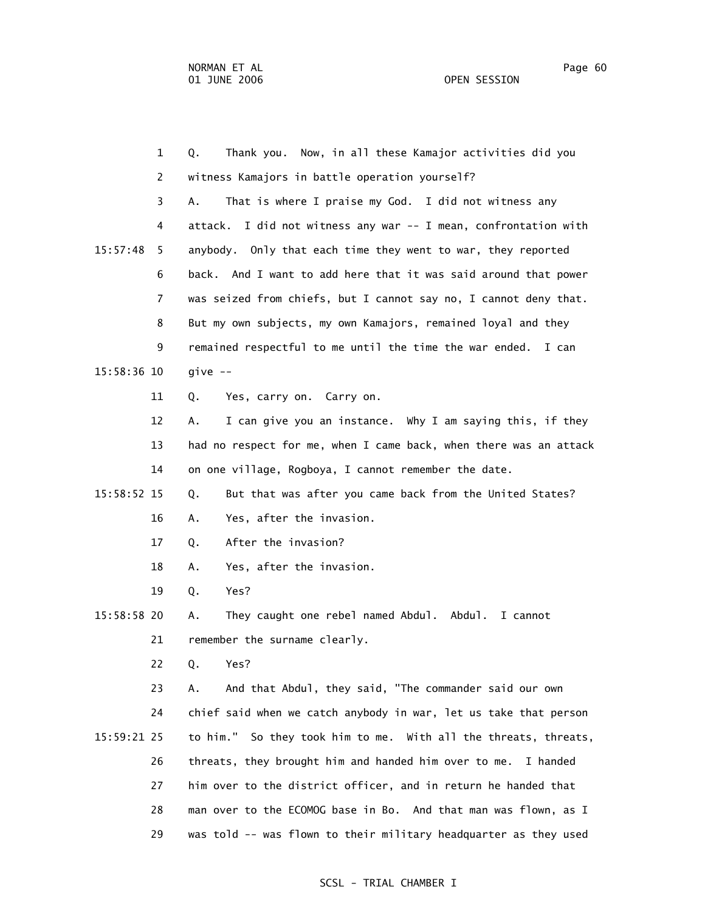1 Q. Thank you. Now, in all these Kamajor activities did you 2 witness Kamajors in battle operation yourself? 3 A. That is where I praise my God. I did not witness any 4 attack. I did not witness any war -- I mean, confrontation with 15:57:48 5 anybody. Only that each time they went to war, they reported 6 back. And I want to add here that it was said around that power 7 was seized from chiefs, but I cannot say no, I cannot deny that. 8 But my own subjects, my own Kamajors, remained loyal and they 9 remained respectful to me until the time the war ended. I can 15:58:36 10 give -- 11 Q. Yes, carry on. Carry on. 12 A. I can give you an instance. Why I am saying this, if they 13 had no respect for me, when I came back, when there was an attack 14 on one village, Rogboya, I cannot remember the date. 15:58:52 15 Q. But that was after you came back from the United States? 16 A. Yes, after the invasion. 17 Q. After the invasion? 18 A. Yes, after the invasion. 19 Q. Yes? 15:58:58 20 A. They caught one rebel named Abdul. Abdul. I cannot 21 remember the surname clearly. 22 Q. Yes? 23 A. And that Abdul, they said, "The commander said our own 24 chief said when we catch anybody in war, let us take that person 15:59:21 25 to him." So they took him to me. With all the threats, threats, 26 threats, they brought him and handed him over to me. I handed 27 him over to the district officer, and in return he handed that 28 man over to the ECOMOG base in Bo. And that man was flown, as I

29 was told -- was flown to their military headquarter as they used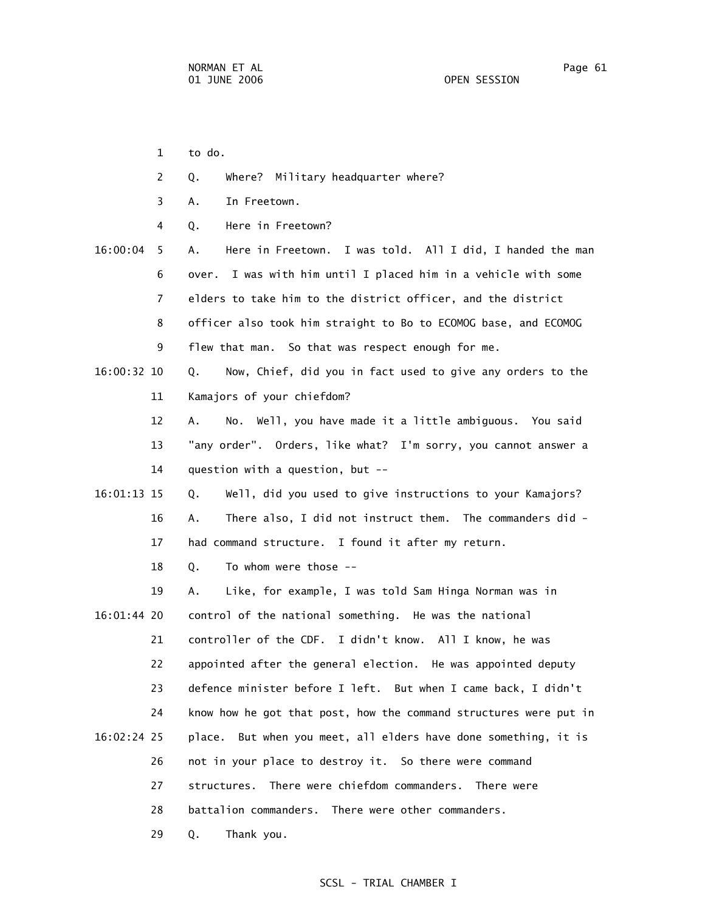- 1 to do.
- 2 Q. Where? Military headquarter where?
- 3 A. In Freetown.
- 4 Q. Here in Freetown?
- 16:00:04 5 A. Here in Freetown. I was told. All I did, I handed the man 6 over. I was with him until I placed him in a vehicle with some 7 elders to take him to the district officer, and the district 8 officer also took him straight to Bo to ECOMOG base, and ECOMOG 9 flew that man. So that was respect enough for me.
- 16:00:32 10 Q. Now, Chief, did you in fact used to give any orders to the 11 Kamajors of your chiefdom?
	- 12 A. No. Well, you have made it a little ambiguous. You said 13 "any order". Orders, like what? I'm sorry, you cannot answer a 14 question with a question, but --
- 16:01:13 15 Q. Well, did you used to give instructions to your Kamajors? 16 A. There also, I did not instruct them. The commanders did - 17 had command structure. I found it after my return.
	- 18 Q. To whom were those --
- 19 A. Like, for example, I was told Sam Hinga Norman was in 16:01:44 20 control of the national something. He was the national 21 controller of the CDF. I didn't know. All I know, he was 22 appointed after the general election. He was appointed deputy 23 defence minister before I left. But when I came back, I didn't 24 know how he got that post, how the command structures were put in 16:02:24 25 place. But when you meet, all elders have done something, it is 26 not in your place to destroy it. So there were command 27 structures. There were chiefdom commanders. There were 28 battalion commanders. There were other commanders.

29 Q. Thank you.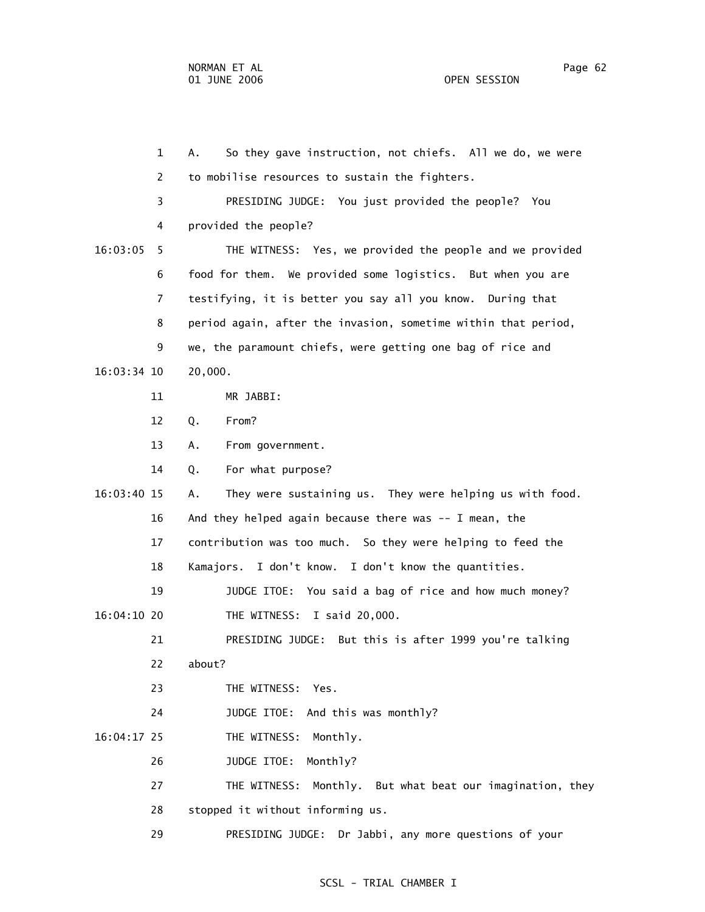1 A. So they gave instruction, not chiefs. All we do, we were 2 to mobilise resources to sustain the fighters. 3 PRESIDING JUDGE: You just provided the people? You 4 provided the people? 16:03:05 5 THE WITNESS: Yes, we provided the people and we provided 6 food for them. We provided some logistics. But when you are 7 testifying, it is better you say all you know. During that 8 period again, after the invasion, sometime within that period, 9 we, the paramount chiefs, were getting one bag of rice and 16:03:34 10 20,000. 11 MR JABBI: 12 Q. From? 13 A. From government. 14 Q. For what purpose? 16:03:40 15 A. They were sustaining us. They were helping us with food. 16 And they helped again because there was -- I mean, the 17 contribution was too much. So they were helping to feed the 18 Kamajors. I don't know. I don't know the quantities. 19 JUDGE ITOE: You said a bag of rice and how much money? 16:04:10 20 THE WITNESS: I said 20,000. 21 PRESIDING JUDGE: But this is after 1999 you're talking 22 about? 23 THE WITNESS: Yes. 24 JUDGE ITOE: And this was monthly? 16:04:17 25 THE WITNESS: Monthly. 26 JUDGE ITOE: Monthly? 27 THE WITNESS: Monthly. But what beat our imagination, they 28 stopped it without informing us. 29 PRESIDING JUDGE: Dr Jabbi, any more questions of your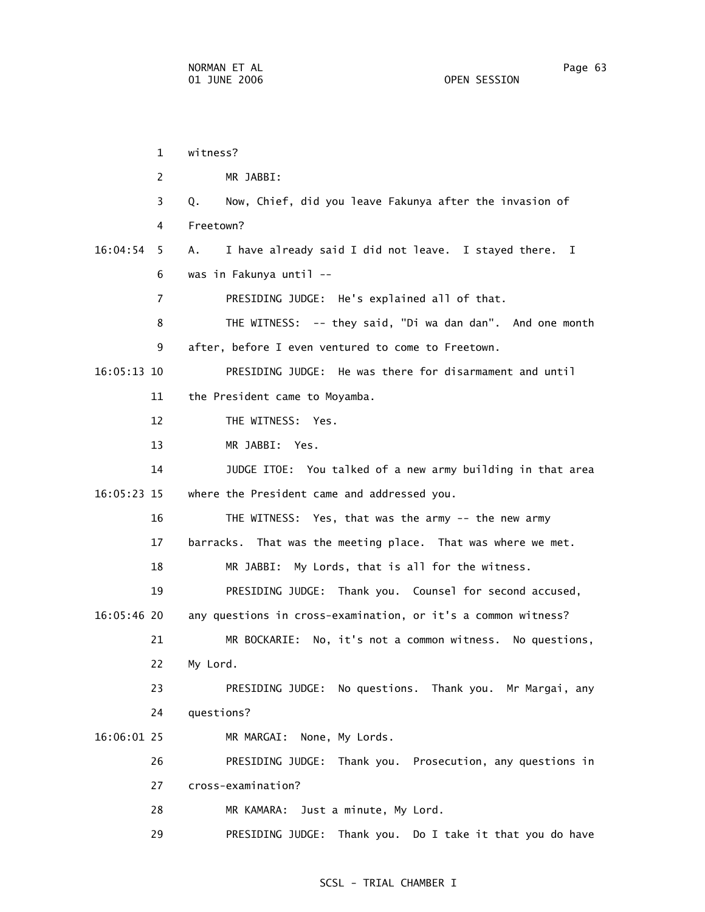|               | $\mathbf{1}$   | witness?                                                      |
|---------------|----------------|---------------------------------------------------------------|
|               | 2              | MR JABBI:                                                     |
|               | 3              | Now, Chief, did you leave Fakunya after the invasion of<br>Q. |
|               | 4              | Freetown?                                                     |
| 16:04:54      | 5              | I have already said I did not leave. I stayed there. I<br>А.  |
|               | 6              | was in Fakunya until --                                       |
|               | $\overline{7}$ | PRESIDING JUDGE: He's explained all of that.                  |
|               | 8              | THE WITNESS: -- they said, "Di wa dan dan". And one month     |
|               | 9              | after, before I even ventured to come to Freetown.            |
| $16:05:13$ 10 |                | PRESIDING JUDGE: He was there for disarmament and until       |
|               | 11             | the President came to Moyamba.                                |
|               | 12             | THE WITNESS: Yes.                                             |
|               | 13             | MR JABBI: Yes.                                                |
|               | 14             | JUDGE ITOE: You talked of a new army building in that area    |
| 16:05:23 15   |                | where the President came and addressed you.                   |
|               | 16             | THE WITNESS: Yes, that was the army -- the new army           |
|               | 17             | barracks. That was the meeting place. That was where we met.  |
|               | 18             | MR JABBI: My Lords, that is all for the witness.              |
|               | 19             | PRESIDING JUDGE: Thank you. Counsel for second accused,       |
| 16:05:46 20   |                | any questions in cross-examination, or it's a common witness? |
|               | 21             | MR BOCKARIE:<br>No, it's not a common witness. No questions,  |
|               | 22             | My Lord.                                                      |
|               | 23             | PRESIDING JUDGE: No questions. Thank you. Mr Margai, any      |
|               | 24             | questions?                                                    |
| 16:06:01 25   |                | MR MARGAI: None, My Lords.                                    |
|               | 26             | PRESIDING JUDGE: Thank you. Prosecution, any questions in     |
|               | 27             | cross-examination?                                            |
|               | 28             | Just a minute, My Lord.<br>MR KAMARA:                         |
|               | 29             | PRESIDING JUDGE: Thank you. Do I take it that you do have     |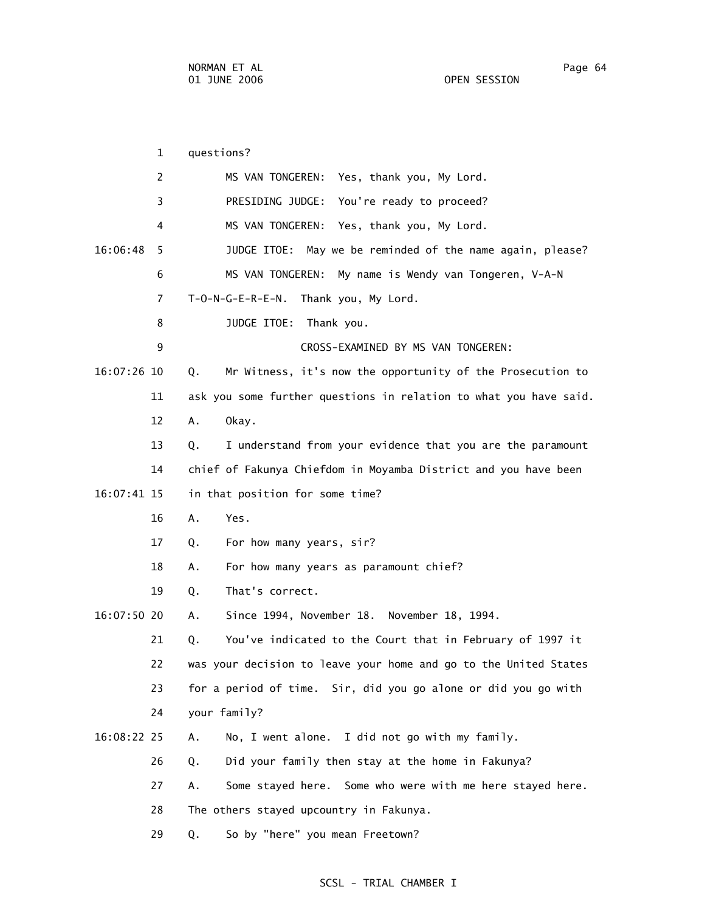1 questions? 2 MS VAN TONGEREN: Yes, thank you, My Lord. 3 PRESIDING JUDGE: You're ready to proceed? 4 MS VAN TONGEREN: Yes, thank you, My Lord. 16:06:48 5 JUDGE ITOE: May we be reminded of the name again, please? 6 MS VAN TONGEREN: My name is Wendy van Tongeren, V-A-N 7 T-O-N-G-E-R-E-N. Thank you, My Lord. 8 JUDGE ITOE: Thank you. 9 CROSS-EXAMINED BY MS VAN TONGEREN: 16:07:26 10 Q. Mr Witness, it's now the opportunity of the Prosecution to 11 ask you some further questions in relation to what you have said. 12 A. Okay. 13 Q. I understand from your evidence that you are the paramount 14 chief of Fakunya Chiefdom in Moyamba District and you have been 16:07:41 15 in that position for some time? 16 A. Yes. 17 Q. For how many years, sir? 18 A. For how many years as paramount chief? 19 Q. That's correct. 16:07:50 20 A. Since 1994, November 18. November 18, 1994. 21 Q. You've indicated to the Court that in February of 1997 it 22 was your decision to leave your home and go to the United States 23 for a period of time. Sir, did you go alone or did you go with 24 your family? 16:08:22 25 A. No, I went alone. I did not go with my family. 26 Q. Did your family then stay at the home in Fakunya? 27 A. Some stayed here. Some who were with me here stayed here. 28 The others stayed upcountry in Fakunya. 29 Q. So by "here" you mean Freetown?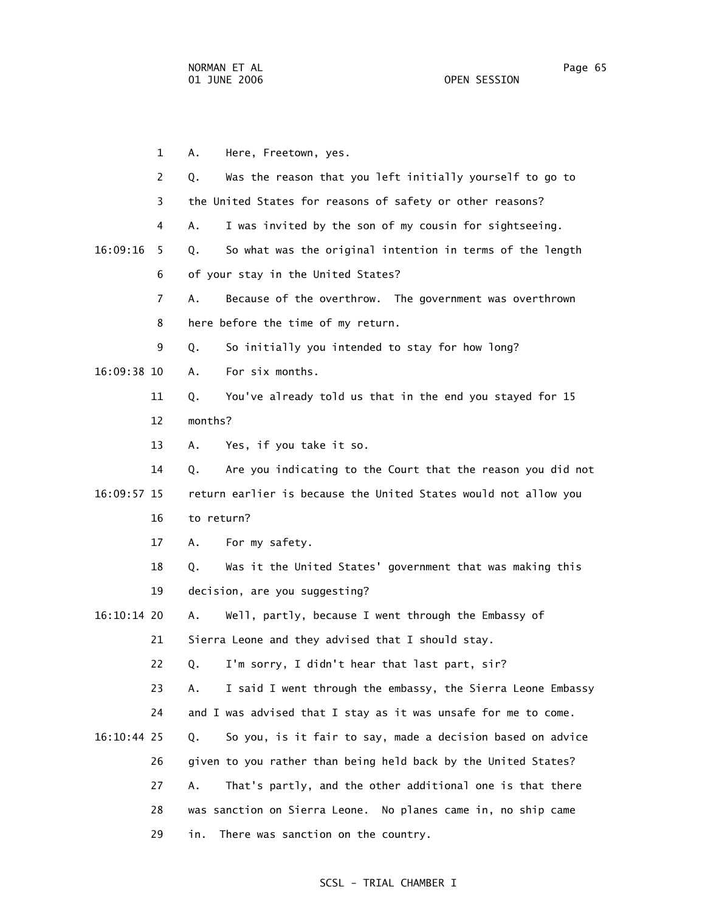1 A. Here, Freetown, yes. 2 Q. Was the reason that you left initially yourself to go to 3 the United States for reasons of safety or other reasons? 4 A. I was invited by the son of my cousin for sightseeing. 16:09:16 5 Q. So what was the original intention in terms of the length 6 of your stay in the United States? 7 A. Because of the overthrow. The government was overthrown 8 here before the time of my return. 9 Q. So initially you intended to stay for how long? 16:09:38 10 A. For six months. 11 Q. You've already told us that in the end you stayed for 15 12 months? 13 A. Yes, if you take it so. 14 Q. Are you indicating to the Court that the reason you did not 16:09:57 15 return earlier is because the United States would not allow you 16 to return? 17 A. For my safety. 18 Q. Was it the United States' government that was making this 19 decision, are you suggesting? 16:10:14 20 A. Well, partly, because I went through the Embassy of 21 Sierra Leone and they advised that I should stay. 22 Q. I'm sorry, I didn't hear that last part, sir? 23 A. I said I went through the embassy, the Sierra Leone Embassy 24 and I was advised that I stay as it was unsafe for me to come. 16:10:44 25 Q. So you, is it fair to say, made a decision based on advice 26 given to you rather than being held back by the United States? 27 A. That's partly, and the other additional one is that there 28 was sanction on Sierra Leone. No planes came in, no ship came 29 in. There was sanction on the country.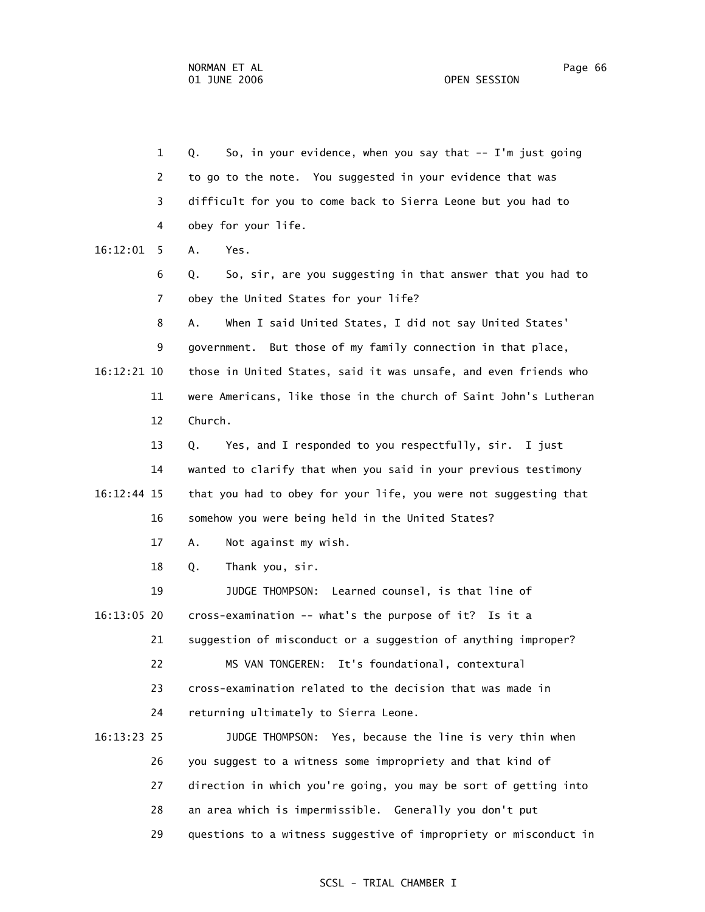1 Q. So, in your evidence, when you say that -- I'm just going 2 to go to the note. You suggested in your evidence that was 3 difficult for you to come back to Sierra Leone but you had to 4 obey for your life. 16:12:01 5 A. Yes. 6 Q. So, sir, are you suggesting in that answer that you had to 7 obey the United States for your life? 8 A. When I said United States, I did not say United States' 9 government. But those of my family connection in that place, 16:12:21 10 those in United States, said it was unsafe, and even friends who 11 were Americans, like those in the church of Saint John's Lutheran 12 Church. 13 Q. Yes, and I responded to you respectfully, sir. I just 14 wanted to clarify that when you said in your previous testimony 16:12:44 15 that you had to obey for your life, you were not suggesting that 16 somehow you were being held in the United States? 17 A. Not against my wish. 18 Q. Thank you, sir. 19 JUDGE THOMPSON: Learned counsel, is that line of 16:13:05 20 cross-examination -- what's the purpose of it? Is it a 21 suggestion of misconduct or a suggestion of anything improper? 22 MS VAN TONGEREN: It's foundational, contextural 23 cross-examination related to the decision that was made in 24 returning ultimately to Sierra Leone. 16:13:23 25 JUDGE THOMPSON: Yes, because the line is very thin when 26 you suggest to a witness some impropriety and that kind of 27 direction in which you're going, you may be sort of getting into 28 an area which is impermissible. Generally you don't put 29 questions to a witness suggestive of impropriety or misconduct in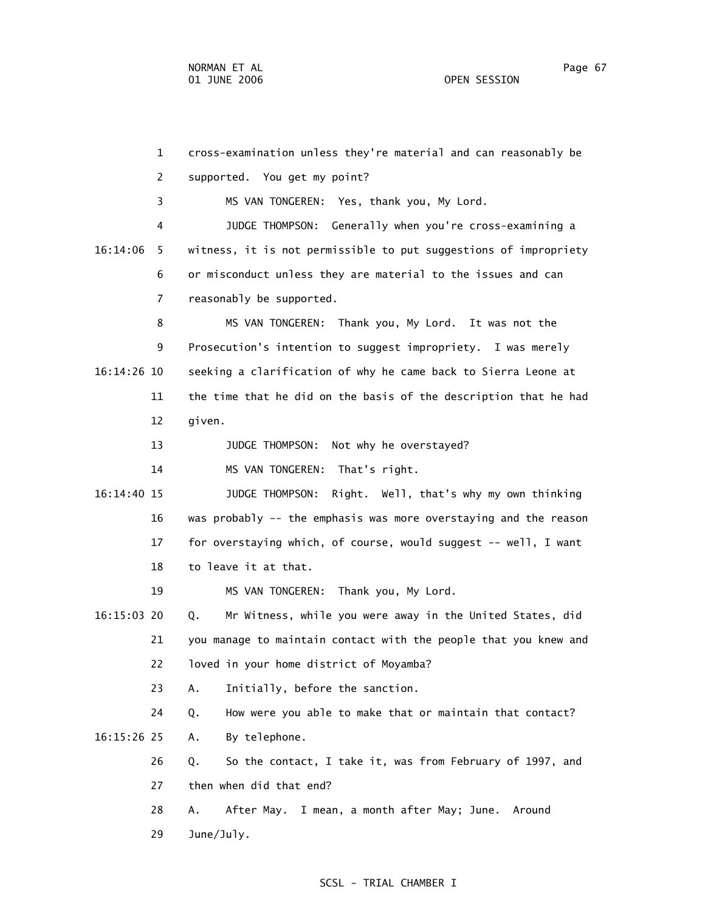1 cross-examination unless they're material and can reasonably be 2 supported. You get my point? 3 MS VAN TONGEREN: Yes, thank you, My Lord. 4 JUDGE THOMPSON: Generally when you're cross-examining a 16:14:06 5 witness, it is not permissible to put suggestions of impropriety 6 or misconduct unless they are material to the issues and can 7 reasonably be supported. 8 MS VAN TONGEREN: Thank you, My Lord. It was not the 9 Prosecution's intention to suggest impropriety. I was merely 16:14:26 10 seeking a clarification of why he came back to Sierra Leone at 11 the time that he did on the basis of the description that he had 12 given. 13 JUDGE THOMPSON: Not why he overstayed? 14 MS VAN TONGEREN: That's right. 16:14:40 15 JUDGE THOMPSON: Right. Well, that's why my own thinking 16 was probably -- the emphasis was more overstaying and the reason 17 for overstaying which, of course, would suggest -- well, I want 18 to leave it at that. 19 MS VAN TONGEREN: Thank you, My Lord. 16:15:03 20 Q. Mr Witness, while you were away in the United States, did 21 you manage to maintain contact with the people that you knew and 22 loved in your home district of Moyamba? 23 A. Initially, before the sanction. 24 Q. How were you able to make that or maintain that contact? 16:15:26 25 A. By telephone. 26 Q. So the contact, I take it, was from February of 1997, and 27 then when did that end? 28 A. After May. I mean, a month after May; June. Around 29 June/July.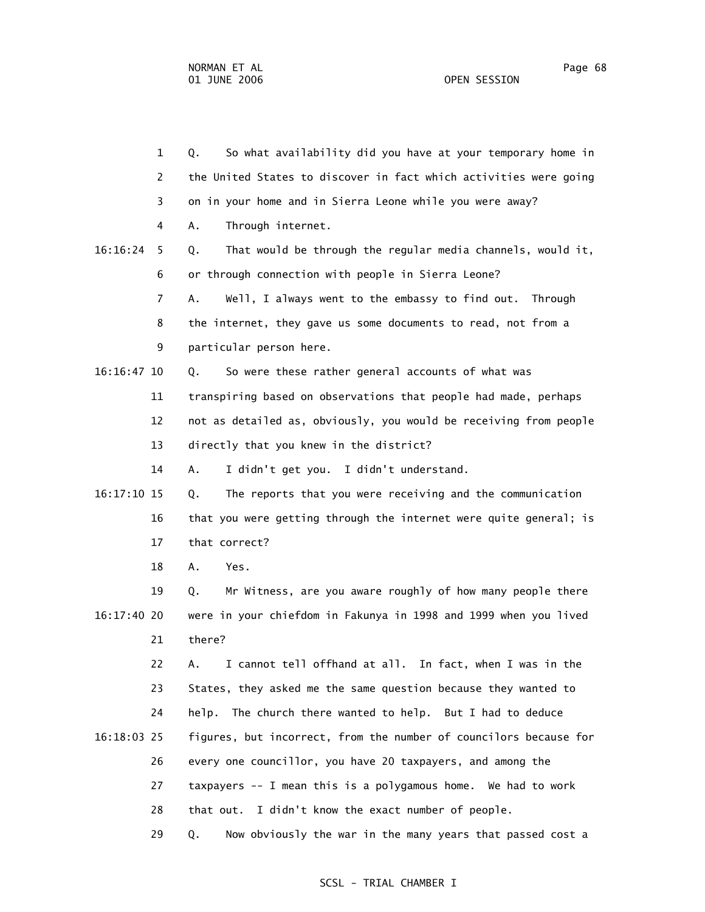|             | $\mathbf{1}$ | So what availability did you have at your temporary home in<br>Q. |
|-------------|--------------|-------------------------------------------------------------------|
|             | 2            | the United States to discover in fact which activities were going |
|             | 3            | on in your home and in Sierra Leone while you were away?          |
|             | 4            | Through internet.<br>А.                                           |
| 16:16:24    | 5            | That would be through the regular media channels, would it,<br>Q. |
|             | 6            | or through connection with people in Sierra Leone?                |
|             | 7            | Α.<br>Well, I always went to the embassy to find out. Through     |
|             | 8            | the internet, they gave us some documents to read, not from a     |
|             | 9            | particular person here.                                           |
| 16:16:47 10 |              | So were these rather general accounts of what was<br>Q.           |
|             | 11           | transpiring based on observations that people had made, perhaps   |
|             | 12           | not as detailed as, obviously, you would be receiving from people |
|             | 13           | directly that you knew in the district?                           |
|             | 14           | I didn't get you. I didn't understand.<br>Α.                      |
| 16:17:10 15 |              | The reports that you were receiving and the communication<br>Q.   |
|             | 16           | that you were getting through the internet were quite general; is |
|             | 17           | that correct?                                                     |
|             | 18           | А.<br>Yes.                                                        |
|             | 19           | Mr Witness, are you aware roughly of how many people there<br>Q.  |
| 16:17:40 20 |              | were in your chiefdom in Fakunya in 1998 and 1999 when you lived  |
|             | 21           | there?                                                            |
|             | 22           | I cannot tell offhand at all. In fact, when I was in the<br>Α.    |
|             | 23           | States, they asked me the same question because they wanted to    |
|             | 24           | help. The church there wanted to help. But I had to deduce        |
| 16:18:03 25 |              | figures, but incorrect, from the number of councilors because for |
|             | 26           | every one councillor, you have 20 taxpayers, and among the        |
|             | 27           | taxpayers -- I mean this is a polygamous home. We had to work     |
|             | 28           | that out. I didn't know the exact number of people.               |
|             | 29           | Now obviously the war in the many years that passed cost a<br>Q.  |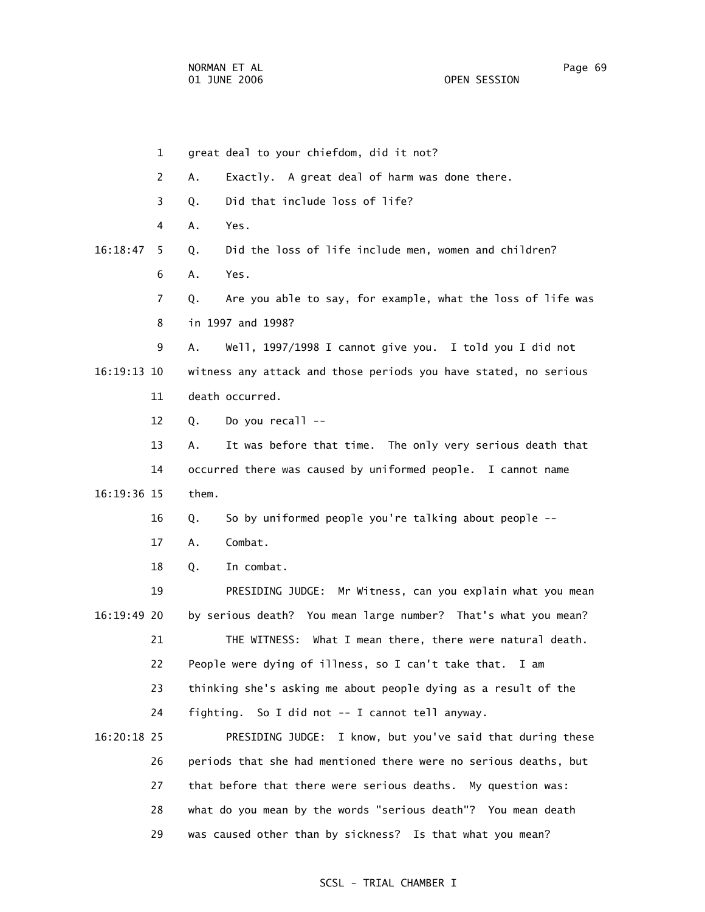1 great deal to your chiefdom, did it not? 2 A. Exactly. A great deal of harm was done there. 3 Q. Did that include loss of life? 4 A. Yes. 16:18:47 5 Q. Did the loss of life include men, women and children? 6 A. Yes. 7 Q. Are you able to say, for example, what the loss of life was 8 in 1997 and 1998? 9 A. Well, 1997/1998 I cannot give you. I told you I did not 16:19:13 10 witness any attack and those periods you have stated, no serious 11 death occurred. 12 Q. Do you recall -- 13 A. It was before that time. The only very serious death that 14 occurred there was caused by uniformed people. I cannot name 16:19:36 15 them. 16 Q. So by uniformed people you're talking about people -- 17 A. Combat. 18 Q. In combat. 19 PRESIDING JUDGE: Mr Witness, can you explain what you mean 16:19:49 20 by serious death? You mean large number? That's what you mean? 21 THE WITNESS: What I mean there, there were natural death. 22 People were dying of illness, so I can't take that. I am 23 thinking she's asking me about people dying as a result of the 24 fighting. So I did not -- I cannot tell anyway. 16:20:18 25 PRESIDING JUDGE: I know, but you've said that during these 26 periods that she had mentioned there were no serious deaths, but 27 that before that there were serious deaths. My question was: 28 what do you mean by the words "serious death"? You mean death 29 was caused other than by sickness? Is that what you mean?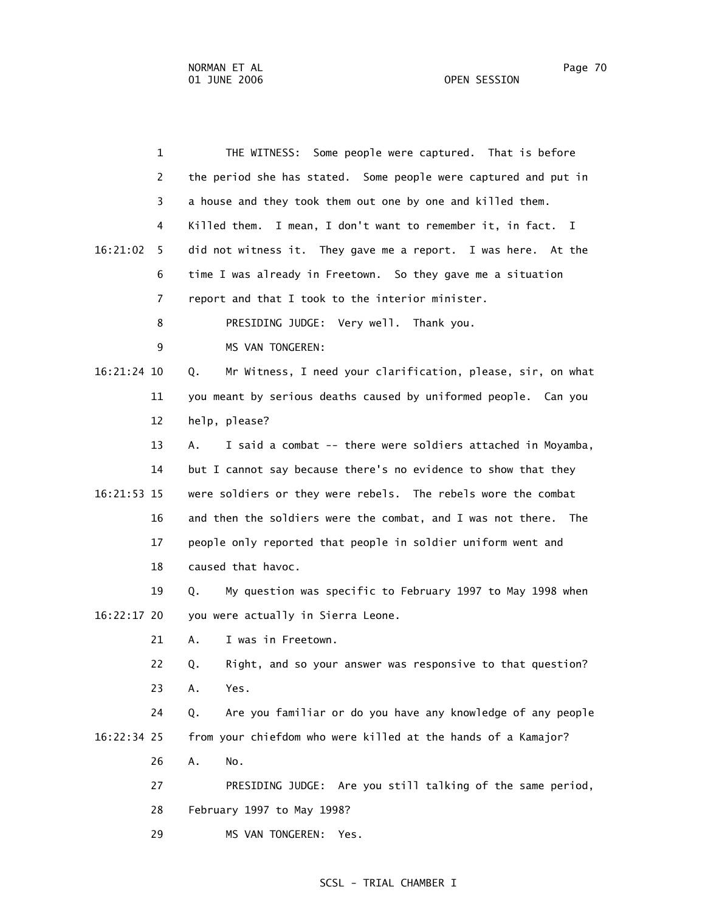| $\mathbf 1$    | THE WITNESS: Some people were captured. That is before            |
|----------------|-------------------------------------------------------------------|
| 2              | the period she has stated. Some people were captured and put in   |
| 3              | a house and they took them out one by one and killed them.        |
| 4              | Killed them. I mean, I don't want to remember it, in fact. I      |
| 16:21:02<br>5. | did not witness it. They gave me a report. I was here. At the     |
| 6              | time I was already in Freetown. So they gave me a situation       |
| 7              | report and that I took to the interior minister.                  |
| 8              | PRESIDING JUDGE: Very well. Thank you.                            |
| 9              | MS VAN TONGEREN:                                                  |
| 16:21:24 10    | Mr Witness, I need your clarification, please, sir, on what<br>Q. |
| 11             | you meant by serious deaths caused by uniformed people. Can you   |
| 12             | help, please?                                                     |
| 13             | I said a combat -- there were soldiers attached in Moyamba,<br>А. |
| 14             | but I cannot say because there's no evidence to show that they    |
| 16:21:53 15    | were soldiers or they were rebels. The rebels wore the combat     |
| 16             | and then the soldiers were the combat, and I was not there. The   |
| 17             | people only reported that people in soldier uniform went and      |
| 18             | caused that havoc.                                                |
| 19             | My question was specific to February 1997 to May 1998 when<br>Q.  |
| 16:22:17 20    | you were actually in Sierra Leone.                                |
| 21             | I was in Freetown.<br>Α.                                          |
| 22             | Right, and so your answer was responsive to that question?<br>Q.  |
| 23             | Yes.<br>Α.                                                        |
| 24             | Are you familiar or do you have any knowledge of any people<br>Q. |
| 16:22:34 25    | from your chiefdom who were killed at the hands of a Kamajor?     |
| 26             | Α.<br>No.                                                         |
| 27             | PRESIDING JUDGE: Are you still talking of the same period,        |
| 28             | February 1997 to May 1998?                                        |
| 29             | MS VAN TONGEREN:<br>Yes.                                          |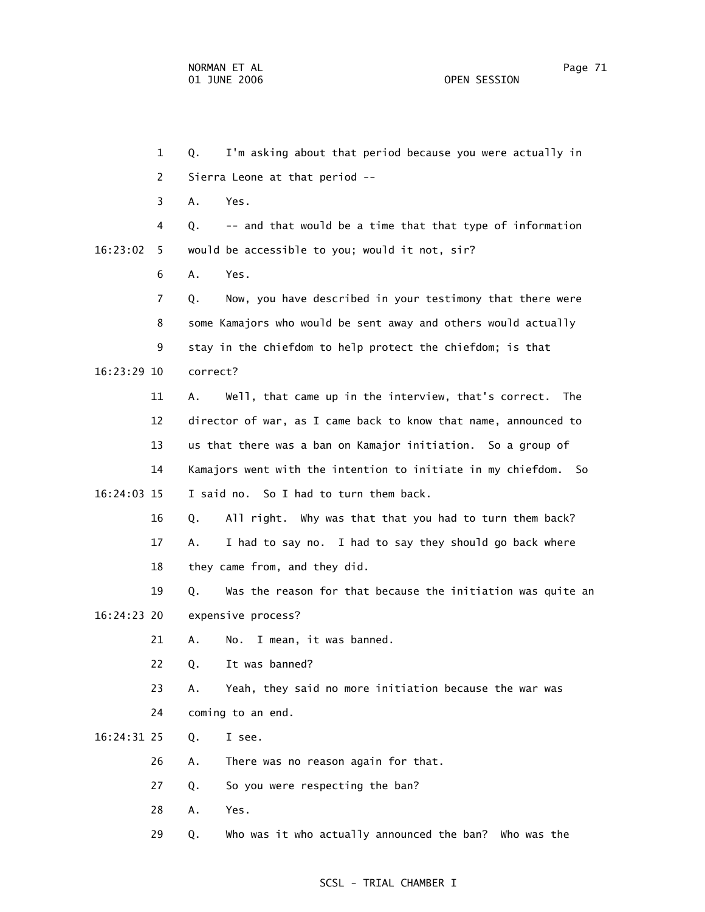1 Q. I'm asking about that period because you were actually in 2 Sierra Leone at that period -- 3 A. Yes. 4 Q. -- and that would be a time that that type of information 16:23:02 5 would be accessible to you; would it not, sir? 6 A. Yes. 7 Q. Now, you have described in your testimony that there were 8 some Kamajors who would be sent away and others would actually 9 stay in the chiefdom to help protect the chiefdom; is that 16:23:29 10 correct? 11 A. Well, that came up in the interview, that's correct. The 12 director of war, as I came back to know that name, announced to 13 us that there was a ban on Kamajor initiation. So a group of 14 Kamajors went with the intention to initiate in my chiefdom. So 16:24:03 15 I said no. So I had to turn them back. 16 Q. All right. Why was that that you had to turn them back? 17 A. I had to say no. I had to say they should go back where 18 they came from, and they did. 19 Q. Was the reason for that because the initiation was quite an 16:24:23 20 expensive process? 21 A. No. I mean, it was banned. 22 Q. It was banned? 23 A. Yeah, they said no more initiation because the war was 24 coming to an end. 16:24:31 25 Q. I see. 26 A. There was no reason again for that. 27 Q. So you were respecting the ban? 28 A. Yes. 29 Q. Who was it who actually announced the ban? Who was the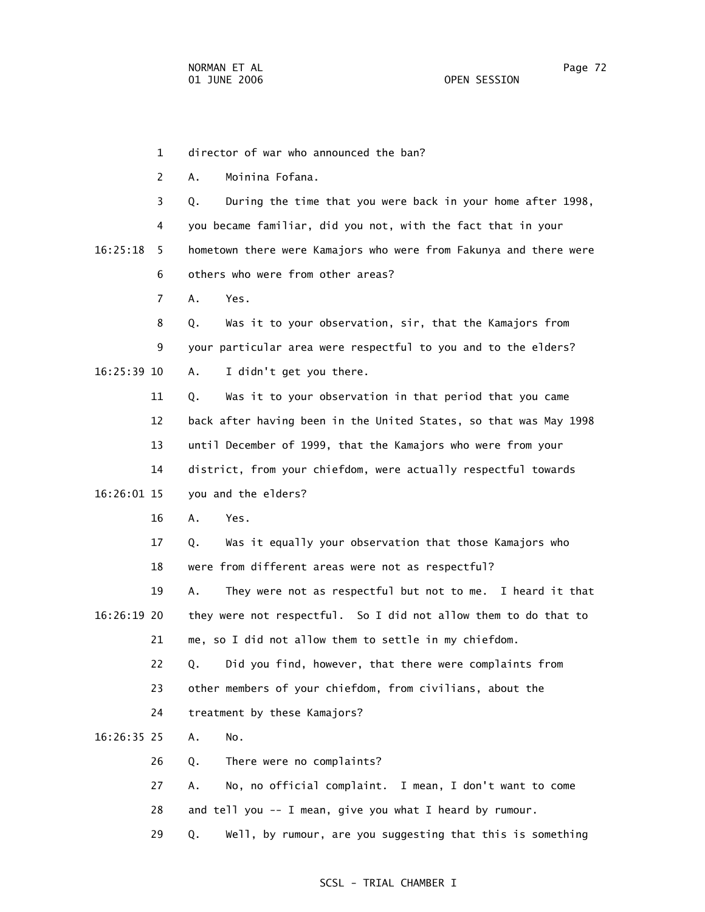1 director of war who announced the ban?

2 A. Moinina Fofana.

 3 Q. During the time that you were back in your home after 1998, 4 you became familiar, did you not, with the fact that in your 16:25:18 5 hometown there were Kamajors who were from Fakunya and there were 6 others who were from other areas?

7 A. Yes.

 8 Q. Was it to your observation, sir, that the Kamajors from 9 your particular area were respectful to you and to the elders? 16:25:39 10 A. I didn't get you there.

 11 Q. Was it to your observation in that period that you came 12 back after having been in the United States, so that was May 1998 13 until December of 1999, that the Kamajors who were from your 14 district, from your chiefdom, were actually respectful towards 16:26:01 15 you and the elders?

16 A. Yes.

 17 Q. Was it equally your observation that those Kamajors who 18 were from different areas were not as respectful?

 19 A. They were not as respectful but not to me. I heard it that 16:26:19 20 they were not respectful. So I did not allow them to do that to 21 me, so I did not allow them to settle in my chiefdom.

> 22 Q. Did you find, however, that there were complaints from 23 other members of your chiefdom, from civilians, about the

24 treatment by these Kamajors?

16:26:35 25 A. No.

26 Q. There were no complaints?

27 A. No, no official complaint. I mean, I don't want to come

28 and tell you -- I mean, give you what I heard by rumour.

29 Q. Well, by rumour, are you suggesting that this is something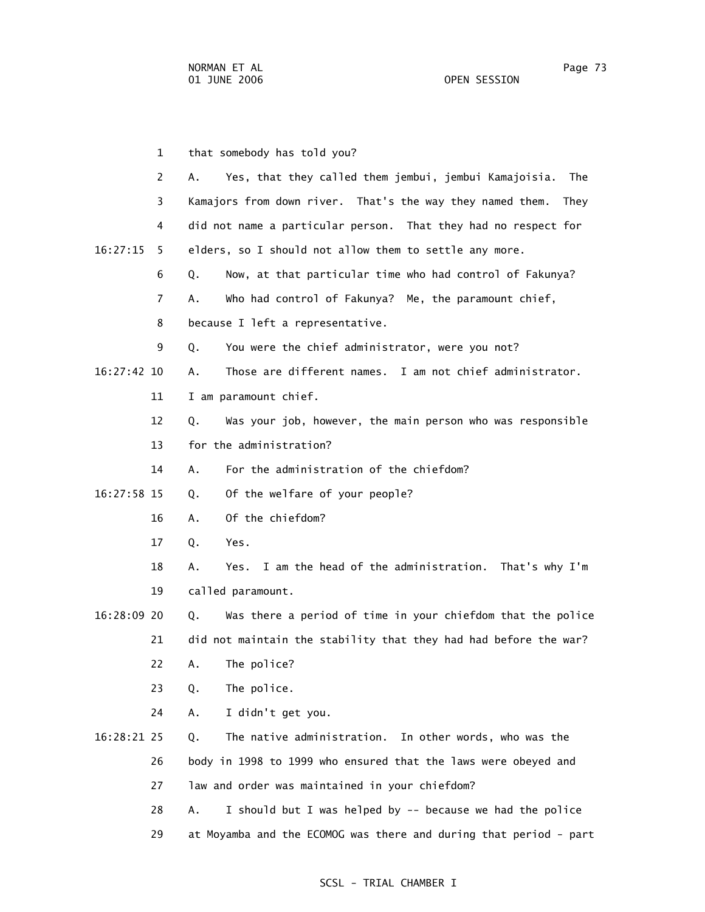1 that somebody has told you? 2 A. Yes, that they called them jembui, jembui Kamajoisia. The 3 Kamajors from down river. That's the way they named them. They 4 did not name a particular person. That they had no respect for 16:27:15 5 elders, so I should not allow them to settle any more. 6 Q. Now, at that particular time who had control of Fakunya? 7 A. Who had control of Fakunya? Me, the paramount chief, 8 because I left a representative. 9 Q. You were the chief administrator, were you not? 16:27:42 10 A. Those are different names. I am not chief administrator. 11 I am paramount chief. 12 Q. Was your job, however, the main person who was responsible 13 for the administration? 14 A. For the administration of the chiefdom? 16:27:58 15 Q. Of the welfare of your people? 16 A. Of the chiefdom? 17 Q. Yes. 18 A. Yes. I am the head of the administration. That's why I'm 19 called paramount. 16:28:09 20 Q. Was there a period of time in your chiefdom that the police 21 did not maintain the stability that they had had before the war? 22 A. The police? 23 Q. The police. 24 A. I didn't get you. 16:28:21 25 Q. The native administration. In other words, who was the 26 body in 1998 to 1999 who ensured that the laws were obeyed and 27 law and order was maintained in your chiefdom? 28 A. I should but I was helped by -- because we had the police 29 at Moyamba and the ECOMOG was there and during that period - part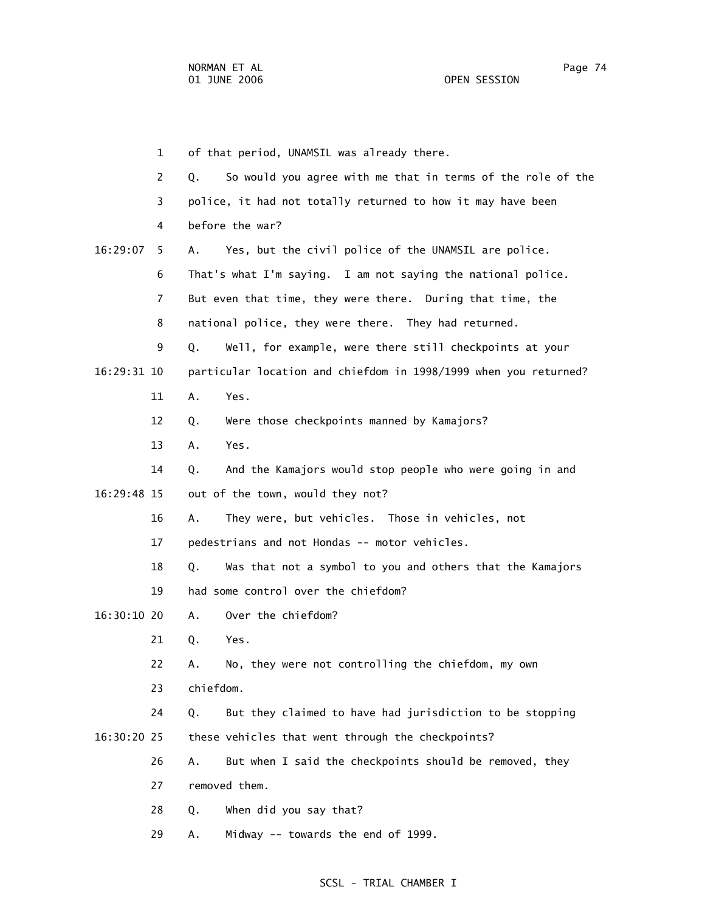1 of that period, UNAMSIL was already there. 2 Q. So would you agree with me that in terms of the role of the 3 police, it had not totally returned to how it may have been 4 before the war? 16:29:07 5 A. Yes, but the civil police of the UNAMSIL are police. 6 That's what I'm saying. I am not saying the national police. 7 But even that time, they were there. During that time, the 8 national police, they were there. They had returned. 9 Q. Well, for example, were there still checkpoints at your 16:29:31 10 particular location and chiefdom in 1998/1999 when you returned? 11 A. Yes. 12 Q. Were those checkpoints manned by Kamajors? 13 A. Yes. 14 Q. And the Kamajors would stop people who were going in and 16:29:48 15 out of the town, would they not? 16 A. They were, but vehicles. Those in vehicles, not 17 pedestrians and not Hondas -- motor vehicles. 18 Q. Was that not a symbol to you and others that the Kamajors 19 had some control over the chiefdom? 16:30:10 20 A. Over the chiefdom? 21 Q. Yes. 22 A. No, they were not controlling the chiefdom, my own 23 chiefdom. 24 Q. But they claimed to have had jurisdiction to be stopping 16:30:20 25 these vehicles that went through the checkpoints? 26 A. But when I said the checkpoints should be removed, they 27 removed them. 28 Q. When did you say that?

29 A. Midway -- towards the end of 1999.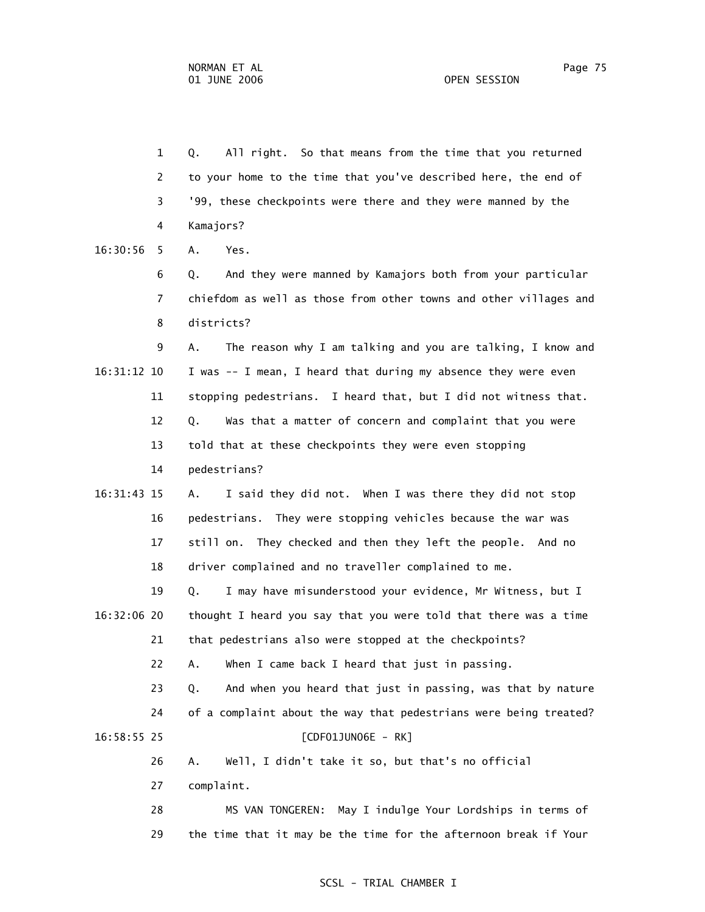1 Q. All right. So that means from the time that you returned 2 to your home to the time that you've described here, the end of 3 '99, these checkpoints were there and they were manned by the 4 Kamajors?

16:30:56 5 A. Yes.

 6 Q. And they were manned by Kamajors both from your particular 7 chiefdom as well as those from other towns and other villages and 8 districts?

 9 A. The reason why I am talking and you are talking, I know and 16:31:12 10 I was -- I mean, I heard that during my absence they were even 11 stopping pedestrians. I heard that, but I did not witness that. 12 Q. Was that a matter of concern and complaint that you were 13 told that at these checkpoints they were even stopping 14 pedestrians?

 16:31:43 15 A. I said they did not. When I was there they did not stop 16 pedestrians. They were stopping vehicles because the war was 17 still on. They checked and then they left the people. And no 18 driver complained and no traveller complained to me.

 19 Q. I may have misunderstood your evidence, Mr Witness, but I 16:32:06 20 thought I heard you say that you were told that there was a time 21 that pedestrians also were stopped at the checkpoints?

22 A. When I came back I heard that just in passing.

 23 Q. And when you heard that just in passing, was that by nature 24 of a complaint about the way that pedestrians were being treated? 16:58:55 25 [CDF01JUN06E - RK]

26 A. Well, I didn't take it so, but that's no official

27 complaint.

 28 MS VAN TONGEREN: May I indulge Your Lordships in terms of 29 the time that it may be the time for the afternoon break if Your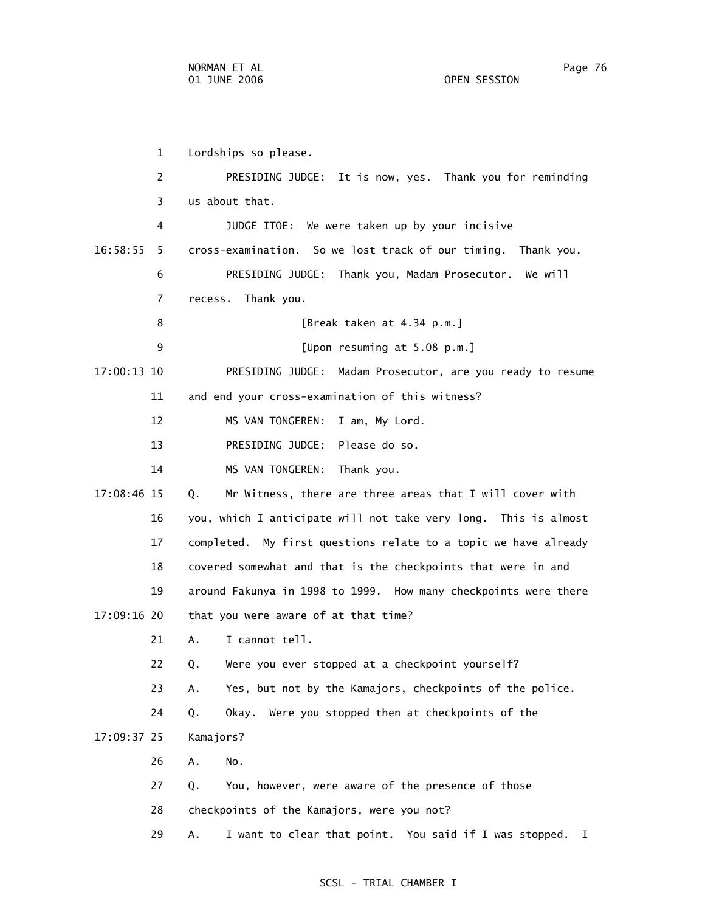1 Lordships so please. 2 PRESIDING JUDGE: It is now, yes. Thank you for reminding 3 us about that. 4 JUDGE ITOE: We were taken up by your incisive 16:58:55 5 cross-examination. So we lost track of our timing. Thank you. 6 PRESIDING JUDGE: Thank you, Madam Prosecutor. We will 7 recess. Thank you. 8 [Break taken at 4.34 p.m.] 9 [Upon resuming at 5.08 p.m.] 17:00:13 10 PRESIDING JUDGE: Madam Prosecutor, are you ready to resume 11 and end your cross-examination of this witness? 12 MS VAN TONGEREN: I am, My Lord. 13 PRESIDING JUDGE: Please do so. 14 MS VAN TONGEREN: Thank you. 17:08:46 15 Q. Mr Witness, there are three areas that I will cover with 16 you, which I anticipate will not take very long. This is almost 17 completed. My first questions relate to a topic we have already 18 covered somewhat and that is the checkpoints that were in and 19 around Fakunya in 1998 to 1999. How many checkpoints were there 17:09:16 20 that you were aware of at that time? 21 A. I cannot tell. 22 Q. Were you ever stopped at a checkpoint yourself? 23 A. Yes, but not by the Kamajors, checkpoints of the police. 24 Q. Okay. Were you stopped then at checkpoints of the 17:09:37 25 Kamajors? 26 A. No. 27 Q. You, however, were aware of the presence of those 28 checkpoints of the Kamajors, were you not? 29 A. I want to clear that point. You said if I was stopped. I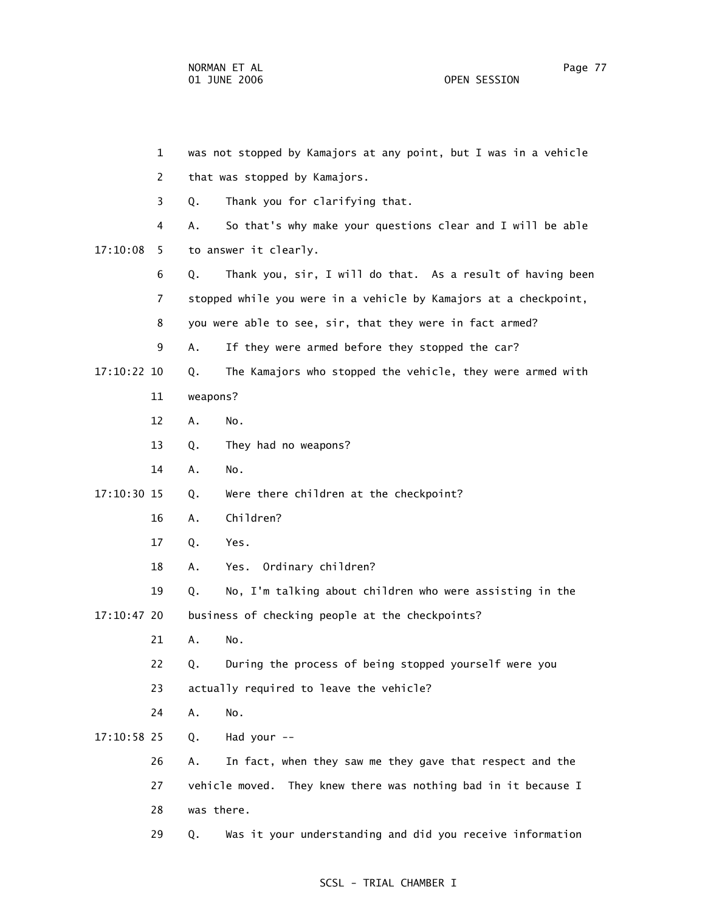|             |             | $\mathbf{1}$ | was not stopped by Kamajors at any point, but I was in a vehicle |                                                                  |  |
|-------------|-------------|--------------|------------------------------------------------------------------|------------------------------------------------------------------|--|
|             |             | 2            |                                                                  | that was stopped by Kamajors.                                    |  |
|             |             | 3            | Q.                                                               | Thank you for clarifying that.                                   |  |
|             |             | 4            | Α.                                                               | So that's why make your questions clear and I will be able       |  |
|             | 17:10:08    | 5.           |                                                                  | to answer it clearly.                                            |  |
|             |             | 6            | Q.                                                               | Thank you, sir, I will do that. As a result of having been       |  |
|             |             | 7            |                                                                  | stopped while you were in a vehicle by Kamajors at a checkpoint, |  |
|             |             | 8            |                                                                  | you were able to see, sir, that they were in fact armed?         |  |
|             |             | 9            | Α.                                                               | If they were armed before they stopped the car?                  |  |
|             | 17:10:22 10 |              | Q.                                                               | The Kamajors who stopped the vehicle, they were armed with       |  |
|             |             | 11           | weapons?                                                         |                                                                  |  |
|             |             | 12           | Α.                                                               | No.                                                              |  |
|             |             | 13           | Q.                                                               | They had no weapons?                                             |  |
|             |             | 14           | Α.                                                               | No.                                                              |  |
|             | 17:10:30 15 |              | Q.                                                               | Were there children at the checkpoint?                           |  |
|             |             | 16           | Α.                                                               | Children?                                                        |  |
|             |             | 17           | Q.                                                               | Yes.                                                             |  |
|             |             | 18           | Α.                                                               | Yes. Ordinary children?                                          |  |
|             |             | 19           | Q.                                                               | No, I'm talking about children who were assisting in the         |  |
| 17:10:47 20 |             |              | business of checking people at the checkpoints?                  |                                                                  |  |
|             |             | 21           | Α.                                                               | No.                                                              |  |
|             |             | 22           | Q.                                                               | During the process of being stopped yourself were you            |  |
|             |             | 23           |                                                                  | actually required to leave the vehicle?                          |  |
|             |             | 24           | Α.                                                               | No.                                                              |  |
|             | 17:10:58 25 |              | Q.                                                               | Had your --                                                      |  |
|             |             | 26           | Α.                                                               | In fact, when they saw me they gave that respect and the         |  |
|             |             | 27           |                                                                  | vehicle moved. They knew there was nothing bad in it because I   |  |
|             |             | 28           | was there.                                                       |                                                                  |  |
|             |             | 29           | Q.                                                               | Was it your understanding and did you receive information        |  |
|             |             |              |                                                                  |                                                                  |  |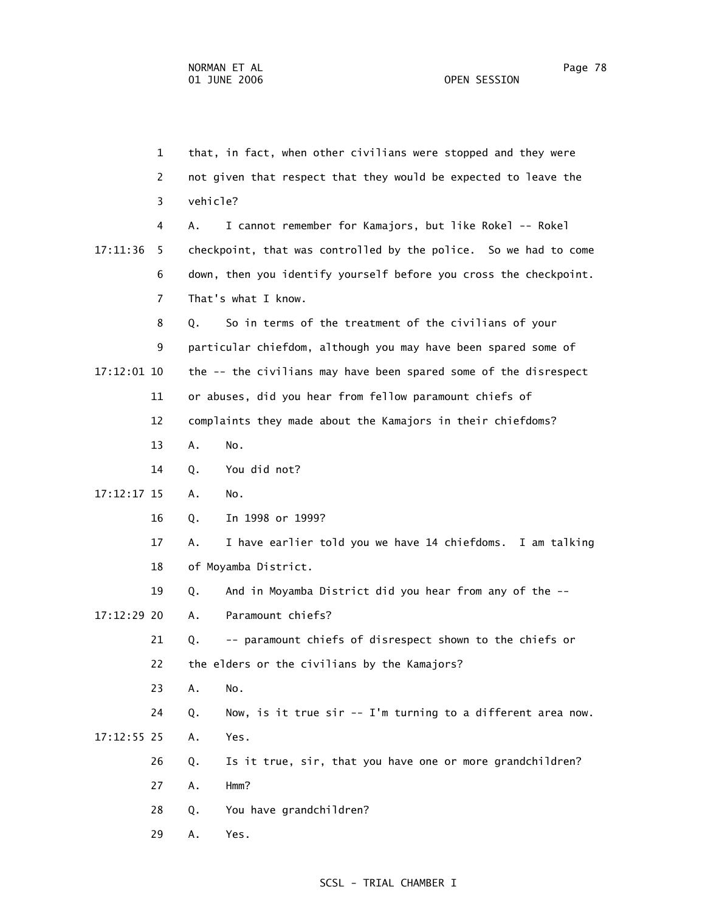1 that, in fact, when other civilians were stopped and they were 2 not given that respect that they would be expected to leave the 3 vehicle? 4 A. I cannot remember for Kamajors, but like Rokel -- Rokel 17:11:36 5 checkpoint, that was controlled by the police. So we had to come 6 down, then you identify yourself before you cross the checkpoint. 7 That's what I know. 8 Q. So in terms of the treatment of the civilians of your 9 particular chiefdom, although you may have been spared some of 17:12:01 10 the -- the civilians may have been spared some of the disrespect 11 or abuses, did you hear from fellow paramount chiefs of 12 complaints they made about the Kamajors in their chiefdoms? 13 A. No. 14 Q. You did not? 17:12:17 15 A. No. 16 Q. In 1998 or 1999? 17 A. I have earlier told you we have 14 chiefdoms. I am talking 18 of Moyamba District. 19 Q. And in Moyamba District did you hear from any of the -- 17:12:29 20 A. Paramount chiefs? 21 Q. -- paramount chiefs of disrespect shown to the chiefs or 22 the elders or the civilians by the Kamajors? 23 A. No. 24 Q. Now, is it true sir -- I'm turning to a different area now. 17:12:55 25 A. Yes. 26 Q. Is it true, sir, that you have one or more grandchildren? 27 A. Hmm? 28 Q. You have grandchildren? 29 A. Yes.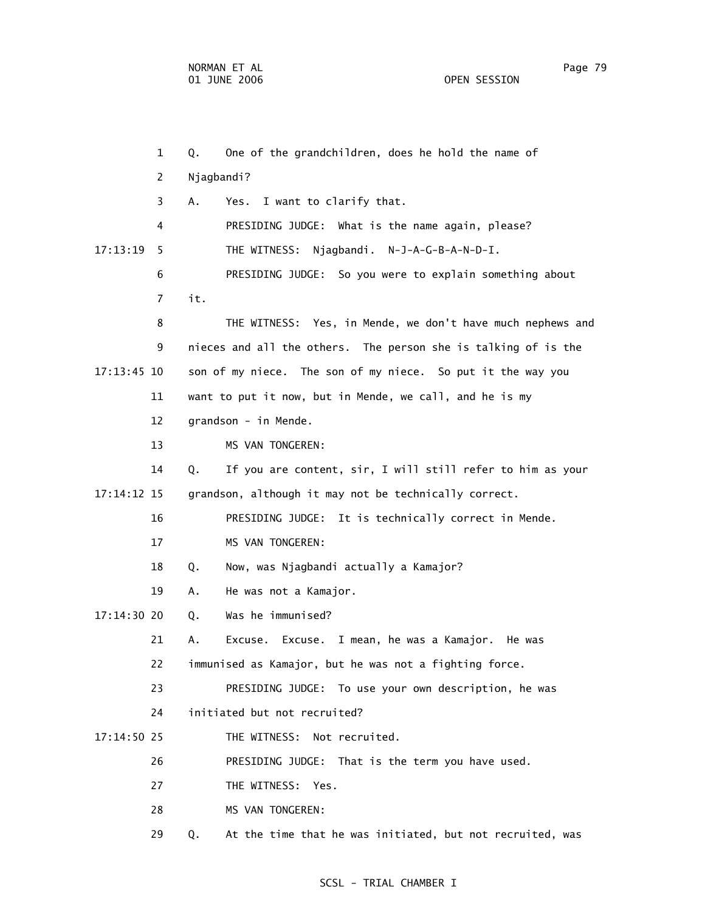1 Q. One of the grandchildren, does he hold the name of 2 Njagbandi? 3 A. Yes. I want to clarify that. 4 PRESIDING JUDGE: What is the name again, please? 17:13:19 5 THE WITNESS: Njagbandi. N-J-A-G-B-A-N-D-I. 6 PRESIDING JUDGE: So you were to explain something about 7 it. 8 THE WITNESS: Yes, in Mende, we don't have much nephews and 9 nieces and all the others. The person she is talking of is the 17:13:45 10 son of my niece. The son of my niece. So put it the way you 11 want to put it now, but in Mende, we call, and he is my 12 grandson - in Mende. 13 MS VAN TONGEREN: 14 Q. If you are content, sir, I will still refer to him as your 17:14:12 15 grandson, although it may not be technically correct. 16 PRESIDING JUDGE: It is technically correct in Mende. 17 MS VAN TONGEREN: 18 Q. Now, was Njagbandi actually a Kamajor? 19 A. He was not a Kamajor. 17:14:30 20 Q. Was he immunised? 21 A. Excuse. Excuse. I mean, he was a Kamajor. He was 22 immunised as Kamajor, but he was not a fighting force. 23 PRESIDING JUDGE: To use your own description, he was 24 initiated but not recruited? 17:14:50 25 THE WITNESS: Not recruited. 26 PRESIDING JUDGE: That is the term you have used. 27 THE WITNESS: Yes. 28 MS VAN TONGEREN: 29 Q. At the time that he was initiated, but not recruited, was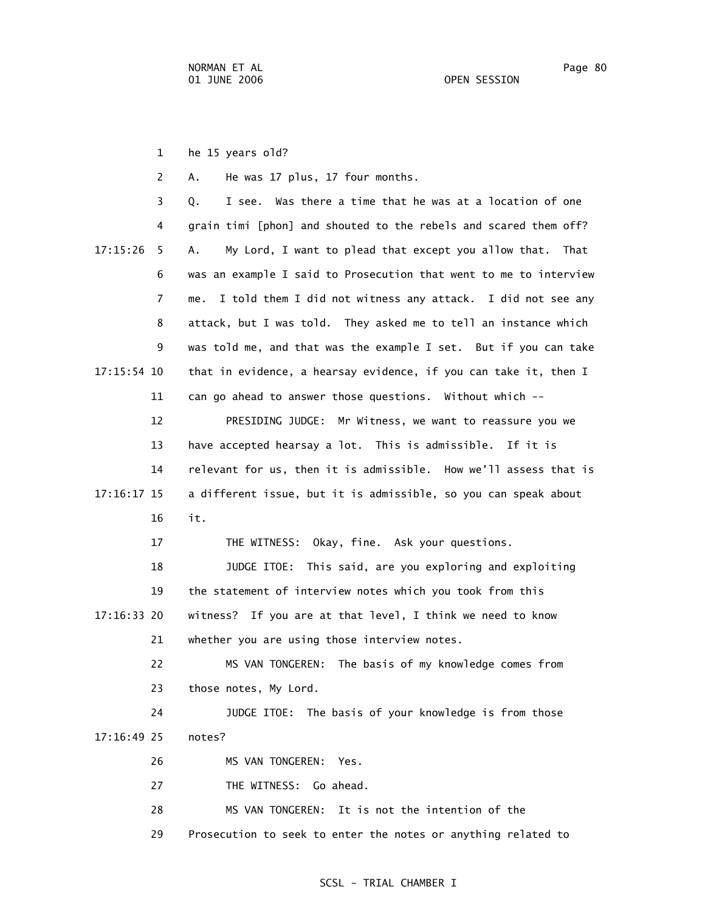1 he 15 years old?

2 A. He was 17 plus, 17 four months.

 3 Q. I see. Was there a time that he was at a location of one 4 grain timi [phon] and shouted to the rebels and scared them off? 17:15:26 5 A. My Lord, I want to plead that except you allow that. That 6 was an example I said to Prosecution that went to me to interview 7 me. I told them I did not witness any attack. I did not see any 8 attack, but I was told. They asked me to tell an instance which 9 was told me, and that was the example I set. But if you can take 17:15:54 10 that in evidence, a hearsay evidence, if you can take it, then I 11 can go ahead to answer those questions. Without which --

 12 PRESIDING JUDGE: Mr Witness, we want to reassure you we 13 have accepted hearsay a lot. This is admissible. If it is 14 relevant for us, then it is admissible. How we'll assess that is 17:16:17 15 a different issue, but it is admissible, so you can speak about 16 it.

17 THE WITNESS: Okay, fine. Ask your questions.

 18 JUDGE ITOE: This said, are you exploring and exploiting 19 the statement of interview notes which you took from this 17:16:33 20 witness? If you are at that level, I think we need to know 21 whether you are using those interview notes.

 22 MS VAN TONGEREN: The basis of my knowledge comes from 23 those notes, My Lord.

 24 JUDGE ITOE: The basis of your knowledge is from those 17:16:49 25 notes?

26 MS VAN TONGEREN: Yes.

27 THE WITNESS: Go ahead.

28 MS VAN TONGEREN: It is not the intention of the

29 Prosecution to seek to enter the notes or anything related to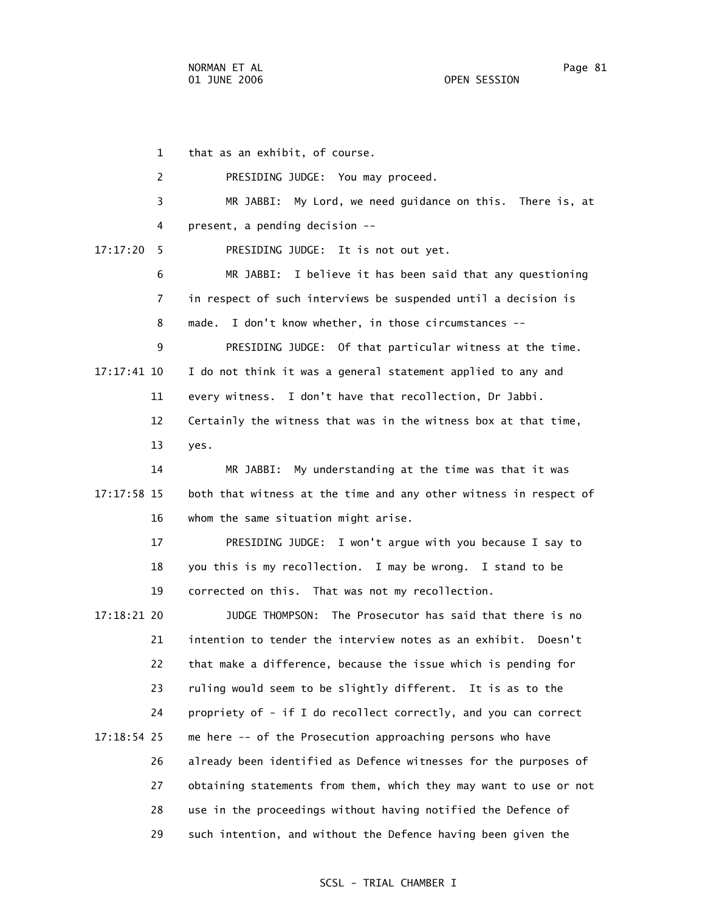1 that as an exhibit, of course. 2 PRESIDING JUDGE: You may proceed. 3 MR JABBI: My Lord, we need guidance on this. There is, at 4 present, a pending decision -- 17:17:20 5 PRESIDING JUDGE: It is not out yet. 6 MR JABBI: I believe it has been said that any questioning 7 in respect of such interviews be suspended until a decision is 8 made. I don't know whether, in those circumstances -- 9 PRESIDING JUDGE: Of that particular witness at the time. 17:17:41 10 I do not think it was a general statement applied to any and 11 every witness. I don't have that recollection, Dr Jabbi. 12 Certainly the witness that was in the witness box at that time, 13 yes. 14 MR JABBI: My understanding at the time was that it was 17:17:58 15 both that witness at the time and any other witness in respect of 16 whom the same situation might arise. 17 PRESIDING JUDGE: I won't argue with you because I say to 18 you this is my recollection. I may be wrong. I stand to be 19 corrected on this. That was not my recollection. 17:18:21 20 JUDGE THOMPSON: The Prosecutor has said that there is no 21 intention to tender the interview notes as an exhibit. Doesn't 22 that make a difference, because the issue which is pending for 23 ruling would seem to be slightly different. It is as to the 24 propriety of - if I do recollect correctly, and you can correct 17:18:54 25 me here -- of the Prosecution approaching persons who have 26 already been identified as Defence witnesses for the purposes of 27 obtaining statements from them, which they may want to use or not 28 use in the proceedings without having notified the Defence of 29 such intention, and without the Defence having been given the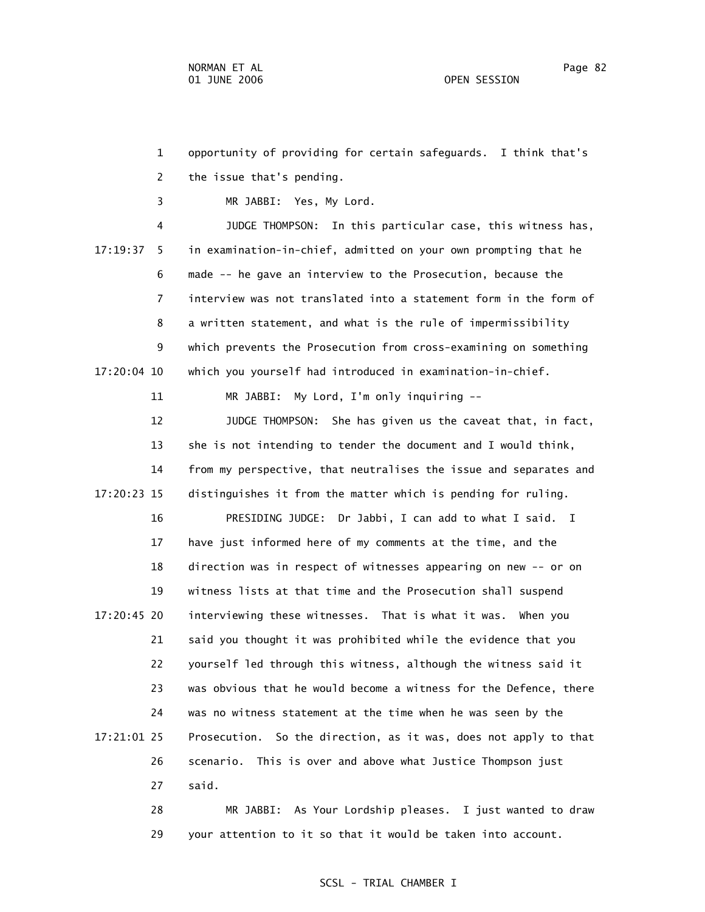1 opportunity of providing for certain safeguards. I think that's 2 the issue that's pending. 3 MR JABBI: Yes, My Lord. 4 JUDGE THOMPSON: In this particular case, this witness has, 17:19:37 5 in examination-in-chief, admitted on your own prompting that he 6 made -- he gave an interview to the Prosecution, because the 7 interview was not translated into a statement form in the form of 8 a written statement, and what is the rule of impermissibility 9 which prevents the Prosecution from cross-examining on something 17:20:04 10 which you yourself had introduced in examination-in-chief. 11 MR JABBI: My Lord, I'm only inquiring -- 12 JUDGE THOMPSON: She has given us the caveat that, in fact, 13 she is not intending to tender the document and I would think, 14 from my perspective, that neutralises the issue and separates and 17:20:23 15 distinguishes it from the matter which is pending for ruling.

 16 PRESIDING JUDGE: Dr Jabbi, I can add to what I said. I 17 have just informed here of my comments at the time, and the 18 direction was in respect of witnesses appearing on new -- or on 19 witness lists at that time and the Prosecution shall suspend 17:20:45 20 interviewing these witnesses. That is what it was. When you 21 said you thought it was prohibited while the evidence that you 22 yourself led through this witness, although the witness said it 23 was obvious that he would become a witness for the Defence, there 24 was no witness statement at the time when he was seen by the 17:21:01 25 Prosecution. So the direction, as it was, does not apply to that 26 scenario. This is over and above what Justice Thompson just 27 said.

> 28 MR JABBI: As Your Lordship pleases. I just wanted to draw 29 your attention to it so that it would be taken into account.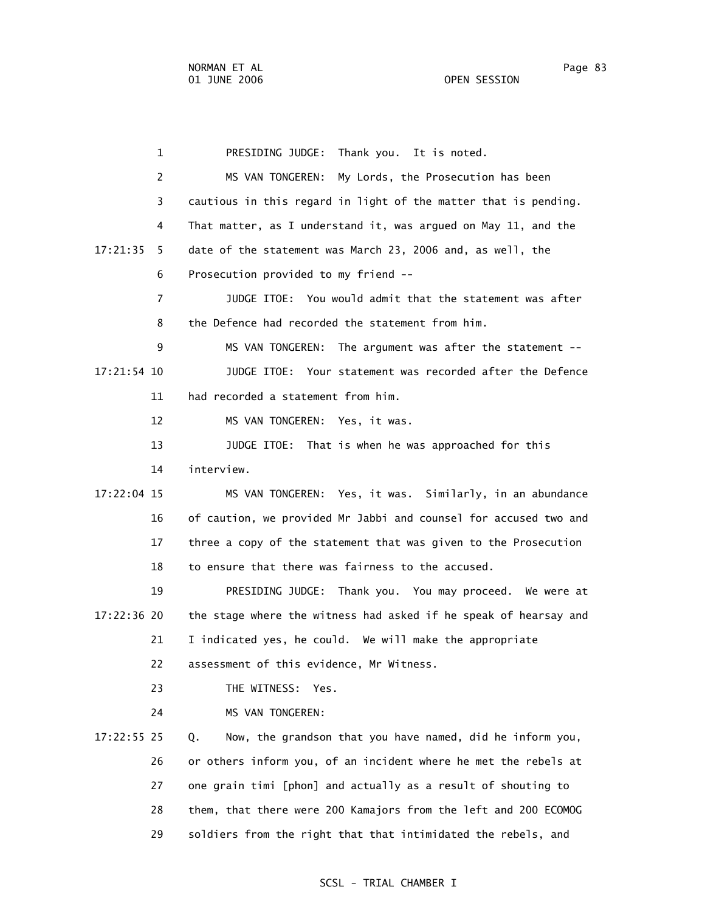1 PRESIDING JUDGE: Thank you. It is noted. 2 MS VAN TONGEREN: My Lords, the Prosecution has been 3 cautious in this regard in light of the matter that is pending. 4 That matter, as I understand it, was argued on May 11, and the 17:21:35 5 date of the statement was March 23, 2006 and, as well, the 6 Prosecution provided to my friend -- 7 JUDGE ITOE: You would admit that the statement was after 8 the Defence had recorded the statement from him. 9 MS VAN TONGEREN: The argument was after the statement -- 17:21:54 10 JUDGE ITOE: Your statement was recorded after the Defence 11 had recorded a statement from him. 12 MS VAN TONGEREN: Yes, it was. 13 JUDGE ITOE: That is when he was approached for this 14 interview. 17:22:04 15 MS VAN TONGEREN: Yes, it was. Similarly, in an abundance 16 of caution, we provided Mr Jabbi and counsel for accused two and 17 three a copy of the statement that was given to the Prosecution 18 to ensure that there was fairness to the accused. 19 PRESIDING JUDGE: Thank you. You may proceed. We were at 17:22:36 20 the stage where the witness had asked if he speak of hearsay and 21 I indicated yes, he could. We will make the appropriate 22 assessment of this evidence, Mr Witness. 23 THE WITNESS: Yes. 24 MS VAN TONGEREN: 17:22:55 25 Q. Now, the grandson that you have named, did he inform you, 26 or others inform you, of an incident where he met the rebels at 27 one grain timi [phon] and actually as a result of shouting to 28 them, that there were 200 Kamajors from the left and 200 ECOMOG 29 soldiers from the right that that intimidated the rebels, and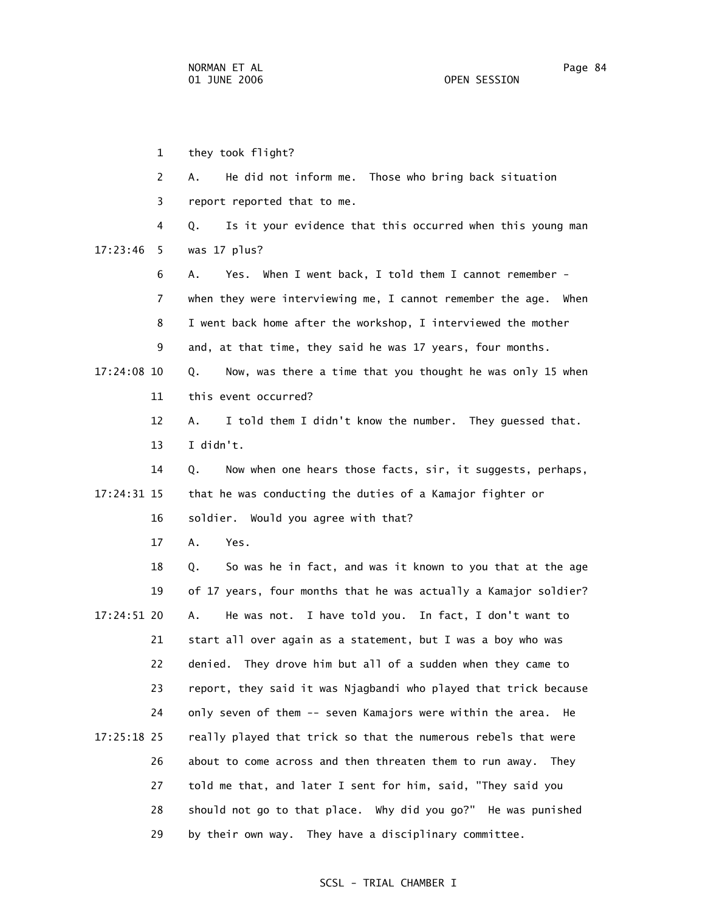1 they took flight? 2 A. He did not inform me. Those who bring back situation 3 report reported that to me. 4 Q. Is it your evidence that this occurred when this young man 17:23:46 5 was 17 plus? 6 A. Yes. When I went back, I told them I cannot remember - 7 when they were interviewing me, I cannot remember the age. When 8 I went back home after the workshop, I interviewed the mother 9 and, at that time, they said he was 17 years, four months. 17:24:08 10 Q. Now, was there a time that you thought he was only 15 when 11 this event occurred? 12 A. I told them I didn't know the number. They guessed that. 13 I didn't. 14 Q. Now when one hears those facts, sir, it suggests, perhaps, 17:24:31 15 that he was conducting the duties of a Kamajor fighter or 16 soldier. Would you agree with that? 17 A. Yes. 18 Q. So was he in fact, and was it known to you that at the age 19 of 17 years, four months that he was actually a Kamajor soldier? 17:24:51 20 A. He was not. I have told you. In fact, I don't want to 21 start all over again as a statement, but I was a boy who was 22 denied. They drove him but all of a sudden when they came to 23 report, they said it was Njagbandi who played that trick because 24 only seven of them -- seven Kamajors were within the area. He 17:25:18 25 really played that trick so that the numerous rebels that were 26 about to come across and then threaten them to run away. They 27 told me that, and later I sent for him, said, "They said you 28 should not go to that place. Why did you go?" He was punished

#### SCSL - TRIAL CHAMBER I

29 by their own way. They have a disciplinary committee.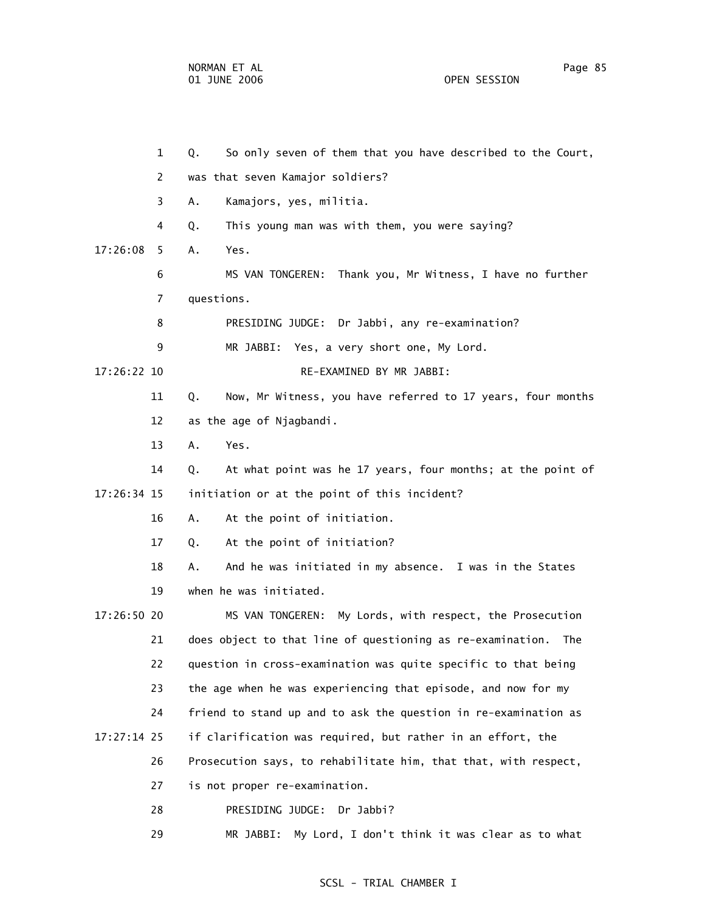1 Q. So only seven of them that you have described to the Court, 2 was that seven Kamajor soldiers? 3 A. Kamajors, yes, militia. 4 Q. This young man was with them, you were saying? 17:26:08 5 A. Yes. 6 MS VAN TONGEREN: Thank you, Mr Witness, I have no further 7 questions. 8 PRESIDING JUDGE: Dr Jabbi, any re-examination? 9 MR JABBI: Yes, a very short one, My Lord. 17:26:22 10 RE-EXAMINED BY MR JABBI: 11 Q. Now, Mr Witness, you have referred to 17 years, four months 12 as the age of Njagbandi. 13 A. Yes. 14 Q. At what point was he 17 years, four months; at the point of 17:26:34 15 initiation or at the point of this incident? 16 A. At the point of initiation. 17 Q. At the point of initiation? 18 A. And he was initiated in my absence. I was in the States 19 when he was initiated. 17:26:50 20 MS VAN TONGEREN: My Lords, with respect, the Prosecution 21 does object to that line of questioning as re-examination. The 22 question in cross-examination was quite specific to that being 23 the age when he was experiencing that episode, and now for my 24 friend to stand up and to ask the question in re-examination as 17:27:14 25 if clarification was required, but rather in an effort, the 26 Prosecution says, to rehabilitate him, that that, with respect,

27 is not proper re-examination.

28 PRESIDING JUDGE: Dr Jabbi?

29 MR JABBI: My Lord, I don't think it was clear as to what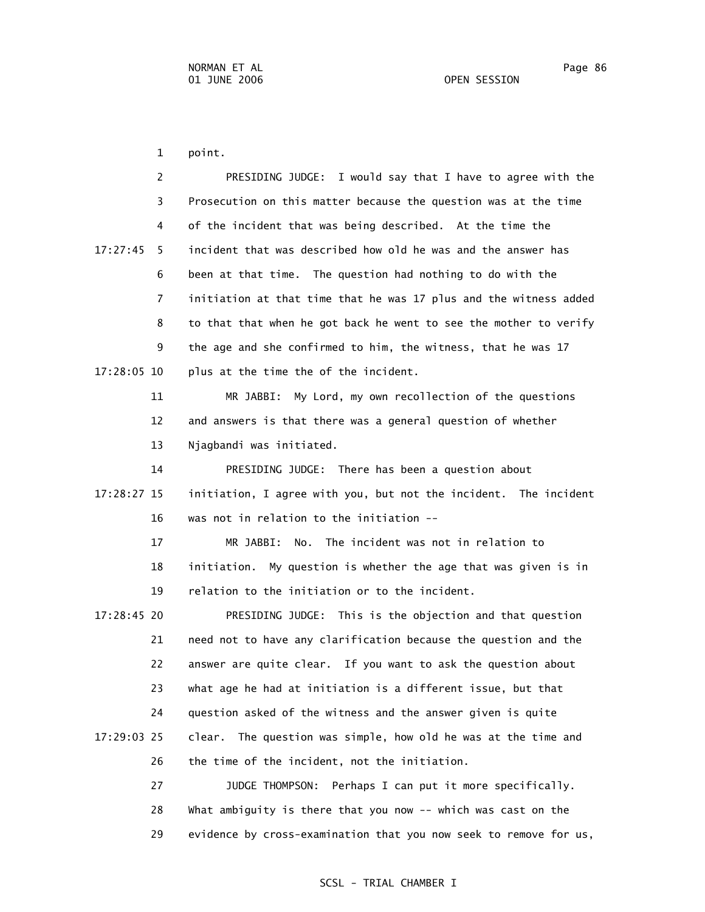1 point.

 2 PRESIDING JUDGE: I would say that I have to agree with the 3 Prosecution on this matter because the question was at the time 4 of the incident that was being described. At the time the 17:27:45 5 incident that was described how old he was and the answer has 6 been at that time. The question had nothing to do with the 7 initiation at that time that he was 17 plus and the witness added 8 to that that when he got back he went to see the mother to verify 9 the age and she confirmed to him, the witness, that he was 17 17:28:05 10 plus at the time the of the incident.

> 11 MR JABBI: My Lord, my own recollection of the questions 12 and answers is that there was a general question of whether 13 Njagbandi was initiated.

 14 PRESIDING JUDGE: There has been a question about 17:28:27 15 initiation, I agree with you, but not the incident. The incident 16 was not in relation to the initiation --

> 17 MR JABBI: No. The incident was not in relation to 18 initiation. My question is whether the age that was given is in 19 relation to the initiation or to the incident.

 17:28:45 20 PRESIDING JUDGE: This is the objection and that question 21 need not to have any clarification because the question and the 22 answer are quite clear. If you want to ask the question about 23 what age he had at initiation is a different issue, but that 24 question asked of the witness and the answer given is quite 17:29:03 25 clear. The question was simple, how old he was at the time and 26 the time of the incident, not the initiation.

> 27 JUDGE THOMPSON: Perhaps I can put it more specifically. 28 What ambiguity is there that you now -- which was cast on the 29 evidence by cross-examination that you now seek to remove for us,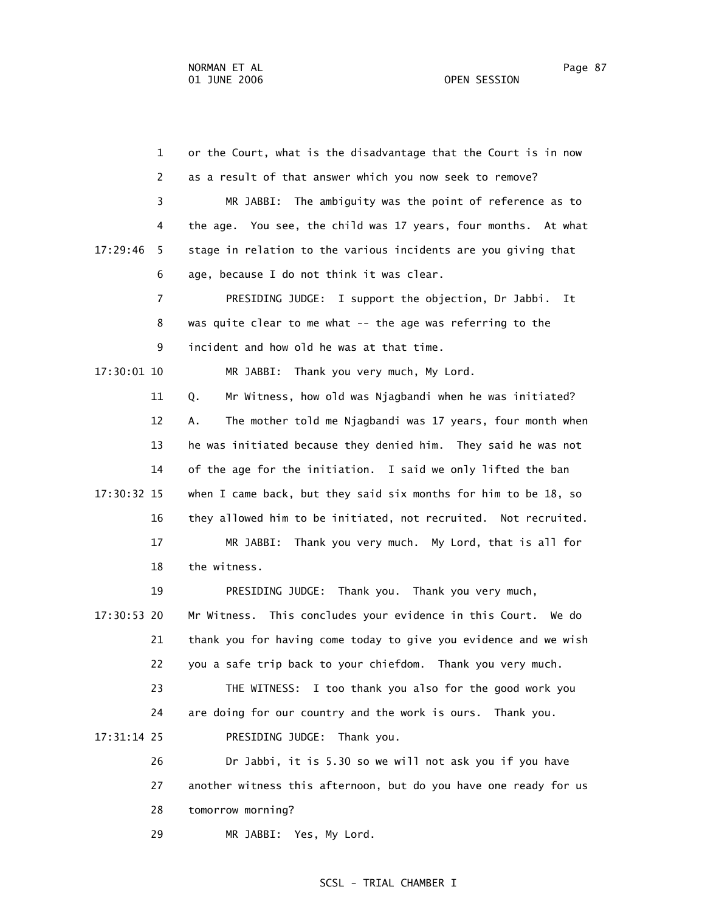1 or the Court, what is the disadvantage that the Court is in now 2 as a result of that answer which you now seek to remove? 3 MR JABBI: The ambiguity was the point of reference as to 4 the age. You see, the child was 17 years, four months. At what 17:29:46 5 stage in relation to the various incidents are you giving that 6 age, because I do not think it was clear. 7 PRESIDING JUDGE: I support the objection, Dr Jabbi. It 8 was quite clear to me what -- the age was referring to the 9 incident and how old he was at that time. 17:30:01 10 MR JABBI: Thank you very much, My Lord. 11 Q. Mr Witness, how old was Njagbandi when he was initiated? 12 A. The mother told me Njagbandi was 17 years, four month when 13 he was initiated because they denied him. They said he was not 14 of the age for the initiation. I said we only lifted the ban 17:30:32 15 when I came back, but they said six months for him to be 18, so 16 they allowed him to be initiated, not recruited. Not recruited. 17 MR JABBI: Thank you very much. My Lord, that is all for 18 the witness. 19 PRESIDING JUDGE: Thank you. Thank you very much, 17:30:53 20 Mr Witness. This concludes your evidence in this Court. We do 21 thank you for having come today to give you evidence and we wish 22 you a safe trip back to your chiefdom. Thank you very much. 23 THE WITNESS: I too thank you also for the good work you 24 are doing for our country and the work is ours. Thank you. 17:31:14 25 PRESIDING JUDGE: Thank you. 26 Dr Jabbi, it is 5.30 so we will not ask you if you have 27 another witness this afternoon, but do you have one ready for us 28 tomorrow morning?

29 MR JABBI: Yes, My Lord.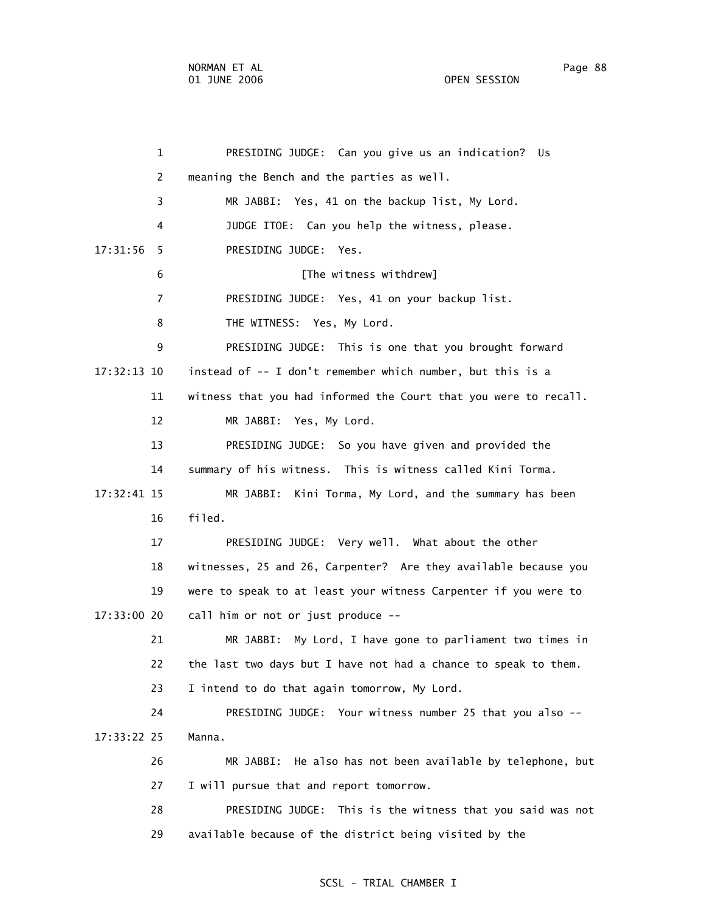| $\mathbf{1}$   | PRESIDING JUDGE: Can you give us an indication? Us               |
|----------------|------------------------------------------------------------------|
| 2              | meaning the Bench and the parties as well.                       |
| 3              | MR JABBI: Yes, 41 on the backup list, My Lord.                   |
| 4              | JUDGE ITOE: Can you help the witness, please.                    |
| 17:31:56<br>5  | PRESIDING JUDGE: Yes.                                            |
| 6              | [The witness withdrew]                                           |
| $\overline{7}$ | PRESIDING JUDGE: Yes, 41 on your backup list.                    |
| 8              | THE WITNESS: Yes, My Lord.                                       |
| 9              | PRESIDING JUDGE: This is one that you brought forward            |
| 17:32:13 10    | instead of -- I don't remember which number, but this is a       |
| 11             | witness that you had informed the Court that you were to recall. |
| 12             | MR JABBI: Yes, My Lord.                                          |
| 13             | PRESIDING JUDGE: So you have given and provided the              |
| 14             | summary of his witness. This is witness called Kini Torma.       |
| 17:32:41 15    | MR JABBI: Kini Torma, My Lord, and the summary has been          |
| 16             | filed.                                                           |
| 17             | PRESIDING JUDGE: Very well. What about the other                 |
| 18             | witnesses, 25 and 26, Carpenter? Are they available because you  |
| 19             | were to speak to at least your witness Carpenter if you were to  |
| 17:33:00 20    | call him or not or just produce --                               |
| 21             | MR JABBI: My Lord, I have gone to parliament two times in        |
| 22             | the last two days but I have not had a chance to speak to them.  |
| 23             | I intend to do that again tomorrow, My Lord.                     |
| 24             | PRESIDING JUDGE: Your witness number 25 that you also --         |
| 17:33:22 25    | Manna.                                                           |
| 26             | MR JABBI: He also has not been available by telephone, but       |
| 27             | I will pursue that and report tomorrow.                          |
| 28             | PRESIDING JUDGE: This is the witness that you said was not       |
| 29             | available because of the district being visited by the           |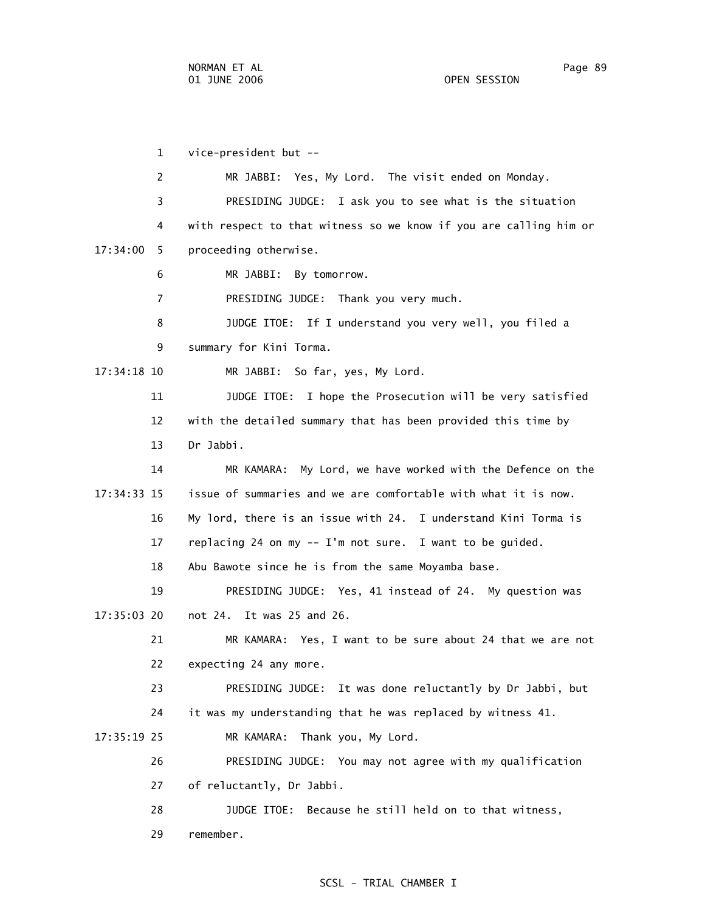29 remember.

 1 vice-president but -- 2 MR JABBI: Yes, My Lord. The visit ended on Monday. 3 PRESIDING JUDGE: I ask you to see what is the situation 4 with respect to that witness so we know if you are calling him or 17:34:00 5 proceeding otherwise. 6 MR JABBI: By tomorrow. 7 PRESIDING JUDGE: Thank you very much. 8 JUDGE ITOE: If I understand you very well, you filed a 9 summary for Kini Torma. 17:34:18 10 MR JABBI: So far, yes, My Lord. 11 JUDGE ITOE: I hope the Prosecution will be very satisfied 12 with the detailed summary that has been provided this time by 13 Dr Jabbi. 14 MR KAMARA: My Lord, we have worked with the Defence on the 17:34:33 15 issue of summaries and we are comfortable with what it is now. 16 My lord, there is an issue with 24. I understand Kini Torma is 17 replacing 24 on my -- I'm not sure. I want to be guided. 18 Abu Bawote since he is from the same Moyamba base. 19 PRESIDING JUDGE: Yes, 41 instead of 24. My question was 17:35:03 20 not 24. It was 25 and 26. 21 MR KAMARA: Yes, I want to be sure about 24 that we are not 22 expecting 24 any more. 23 PRESIDING JUDGE: It was done reluctantly by Dr Jabbi, but 24 it was my understanding that he was replaced by witness 41. 17:35:19 25 MR KAMARA: Thank you, My Lord. 26 PRESIDING JUDGE: You may not agree with my qualification 27 of reluctantly, Dr Jabbi. 28 JUDGE ITOE: Because he still held on to that witness,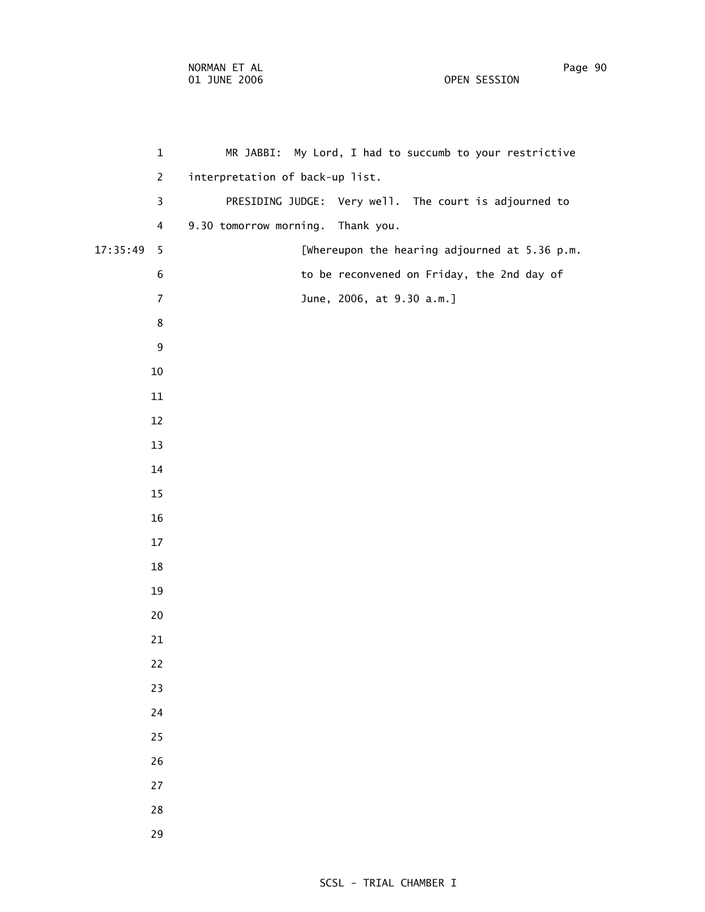| $\mathbf 1$      | MR JABBI: My Lord, I had to succumb to your restrictive |
|------------------|---------------------------------------------------------|
| $\overline{2}$   | interpretation of back-up list.                         |
| 3                | PRESIDING JUDGE: Very well. The court is adjourned to   |
| $\overline{4}$   | 9.30 tomorrow morning. Thank you.                       |
| 17:35:49<br>5    | [Whereupon the hearing adjourned at 5.36 p.m.           |
| $\,$ 6 $\,$      | to be reconvened on Friday, the 2nd day of              |
| $\boldsymbol{7}$ | June, 2006, at 9.30 a.m.]                               |
| $\bf 8$          |                                                         |
| $\boldsymbol{9}$ |                                                         |
| $10\,$           |                                                         |
| $11\,$           |                                                         |
| 12               |                                                         |
| 13               |                                                         |
| 14               |                                                         |
| 15               |                                                         |
| 16               |                                                         |
| 17               |                                                         |
| 18               |                                                         |
| 19               |                                                         |
| 20               |                                                         |
| 21               |                                                         |
| 22               |                                                         |
| 23               |                                                         |
| 24               |                                                         |
| 25               |                                                         |
| 26               |                                                         |
| 27               |                                                         |
| 28               |                                                         |
| 29               |                                                         |